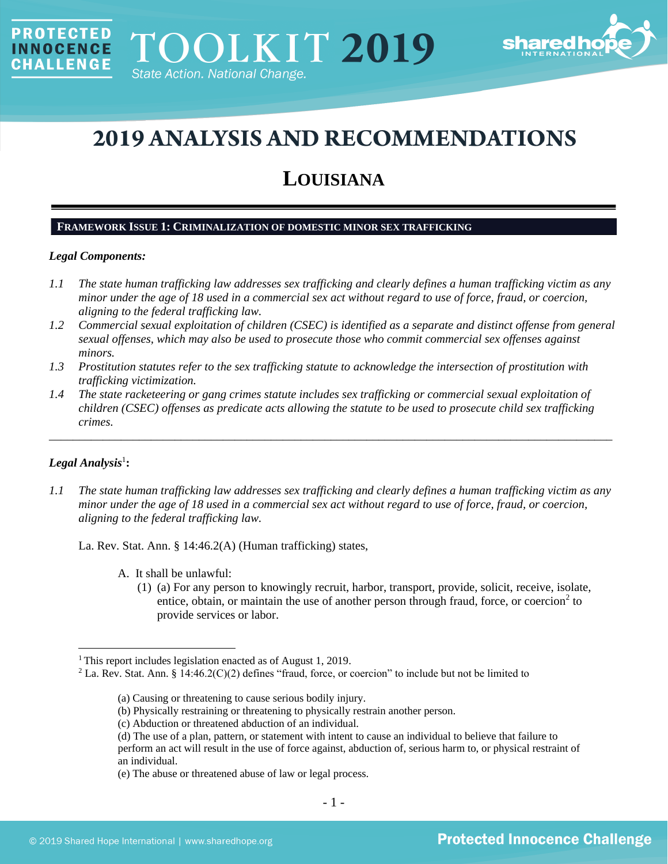

# **2019 ANALYSIS AND RECOMMENDATIONS**

## **LOUISIANA**

#### **FRAMEWORK ISSUE 1: CRIMINALIZATION OF DOMESTIC MINOR SEX TRAFFICKING**

#### *Legal Components:*

**PROTECTED** 

**INNOCENCE CHALLENGE** 

- *1.1 The state human trafficking law addresses sex trafficking and clearly defines a human trafficking victim as any minor under the age of 18 used in a commercial sex act without regard to use of force, fraud, or coercion, aligning to the federal trafficking law.*
- *1.2 Commercial sexual exploitation of children (CSEC) is identified as a separate and distinct offense from general sexual offenses, which may also be used to prosecute those who commit commercial sex offenses against minors.*
- *1.3 Prostitution statutes refer to the sex trafficking statute to acknowledge the intersection of prostitution with trafficking victimization.*
- *1.4 The state racketeering or gang crimes statute includes sex trafficking or commercial sexual exploitation of children (CSEC) offenses as predicate acts allowing the statute to be used to prosecute child sex trafficking crimes.*

\_\_\_\_\_\_\_\_\_\_\_\_\_\_\_\_\_\_\_\_\_\_\_\_\_\_\_\_\_\_\_\_\_\_\_\_\_\_\_\_\_\_\_\_\_\_\_\_\_\_\_\_\_\_\_\_\_\_\_\_\_\_\_\_\_\_\_\_\_\_\_\_\_\_\_\_\_\_\_\_\_\_\_\_\_\_\_\_\_\_\_\_\_\_

## $\boldsymbol{Legal}$  Analysis<sup>1</sup>:

*1.1 The state human trafficking law addresses sex trafficking and clearly defines a human trafficking victim as any minor under the age of 18 used in a commercial sex act without regard to use of force, fraud, or coercion, aligning to the federal trafficking law.*

La. Rev. Stat. Ann. § 14:46.2(A) (Human trafficking) states,

- <span id="page-0-0"></span>A. It shall be unlawful:
	- (1) (a) For any person to knowingly recruit, harbor, transport, provide, solicit, receive, isolate, entice, obtain, or maintain the use of another person through fraud, force, or coercion<sup>2</sup> to provide services or labor.

<sup>&</sup>lt;sup>1</sup> This report includes legislation enacted as of August 1, 2019.

<sup>&</sup>lt;sup>2</sup> La. Rev. Stat. Ann. § 14:46.2(C)(2) defines "fraud, force, or coercion" to include but not be limited to

<sup>(</sup>a) Causing or threatening to cause serious bodily injury.

<sup>(</sup>b) Physically restraining or threatening to physically restrain another person.

<sup>(</sup>c) Abduction or threatened abduction of an individual.

<sup>(</sup>d) The use of a plan, pattern, or statement with intent to cause an individual to believe that failure to perform an act will result in the use of force against, abduction of, serious harm to, or physical restraint of an individual.

<sup>(</sup>e) The abuse or threatened abuse of law or legal process.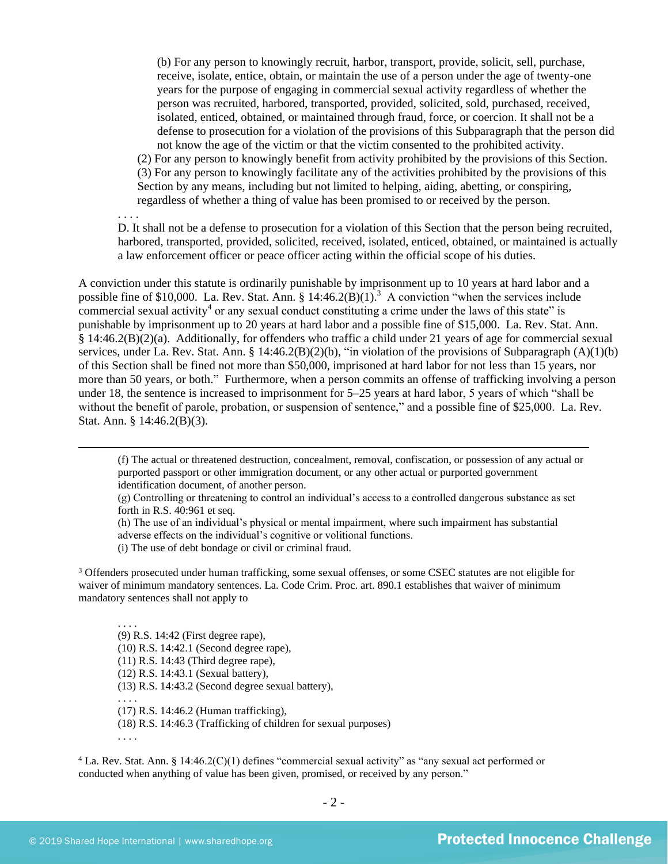(b) For any person to knowingly recruit, harbor, transport, provide, solicit, sell, purchase, receive, isolate, entice, obtain, or maintain the use of a person under the age of twenty-one years for the purpose of engaging in commercial sexual activity regardless of whether the person was recruited, harbored, transported, provided, solicited, sold, purchased, received, isolated, enticed, obtained, or maintained through fraud, force, or coercion. It shall not be a defense to prosecution for a violation of the provisions of this Subparagraph that the person did not know the age of the victim or that the victim consented to the prohibited activity.

(2) For any person to knowingly benefit from activity prohibited by the provisions of this Section. (3) For any person to knowingly facilitate any of the activities prohibited by the provisions of this Section by any means, including but not limited to helping, aiding, abetting, or conspiring, regardless of whether a thing of value has been promised to or received by the person.

. . . .

<span id="page-1-0"></span>D. It shall not be a defense to prosecution for a violation of this Section that the person being recruited, harbored, transported, provided, solicited, received, isolated, enticed, obtained, or maintained is actually a law enforcement officer or peace officer acting within the official scope of his duties.

A conviction under this statute is ordinarily punishable by imprisonment up to 10 years at hard labor and a possible fine of \$10,000. La. Rev. Stat. Ann.  $\S$  14:46.2(B)(1).<sup>3</sup> A conviction "when the services include commercial sexual activity<sup>4</sup> or any sexual conduct constituting a crime under the laws of this state" is punishable by imprisonment up to 20 years at hard labor and a possible fine of \$15,000. La. Rev. Stat. Ann. § 14:46.2(B)(2)(a). Additionally, for offenders who traffic a child under 21 years of age for commercial sexual services, under La. Rev. Stat. Ann. § 14:46.2(B)(2)(b), "in violation of the provisions of Subparagraph (A)(1)(b) of this Section shall be fined not more than \$50,000, imprisoned at hard labor for not less than 15 years, nor more than 50 years, or both." Furthermore, when a person commits an offense of trafficking involving a person under 18, the sentence is increased to imprisonment for 5–25 years at hard labor, 5 years of which "shall be without the benefit of parole, probation, or suspension of sentence," and a possible fine of \$25,000. La. Rev. Stat. Ann. § 14:46.2(B)(3).

(f) The actual or threatened destruction, concealment, removal, confiscation, or possession of any actual or purported passport or other immigration document, or any other actual or purported government identification document, of another person.

(g) Controlling or threatening to control an individual's access to a controlled dangerous substance as set forth in R.S. 40:961 et seq.

(h) The use of an individual's physical or mental impairment, where such impairment has substantial adverse effects on the individual's cognitive or volitional functions.

(i) The use of debt bondage or civil or criminal fraud.

<sup>3</sup> Offenders prosecuted under human trafficking, some sexual offenses, or some CSEC statutes are not eligible for waiver of minimum mandatory sentences. La. Code Crim. Proc. art. 890.1 establishes that waiver of minimum mandatory sentences shall not apply to

. . . . (9) R.S. 14:42 (First degree rape), (10) R.S. 14:42.1 (Second degree rape),

(11) R.S. 14:43 (Third degree rape),

(12) R.S. 14:43.1 (Sexual battery),

(13) R.S. 14:43.2 (Second degree sexual battery),

(17) R.S. 14:46.2 (Human trafficking),

(18) R.S. 14:46.3 (Trafficking of children for sexual purposes)

. . . .

. . . .

<sup>4</sup> La. Rev. Stat. Ann. § 14:46.2(C)(1) defines "commercial sexual activity" as "any sexual act performed or conducted when anything of value has been given, promised, or received by any person."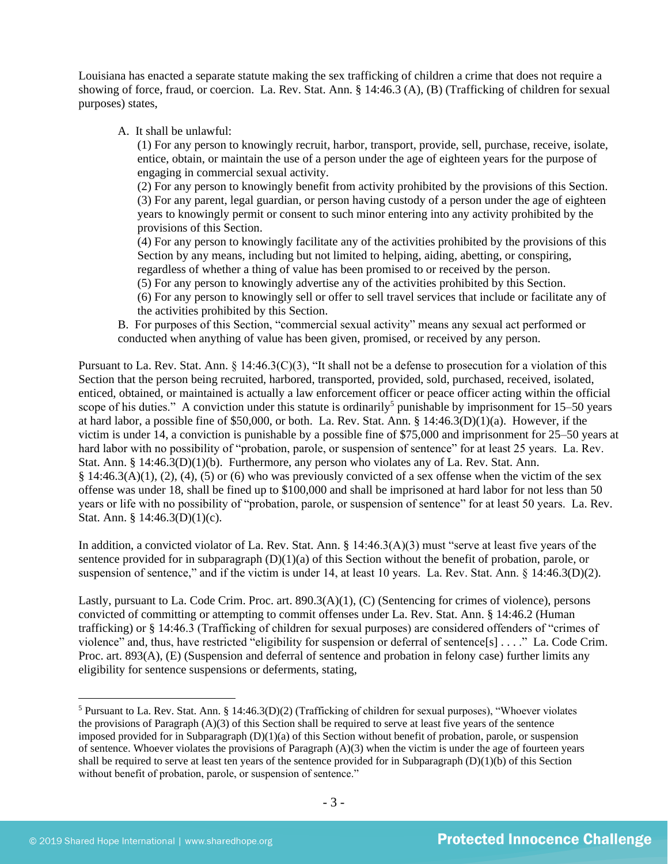Louisiana has enacted a separate statute making the sex trafficking of children a crime that does not require a showing of force, fraud, or coercion. La. Rev. Stat. Ann. § 14:46.3 (A), (B) (Trafficking of children for sexual purposes) states,

A. It shall be unlawful:

(1) For any person to knowingly recruit, harbor, transport, provide, sell, purchase, receive, isolate, entice, obtain, or maintain the use of a person under the age of eighteen years for the purpose of engaging in commercial sexual activity.

(2) For any person to knowingly benefit from activity prohibited by the provisions of this Section. (3) For any parent, legal guardian, or person having custody of a person under the age of eighteen years to knowingly permit or consent to such minor entering into any activity prohibited by the provisions of this Section.

(4) For any person to knowingly facilitate any of the activities prohibited by the provisions of this Section by any means, including but not limited to helping, aiding, abetting, or conspiring, regardless of whether a thing of value has been promised to or received by the person.

- (5) For any person to knowingly advertise any of the activities prohibited by this Section.
- (6) For any person to knowingly sell or offer to sell travel services that include or facilitate any of the activities prohibited by this Section.

B. For purposes of this Section, "commercial sexual activity" means any sexual act performed or conducted when anything of value has been given, promised, or received by any person.

Pursuant to La. Rev. Stat. Ann. § 14:46.3(C)(3), "It shall not be a defense to prosecution for a violation of this Section that the person being recruited, harbored, transported, provided, sold, purchased, received, isolated, enticed, obtained, or maintained is actually a law enforcement officer or peace officer acting within the official scope of his duties." A conviction under this statute is ordinarily<sup>5</sup> punishable by imprisonment for 15–50 years at hard labor, a possible fine of \$50,000, or both. La. Rev. Stat. Ann. § 14:46.3(D)(1)(a). However, if the victim is under 14, a conviction is punishable by a possible fine of \$75,000 and imprisonment for 25–50 years at hard labor with no possibility of "probation, parole, or suspension of sentence" for at least 25 years. La. Rev. Stat. Ann. § 14:46.3(D)(1)(b). Furthermore, any person who violates any of La. Rev. Stat. Ann. § 14:46.3(A)(1), (2), (4), (5) or (6) who was previously convicted of a sex offense when the victim of the sex offense was under 18, shall be fined up to \$100,000 and shall be imprisoned at hard labor for not less than 50 years or life with no possibility of "probation, parole, or suspension of sentence" for at least 50 years. La. Rev. Stat. Ann. § 14:46.3(D)(1)(c).

In addition, a convicted violator of La. Rev. Stat. Ann. § 14:46.3(A)(3) must "serve at least five years of the sentence provided for in subparagraph  $(D)(1)(a)$  of this Section without the benefit of probation, parole, or suspension of sentence," and if the victim is under 14, at least 10 years. La. Rev. Stat. Ann. § 14:46.3(D)(2).

Lastly, pursuant to La. Code Crim. Proc. art. 890.3(A)(1), (C) (Sentencing for crimes of violence), persons convicted of committing or attempting to commit offenses under La. Rev. Stat. Ann. § 14:46.2 (Human trafficking) or § 14:46.3 (Trafficking of children for sexual purposes) are considered offenders of "crimes of violence" and, thus, have restricted "eligibility for suspension or deferral of sentence[s] . . . ." La. Code Crim. Proc. art. 893(A), (E) (Suspension and deferral of sentence and probation in felony case) further limits any eligibility for sentence suspensions or deferments, stating,

<sup>&</sup>lt;sup>5</sup> Pursuant to La. Rev. Stat. Ann. § 14:46.3(D)(2) (Trafficking of children for sexual purposes), "Whoever violates the provisions of Paragraph (A)(3) of this Section shall be required to serve at least five years of the sentence imposed provided for in Subparagraph  $(D)(1)(a)$  of this Section without benefit of probation, parole, or suspension of sentence. Whoever violates the provisions of Paragraph  $(A)(3)$  when the victim is under the age of fourteen years shall be required to serve at least ten years of the sentence provided for in Subparagraph  $(D)(1)(b)$  of this Section without benefit of probation, parole, or suspension of sentence."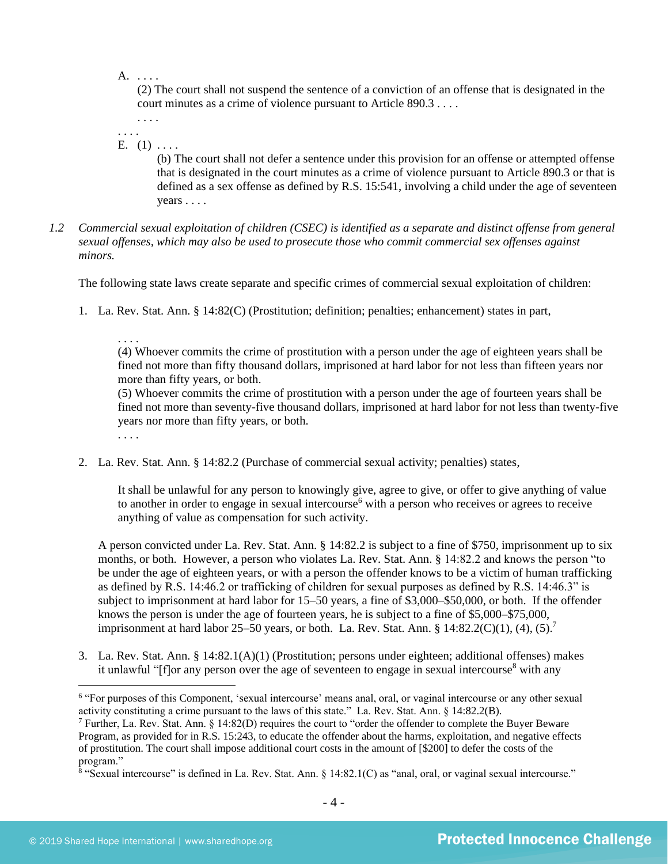A. . . . .

(2) The court shall not suspend the sentence of a conviction of an offense that is designated in the court minutes as a crime of violence pursuant to Article 890.3 . . . .

. . . . . . . .

E.  $(1)$  ....

(b) The court shall not defer a sentence under this provision for an offense or attempted offense that is designated in the court minutes as a crime of violence pursuant to Article 890.3 or that is defined as a sex offense as defined by R.S. 15:541, involving a child under the age of seventeen years . . . .

*1.2 Commercial sexual exploitation of children (CSEC) is identified as a separate and distinct offense from general sexual offenses, which may also be used to prosecute those who commit commercial sex offenses against minors.*

The following state laws create separate and specific crimes of commercial sexual exploitation of children:

1. La. Rev. Stat. Ann. § 14:82(C) (Prostitution; definition; penalties; enhancement) states in part,

. . . . (4) Whoever commits the crime of prostitution with a person under the age of eighteen years shall be fined not more than fifty thousand dollars, imprisoned at hard labor for not less than fifteen years nor more than fifty years, or both.

(5) Whoever commits the crime of prostitution with a person under the age of fourteen years shall be fined not more than seventy-five thousand dollars, imprisoned at hard labor for not less than twenty-five years nor more than fifty years, or both.

. . . .

2. La. Rev. Stat. Ann. § 14:82.2 (Purchase of commercial sexual activity; penalties) states,

It shall be unlawful for any person to knowingly give, agree to give, or offer to give anything of value to another in order to engage in sexual intercourse<sup> $6$ </sup> with a person who receives or agrees to receive anything of value as compensation for such activity.

A person convicted under La. Rev. Stat. Ann. § 14:82.2 is subject to a fine of \$750, imprisonment up to six months, or both. However, a person who violates La. Rev. Stat. Ann. § 14:82.2 and knows the person "to be under the age of eighteen years, or with a person the offender knows to be a victim of human trafficking as defined by R.S. 14:46.2 or trafficking of children for sexual purposes as defined by R.S. 14:46.3" is subject to imprisonment at hard labor for 15–50 years, a fine of \$3,000–\$50,000, or both. If the offender knows the person is under the age of fourteen years, he is subject to a fine of \$5,000–\$75,000, imprisonment at hard labor 25–50 years, or both. La. Rev. Stat. Ann. § 14:82.2(C)(1), (4), (5).<sup>7</sup>

3. La. Rev. Stat. Ann. § 14:82.1(A)(1) (Prostitution; persons under eighteen; additional offenses) makes it unlawful " $[f]$ or any person over the age of seventeen to engage in sexual intercourse<sup>8</sup> with any

<sup>&</sup>lt;sup>6</sup> "For purposes of this Component, 'sexual intercourse' means anal, oral, or vaginal intercourse or any other sexual activity constituting a crime pursuant to the laws of this state." La. Rev. Stat. Ann. § 14:82.2(B).

<sup>7</sup> Further, La. Rev. Stat. Ann. § 14:82(D) requires the court to "order the offender to complete the Buyer Beware Program, as provided for in R.S. 15:243, to educate the offender about the harms, exploitation, and negative effects of prostitution. The court shall impose additional court costs in the amount of [\$200] to defer the costs of the program."

<sup>&</sup>lt;sup>8</sup> "Sexual intercourse" is defined in La. Rev. Stat. Ann. § 14:82.1(C) as "anal, oral, or vaginal sexual intercourse."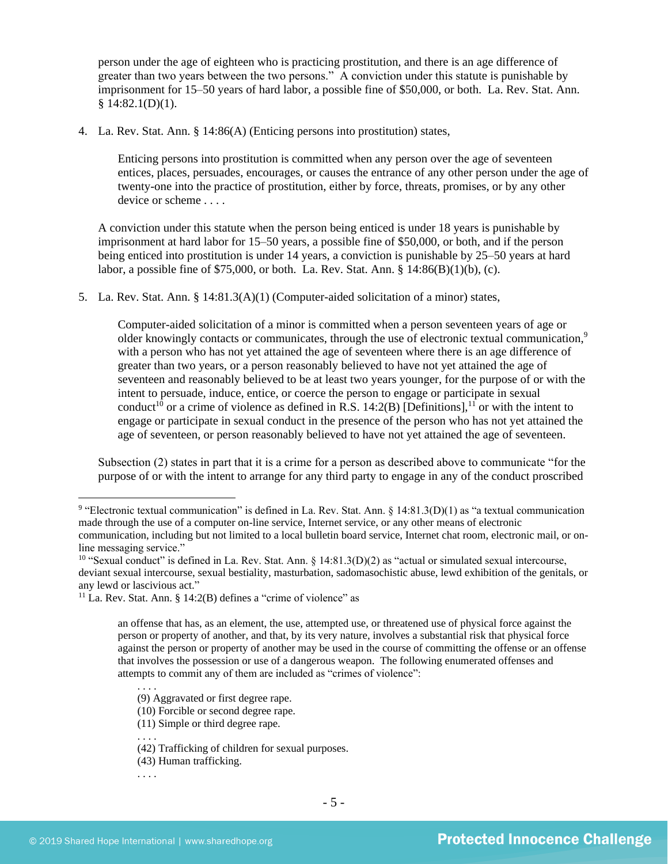person under the age of eighteen who is practicing prostitution, and there is an age difference of greater than two years between the two persons." A conviction under this statute is punishable by imprisonment for 15–50 years of hard labor, a possible fine of \$50,000, or both. La. Rev. Stat. Ann.  $$14:82.1(D)(1).$ 

4. La. Rev. Stat. Ann. § 14:86(A) (Enticing persons into prostitution) states,

Enticing persons into prostitution is committed when any person over the age of seventeen entices, places, persuades, encourages, or causes the entrance of any other person under the age of twenty-one into the practice of prostitution, either by force, threats, promises, or by any other device or scheme . . . .

A conviction under this statute when the person being enticed is under 18 years is punishable by imprisonment at hard labor for 15–50 years, a possible fine of \$50,000, or both, and if the person being enticed into prostitution is under 14 years, a conviction is punishable by 25–50 years at hard labor, a possible fine of \$75,000, or both. La. Rev. Stat. Ann. § 14:86(B)(1)(b), (c).

5. La. Rev. Stat. Ann. § 14:81.3(A)(1) (Computer-aided solicitation of a minor) states,

<span id="page-4-0"></span>Computer-aided solicitation of a minor is committed when a person seventeen years of age or older knowingly contacts or communicates, through the use of electronic textual communication,<sup>9</sup> with a person who has not yet attained the age of seventeen where there is an age difference of greater than two years, or a person reasonably believed to have not yet attained the age of seventeen and reasonably believed to be at least two years younger, for the purpose of or with the intent to persuade, induce, entice, or coerce the person to engage or participate in sexual conduct<sup>10</sup> or a crime of violence as defined in [R.S. 14:2\(B\)](https://www.lexis.com/research/buttonTFLink?_m=cab6dd21dd29306a3d10703ad9288f43&_xfercite=%3ccite%20cc%3d%22USA%22%3e%3c%21%5bCDATA%5bLa.%20R.S.%2014%3a81.3%5d%5d%3e%3c%2fcite%3e&_butType=4&_butStat=0&_butNum=2&_butInline=1&_butinfo=LACODE%2014%3a2&_fmtstr=FULL&docnum=1&_startdoc=1&wchp=dGLbVzV-zSkAA&_md5=d31e1e2fad189a60cd471ae8696c87cd) [Definitions],<sup>11</sup> or with the intent to engage or participate in sexual conduct in the presence of the person who has not yet attained the age of seventeen, or person reasonably believed to have not yet attained the age of seventeen.

Subsection (2) states in part that it is a crime for a person as described above to communicate "for the purpose of or with the intent to arrange for any third party to engage in any of the conduct proscribed

. . . .

- (10) Forcible or second degree rape.
- (11) Simple or third degree rape. . . . .
- (42) Trafficking of children for sexual purposes.
- (43) Human trafficking.
- . . . .

<sup>&</sup>lt;sup>9</sup> "Electronic textual communication" is defined in La. Rev. Stat. Ann. § 14:81.3(D)(1) as "a textual communication made through the use of a computer on-line service, Internet service, or any other means of electronic communication, including but not limited to a local bulletin board service, Internet chat room, electronic mail, or online messaging service."

<sup>&</sup>lt;sup>10</sup> "Sexual conduct" is defined in La. Rev. Stat. Ann.  $\S$  14:81.3(D)(2) as "actual or simulated sexual intercourse, deviant sexual intercourse, sexual bestiality, masturbation, sadomasochistic abuse, lewd exhibition of the genitals, or any lewd or lascivious act."

<sup>&</sup>lt;sup>11</sup> La. Rev. Stat. Ann. § 14:2(B) defines a "crime of violence" as

an offense that has, as an element, the use, attempted use, or threatened use of physical force against the person or property of another, and that, by its very nature, involves a substantial risk that physical force against the person or property of another may be used in the course of committing the offense or an offense that involves the possession or use of a dangerous weapon. The following enumerated offenses and attempts to commit any of them are included as "crimes of violence":

<sup>(9)</sup> Aggravated or first degree rape.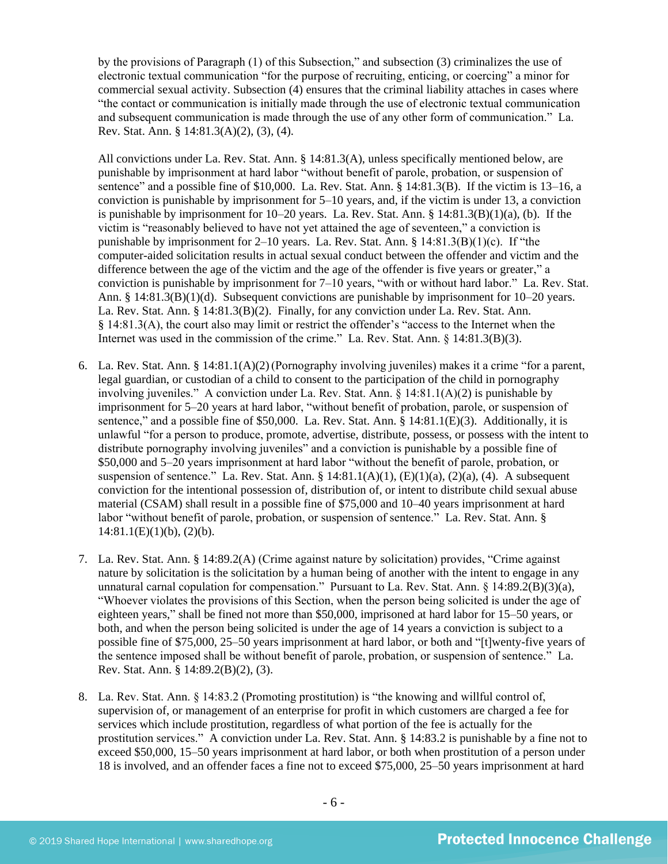by the provisions of Paragraph (1) of this Subsection," and subsection (3) criminalizes the use of electronic textual communication "for the purpose of recruiting, enticing, or coercing" a minor for commercial sexual activity. Subsection (4) ensures that the criminal liability attaches in cases where "the contact or communication is initially made through the use of electronic textual communication and subsequent communication is made through the use of any other form of communication." La. Rev. Stat. Ann. § 14:81.3(A)(2), (3), (4).

All convictions under La. Rev. Stat. Ann. § 14:81.3(A), unless specifically mentioned below, are punishable by imprisonment at hard labor "without benefit of parole, probation, or suspension of sentence" and a possible fine of \$10,000. La. Rev. Stat. Ann. § 14:81.3(B). If the victim is 13–16, a conviction is punishable by imprisonment for 5–10 years, and, if the victim is under 13, a conviction is punishable by imprisonment for 10–20 years. La. Rev. Stat. Ann. § 14:81.3(B)(1)(a), (b). If the victim is "reasonably believed to have not yet attained the age of seventeen," a conviction is punishable by imprisonment for 2–10 years. La. Rev. Stat. Ann. § 14:81.3(B)(1)(c). If "the computer-aided solicitation results in actual sexual conduct between the offender and victim and the difference between the age of the victim and the age of the offender is five years or greater," a conviction is punishable by imprisonment for 7–10 years, "with or without hard labor." La. Rev. Stat. Ann. § 14:81.3(B)(1)(d). Subsequent convictions are punishable by imprisonment for 10–20 years. La. Rev. Stat. Ann. § 14:81.3(B)(2). Finally, for any conviction under La. Rev. Stat. Ann. § 14:81.3(A), the court also may limit or restrict the offender's "access to the Internet when the Internet was used in the commission of the crime." La. Rev. Stat. Ann. § 14:81.3(B)(3).

- 6. La. Rev. Stat. Ann. § 14:81.1(A)(2)(Pornography involving juveniles) makes it a crime "for a parent, legal guardian, or custodian of a child to consent to the participation of the child in pornography involving juveniles." A conviction under La. Rev. Stat. Ann. § 14:81.1(A)(2) is punishable by imprisonment for 5–20 years at hard labor, "without benefit of probation, parole, or suspension of sentence," and a possible fine of \$50,000. La. Rev. Stat. Ann. § 14:81.1(E)(3). Additionally, it is unlawful "for a person to produce, promote, advertise, distribute, possess, or possess with the intent to distribute pornography involving juveniles" and a conviction is punishable by a possible fine of \$50,000 and 5–20 years imprisonment at hard labor "without the benefit of parole, probation, or suspension of sentence." La. Rev. Stat. Ann. §  $14:81.1(A)(1)$ ,  $(E)(1)(a)$ ,  $(2)(a)$ ,  $(4)$ . A subsequent conviction for the intentional possession of, distribution of, or intent to distribute child sexual abuse material (CSAM) shall result in a possible fine of \$75,000 and 10–40 years imprisonment at hard labor "without benefit of parole, probation, or suspension of sentence." La. Rev. Stat. Ann. §  $14:81.1(E)(1)(b)$ ,  $(2)(b)$ .
- 7. La. Rev. Stat. Ann. § 14:89.2(A) (Crime against nature by solicitation) provides, "Crime against nature by solicitation is the solicitation by a human being of another with the intent to engage in any unnatural carnal copulation for compensation." Pursuant to La. Rev. Stat. Ann. § 14:89.2(B)(3)(a), "Whoever violates the provisions of this Section, when the person being solicited is under the age of eighteen years," shall be fined not more than \$50,000, imprisoned at hard labor for 15–50 years, or both, and when the person being solicited is under the age of 14 years a conviction is subject to a possible fine of \$75,000, 25–50 years imprisonment at hard labor, or both and "[t]wenty-five years of the sentence imposed shall be without benefit of parole, probation, or suspension of sentence." La. Rev. Stat. Ann. § 14:89.2(B)(2), (3).
- 8. La. Rev. Stat. Ann. § 14:83.2 (Promoting prostitution) is "the knowing and willful control of, supervision of, or management of an enterprise for profit in which customers are charged a fee for services which include prostitution, regardless of what portion of the fee is actually for the prostitution services." A conviction under La. Rev. Stat. Ann. § 14:83.2 is punishable by a fine not to exceed \$50,000, 15–50 years imprisonment at hard labor, or both when prostitution of a person under 18 is involved, and an offender faces a fine not to exceed \$75,000, 25–50 years imprisonment at hard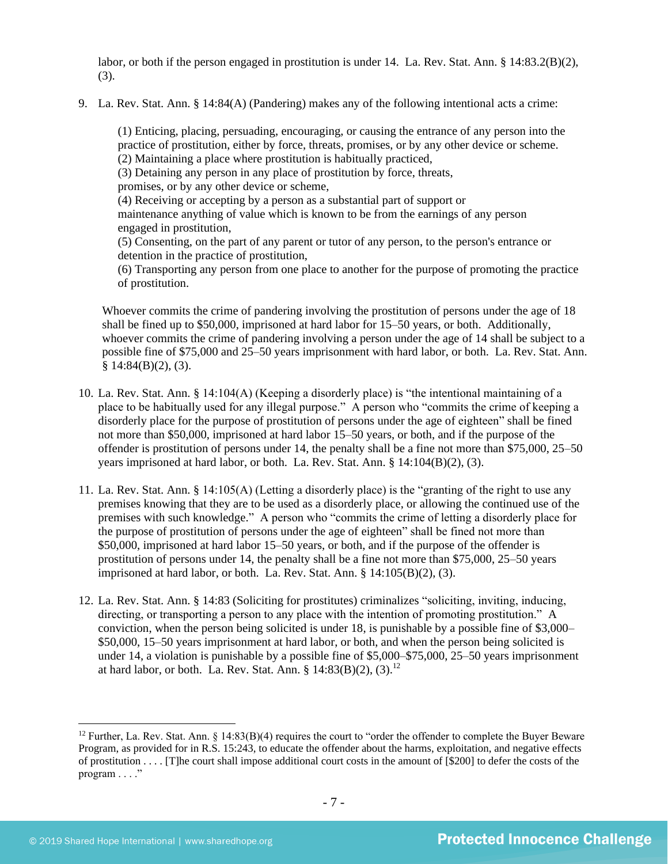labor, or both if the person engaged in prostitution is under 14. La. Rev. Stat. Ann. § 14:83.2(B)(2), (3).

9. La. Rev. Stat. Ann. § 14:84(A) (Pandering) makes any of the following intentional acts a crime:

(1) Enticing, placing, persuading, encouraging, or causing the entrance of any person into the practice of prostitution, either by force, threats, promises, or by any other device or scheme. (2) Maintaining a place where prostitution is habitually practiced,

(3) Detaining any person in any place of prostitution by force, threats,

promises, or by any other device or scheme,

(4) Receiving or accepting by a person as a substantial part of support or

maintenance anything of value which is known to be from the earnings of any person engaged in prostitution,

(5) Consenting, on the part of any parent or tutor of any person, to the person's entrance or detention in the practice of prostitution,

(6) Transporting any person from one place to another for the purpose of promoting the practice of prostitution.

Whoever commits the crime of pandering involving the prostitution of persons under the age of 18 shall be fined up to \$50,000, imprisoned at hard labor for 15–50 years, or both. Additionally, whoever commits the crime of pandering involving a person under the age of 14 shall be subject to a possible fine of \$75,000 and 25–50 years imprisonment with hard labor, or both. La. Rev. Stat. Ann.  $§ 14:84(B)(2), (3).$ 

- 10. La. Rev. Stat. Ann. § 14:104(A) (Keeping a disorderly place) is "the intentional maintaining of a place to be habitually used for any illegal purpose." A person who "commits the crime of keeping a disorderly place for the purpose of prostitution of persons under the age of eighteen" shall be fined not more than \$50,000, imprisoned at hard labor 15–50 years, or both, and if the purpose of the offender is prostitution of persons under 14, the penalty shall be a fine not more than \$75,000, 25–50 years imprisoned at hard labor, or both. La. Rev. Stat. Ann. § 14:104(B)(2), (3).
- 11. La. Rev. Stat. Ann. § 14:105(A) (Letting a disorderly place) is the "granting of the right to use any premises knowing that they are to be used as a disorderly place, or allowing the continued use of the premises with such knowledge." A person who "commits the crime of letting a disorderly place for the purpose of prostitution of persons under the age of eighteen" shall be fined not more than \$50,000, imprisoned at hard labor 15–50 years, or both, and if the purpose of the offender is prostitution of persons under 14, the penalty shall be a fine not more than \$75,000, 25–50 years imprisoned at hard labor, or both. La. Rev. Stat. Ann.  $\S$  14:105(B)(2), (3).
- 12. La. Rev. Stat. Ann. § 14:83 (Soliciting for prostitutes) criminalizes "soliciting, inviting, inducing, directing, or transporting a person to any place with the intention of promoting prostitution." A conviction, when the person being solicited is under 18, is punishable by a possible fine of \$3,000– \$50,000, 15–50 years imprisonment at hard labor, or both, and when the person being solicited is under 14, a violation is punishable by a possible fine of \$5,000–\$75,000, 25–50 years imprisonment at hard labor, or both. La. Rev. Stat. Ann. §  $14:83(B)(2)$ ,  $(3)$ .<sup>12</sup>

<sup>&</sup>lt;sup>12</sup> Further, La. Rev. Stat. Ann.  $\S$  14:83(B)(4) requires the court to "order the offender to complete the Buyer Beware Program, as provided for in R.S. 15:243, to educate the offender about the harms, exploitation, and negative effects of prostitution . . . . [T]he court shall impose additional court costs in the amount of [\$200] to defer the costs of the program . . . ."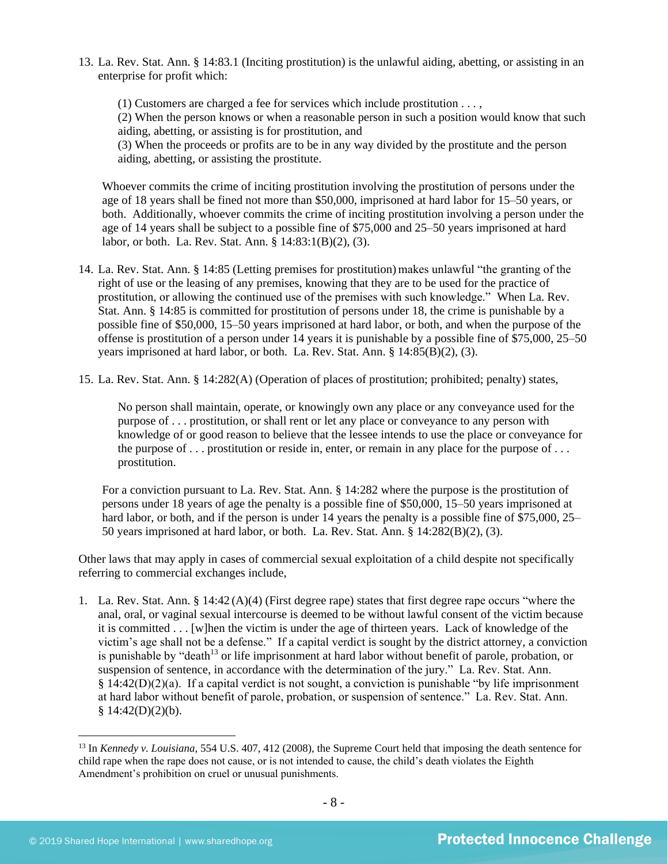13. La. Rev. Stat. Ann. § 14:83.1 (Inciting prostitution) is the unlawful aiding, abetting, or assisting in an enterprise for profit which:

(1) Customers are charged a fee for services which include prostitution . . . , (2) When the person knows or when a reasonable person in such a position would know that such aiding, abetting, or assisting is for prostitution, and (3) When the proceeds or profits are to be in any way divided by the prostitute and the person

aiding, abetting, or assisting the prostitute.

Whoever commits the crime of inciting prostitution involving the prostitution of persons under the age of 18 years shall be fined not more than \$50,000, imprisoned at hard labor for 15–50 years, or both. Additionally, whoever commits the crime of inciting prostitution involving a person under the age of 14 years shall be subject to a possible fine of \$75,000 and 25–50 years imprisoned at hard labor, or both. La. Rev. Stat. Ann. § 14:83:1(B)(2), (3).

- 14. La. Rev. Stat. Ann. § 14:85 (Letting premises for prostitution) makes unlawful "the granting of the right of use or the leasing of any premises, knowing that they are to be used for the practice of prostitution, or allowing the continued use of the premises with such knowledge." When La. Rev. Stat. Ann. § 14:85 is committed for prostitution of persons under 18, the crime is punishable by a possible fine of \$50,000, 15–50 years imprisoned at hard labor, or both, and when the purpose of the offense is prostitution of a person under 14 years it is punishable by a possible fine of \$75,000, 25–50 years imprisoned at hard labor, or both. La. Rev. Stat. Ann. § 14:85(B)(2), (3).
- 15. La. Rev. Stat. Ann. § 14:282(A) (Operation of places of prostitution; prohibited; penalty) states,

No person shall maintain, operate, or knowingly own any place or any conveyance used for the purpose of . . . prostitution, or shall rent or let any place or conveyance to any person with knowledge of or good reason to believe that the lessee intends to use the place or conveyance for the purpose of  $\dots$  prostitution or reside in, enter, or remain in any place for the purpose of  $\dots$ prostitution.

For a conviction pursuant to La. Rev. Stat. Ann. § 14:282 where the purpose is the prostitution of persons under 18 years of age the penalty is a possible fine of \$50,000, 15–50 years imprisoned at hard labor, or both, and if the person is under 14 years the penalty is a possible fine of \$75,000, 25– 50 years imprisoned at hard labor, or both. La. Rev. Stat. Ann. § 14:282(B)(2), (3).

Other laws that may apply in cases of commercial sexual exploitation of a child despite not specifically referring to commercial exchanges include,

1. La. Rev. Stat. Ann. § 14:42 (A)(4) (First degree rape) states that first degree rape occurs "where the anal, oral, or vaginal sexual intercourse is deemed to be without lawful consent of the victim because it is committed . . . [w]hen the victim is under the age of thirteen years. Lack of knowledge of the victim's age shall not be a defense." If a capital verdict is sought by the district attorney, a conviction is punishable by "death<sup>13</sup> or life imprisonment at hard labor without benefit of parole, probation, or suspension of sentence, in accordance with the determination of the jury." La. Rev. Stat. Ann.  $§$  14:42(D)(2)(a). If a capital verdict is not sought, a conviction is punishable "by life imprisonment" at hard labor without benefit of parole, probation, or suspension of sentence." La. Rev. Stat. Ann.  $§ 14:42(D)(2)(b).$ 

<sup>13</sup> In *Kennedy v. Louisiana*, 554 U.S. 407, 412 (2008), the Supreme Court held that imposing the death sentence for child rape when the rape does not cause, or is not intended to cause, the child's death violates the Eighth Amendment's prohibition on cruel or unusual punishments.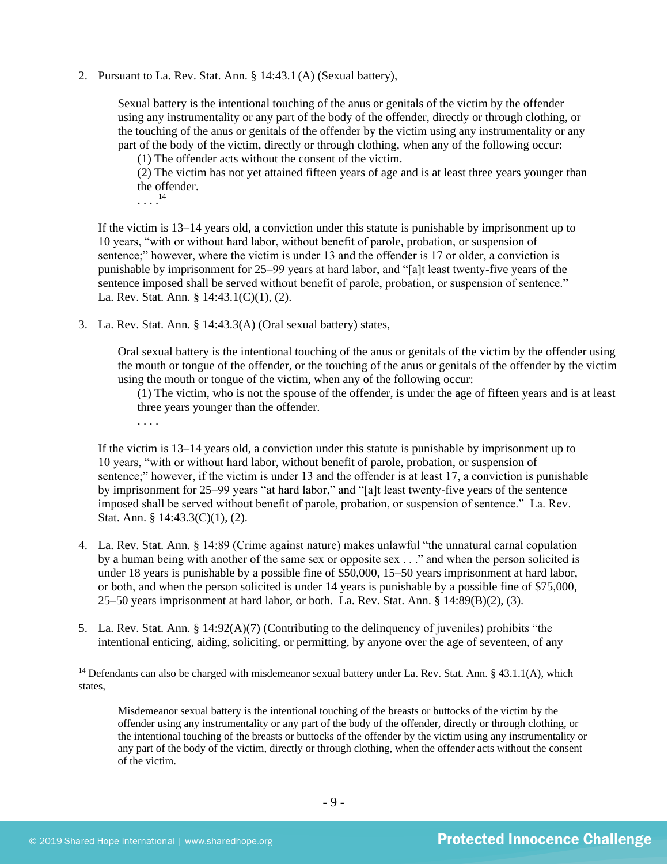2. Pursuant to La. Rev. Stat. Ann. § 14:43.1 (A) (Sexual battery),

Sexual battery is the intentional touching of the anus or genitals of the victim by the offender using any instrumentality or any part of the body of the offender, directly or through clothing, or the touching of the anus or genitals of the offender by the victim using any instrumentality or any part of the body of the victim, directly or through clothing, when any of the following occur:

(1) The offender acts without the consent of the victim.

(2) The victim has not yet attained fifteen years of age and is at least three years younger than the offender.

. . . . 14

. . . .

If the victim is 13–14 years old, a conviction under this statute is punishable by imprisonment up to 10 years, "with or without hard labor, without benefit of parole, probation, or suspension of sentence;" however, where the victim is under 13 and the offender is 17 or older, a conviction is punishable by imprisonment for 25–99 years at hard labor, and "[a]t least twenty-five years of the sentence imposed shall be served without benefit of parole, probation, or suspension of sentence." La. Rev. Stat. Ann. § 14:43.1(C)(1), (2).

3. La. Rev. Stat. Ann. § 14:43.3(A) (Oral sexual battery) states,

Oral sexual battery is the intentional touching of the anus or genitals of the victim by the offender using the mouth or tongue of the offender, or the touching of the anus or genitals of the offender by the victim using the mouth or tongue of the victim, when any of the following occur:

(1) The victim, who is not the spouse of the offender, is under the age of fifteen years and is at least three years younger than the offender.

If the victim is 13–14 years old, a conviction under this statute is punishable by imprisonment up to 10 years, "with or without hard labor, without benefit of parole, probation, or suspension of sentence;" however, if the victim is under 13 and the offender is at least 17, a conviction is punishable by imprisonment for 25–99 years "at hard labor," and "[a]t least twenty-five years of the sentence imposed shall be served without benefit of parole, probation, or suspension of sentence." La. Rev. Stat. Ann. § 14:43.3(C)(1), (2).

- 4. La. Rev. Stat. Ann. § 14:89 (Crime against nature) makes unlawful "the unnatural carnal copulation by a human being with another of the same sex or opposite sex . . ." and when the person solicited is under 18 years is punishable by a possible fine of \$50,000, 15–50 years imprisonment at hard labor, or both, and when the person solicited is under 14 years is punishable by a possible fine of \$75,000,  $25–50$  years imprisonment at hard labor, or both. La. Rev. Stat. Ann. §  $14:89(B)(2)$ ,  $(3)$ .
- 5. La. Rev. Stat. Ann. § 14:92(A)(7) (Contributing to the delinquency of juveniles) prohibits "the intentional enticing, aiding, soliciting, or permitting, by anyone over the age of seventeen, of any

<sup>&</sup>lt;sup>14</sup> Defendants can also be charged with misdemeanor sexual battery under La. Rev. Stat. Ann. § 43.1.1(A), which states,

Misdemeanor sexual battery is the intentional touching of the breasts or buttocks of the victim by the offender using any instrumentality or any part of the body of the offender, directly or through clothing, or the intentional touching of the breasts or buttocks of the offender by the victim using any instrumentality or any part of the body of the victim, directly or through clothing, when the offender acts without the consent of the victim.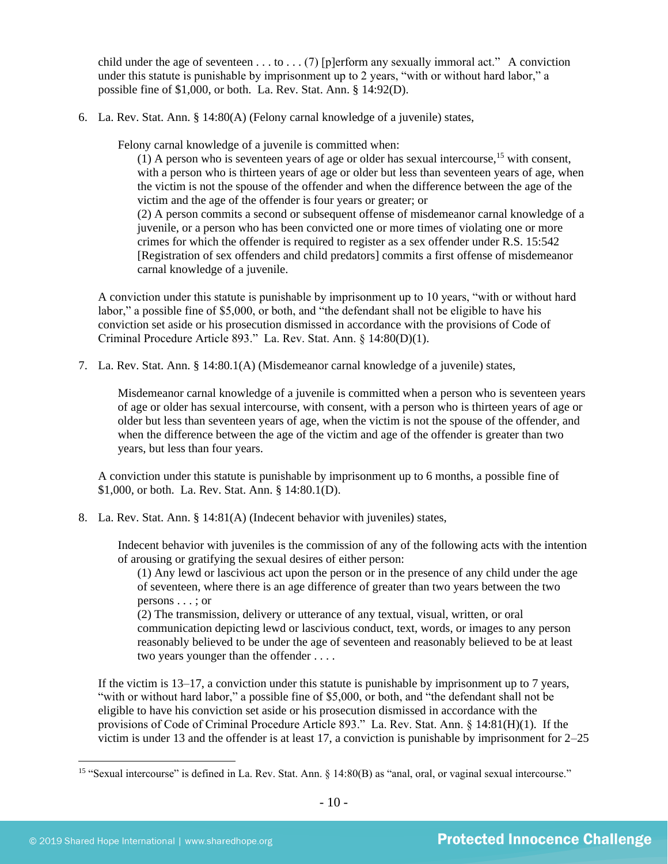child under the age of seventeen  $\dots$  to  $\dots$  (7) [p]erform any sexually immoral act." A conviction under this statute is punishable by imprisonment up to 2 years, "with or without hard labor," a possible fine of \$1,000, or both. La. Rev. Stat. Ann. § 14:92(D).

6. La. Rev. Stat. Ann. § 14:80(A) (Felony carnal knowledge of a juvenile) states,

Felony carnal knowledge of a juvenile is committed when:

(1) A person who is seventeen years of age or older has sexual intercourse,<sup>15</sup> with consent, with a person who is thirteen years of age or older but less than seventeen years of age, when the victim is not the spouse of the offender and when the difference between the age of the victim and the age of the offender is four years or greater; or (2) A person commits a second or subsequent offense of misdemeanor carnal knowledge of a juvenile, or a person who has been convicted one or more times of violating one or more crimes for which the offender is required to register as a sex offender under R.S. 15:542 [Registration of sex offenders and child predators] commits a first offense of misdemeanor carnal knowledge of a juvenile.

A conviction under this statute is punishable by imprisonment up to 10 years, "with or without hard labor," a possible fine of \$5,000, or both, and "the defendant shall not be eligible to have his conviction set aside or his prosecution dismissed in accordance with the provisions of Code of Criminal Procedure Article 893." La. Rev. Stat. Ann. § 14:80(D)(1).

7. La. Rev. Stat. Ann. § 14:80.1(A) (Misdemeanor carnal knowledge of a juvenile) states,

Misdemeanor carnal knowledge of a juvenile is committed when a person who is seventeen years of age or older has sexual intercourse, with consent, with a person who is thirteen years of age or older but less than seventeen years of age, when the victim is not the spouse of the offender, and when the difference between the age of the victim and age of the offender is greater than two years, but less than four years.

A conviction under this statute is punishable by imprisonment up to 6 months, a possible fine of \$1,000, or both. La. Rev. Stat. Ann. § 14:80.1(D).

8. La. Rev. Stat. Ann. § 14:81(A) (Indecent behavior with juveniles) states,

Indecent behavior with juveniles is the commission of any of the following acts with the intention of arousing or gratifying the sexual desires of either person:

(1) Any lewd or lascivious act upon the person or in the presence of any child under the age of seventeen, where there is an age difference of greater than two years between the two persons . . . ; or

(2) The transmission, delivery or utterance of any textual, visual, written, or oral communication depicting lewd or lascivious conduct, text, words, or images to any person reasonably believed to be under the age of seventeen and reasonably believed to be at least two years younger than the offender . . . .

If the victim is 13–17, a conviction under this statute is punishable by imprisonment up to 7 years, "with or without hard labor," a possible fine of \$5,000, or both, and "the defendant shall not be eligible to have his conviction set aside or his prosecution dismissed in accordance with the provisions of Code of Criminal Procedure Article 893." La. Rev. Stat. Ann. § 14:81(H)(1). If the victim is under 13 and the offender is at least 17, a conviction is punishable by imprisonment for 2–25

<sup>&</sup>lt;sup>15</sup> "Sexual intercourse" is defined in La. Rev. Stat. Ann. § 14:80(B) as "anal, oral, or vaginal sexual intercourse."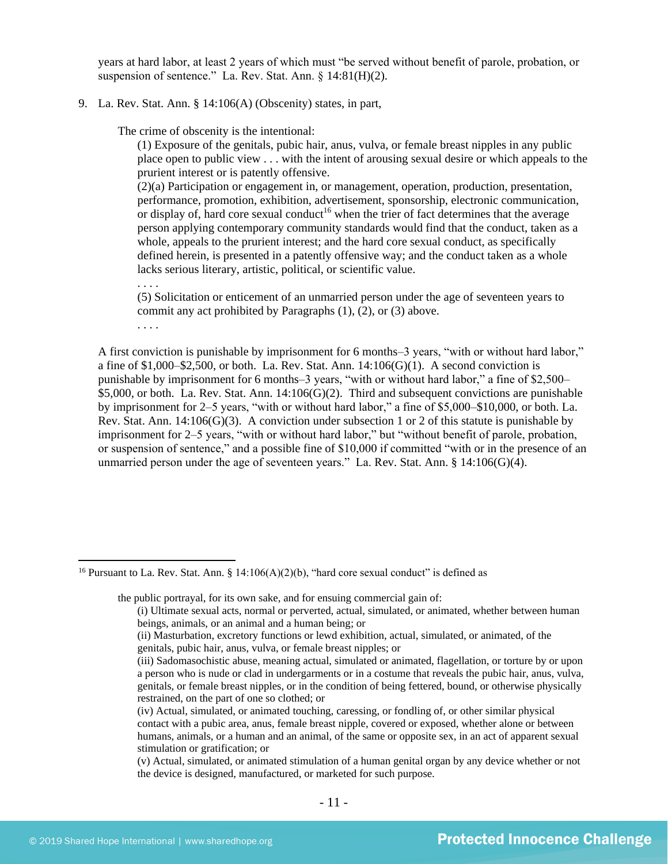years at hard labor, at least 2 years of which must "be served without benefit of parole, probation, or suspension of sentence." La. Rev. Stat. Ann. § 14:81(H)(2).

#### 9. La. Rev. Stat. Ann. § 14:106(A) (Obscenity) states, in part,

The crime of obscenity is the intentional:

(1) Exposure of the genitals, pubic hair, anus, vulva, or female breast nipples in any public place open to public view . . . with the intent of arousing sexual desire or which appeals to the prurient interest or is patently offensive.

(2)(a) Participation or engagement in, or management, operation, production, presentation, performance, promotion, exhibition, advertisement, sponsorship, electronic communication, or display of, hard core sexual conduct<sup>16</sup> when the trier of fact determines that the average person applying contemporary community standards would find that the conduct, taken as a whole, appeals to the prurient interest; and the hard core sexual conduct, as specifically defined herein, is presented in a patently offensive way; and the conduct taken as a whole lacks serious literary, artistic, political, or scientific value.

(5) Solicitation or enticement of an unmarried person under the age of seventeen years to commit any act prohibited by Paragraphs (1), (2), or (3) above.

. . . .

. . . .

A first conviction is punishable by imprisonment for 6 months–3 years, "with or without hard labor," a fine of  $$1,000–$2,500$ , or both. La. Rev. Stat. Ann.  $14:106(G)(1)$ . A second conviction is punishable by imprisonment for 6 months–3 years, "with or without hard labor," a fine of \$2,500– \$5,000, or both. La. Rev. Stat. Ann. 14:106(G)(2). Third and subsequent convictions are punishable by imprisonment for 2–5 years, "with or without hard labor," a fine of \$5,000–\$10,000, or both. La. Rev. Stat. Ann. 14:106(G)(3). A conviction under subsection 1 or 2 of this statute is punishable by imprisonment for 2–5 years, "with or without hard labor," but "without benefit of parole, probation, or suspension of sentence," and a possible fine of \$10,000 if committed "with or in the presence of an unmarried person under the age of seventeen years." La. Rev. Stat. Ann.  $\S$  14:106(G)(4).

the public portrayal, for its own sake, and for ensuing commercial gain of:

<sup>&</sup>lt;sup>16</sup> Pursuant to La. Rev. Stat. Ann. § 14:106(A)(2)(b), "hard core sexual conduct" is defined as

<sup>(</sup>i) Ultimate sexual acts, normal or perverted, actual, simulated, or animated, whether between human beings, animals, or an animal and a human being; or

<sup>(</sup>ii) Masturbation, excretory functions or lewd exhibition, actual, simulated, or animated, of the genitals, pubic hair, anus, vulva, or female breast nipples; or

<sup>(</sup>iii) Sadomasochistic abuse, meaning actual, simulated or animated, flagellation, or torture by or upon a person who is nude or clad in undergarments or in a costume that reveals the pubic hair, anus, vulva, genitals, or female breast nipples, or in the condition of being fettered, bound, or otherwise physically restrained, on the part of one so clothed; or

<sup>(</sup>iv) Actual, simulated, or animated touching, caressing, or fondling of, or other similar physical contact with a pubic area, anus, female breast nipple, covered or exposed, whether alone or between humans, animals, or a human and an animal, of the same or opposite sex, in an act of apparent sexual stimulation or gratification; or

<sup>(</sup>v) Actual, simulated, or animated stimulation of a human genital organ by any device whether or not the device is designed, manufactured, or marketed for such purpose.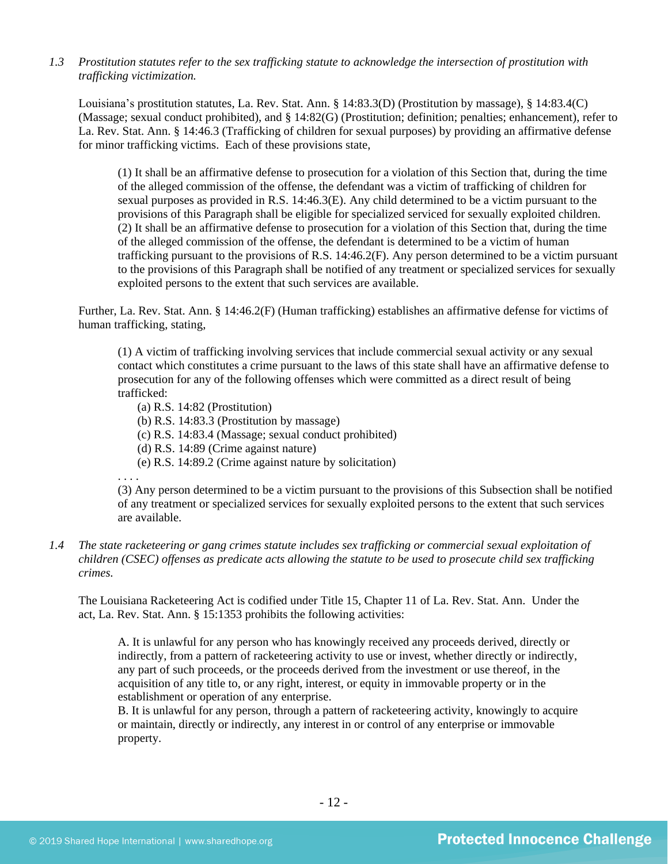*1.3 Prostitution statutes refer to the sex trafficking statute to acknowledge the intersection of prostitution with trafficking victimization.* 

Louisiana's prostitution statutes, La. Rev. Stat. Ann. § 14:83.3(D) (Prostitution by massage), § 14:83.4(C) (Massage; sexual conduct prohibited), and § 14:82(G) (Prostitution; definition; penalties; enhancement), refer to La. Rev. Stat. Ann. § 14:46.3 (Trafficking of children for sexual purposes) by providing an affirmative defense for minor trafficking victims. Each of these provisions state,

(1) It shall be an affirmative defense to prosecution for a violation of this Section that, during the time of the alleged commission of the offense, the defendant was a victim of trafficking of children for sexual purposes as provided in R.S. 14:46.3(E). Any child determined to be a victim pursuant to the provisions of this Paragraph shall be eligible for specialized serviced for sexually exploited children. (2) It shall be an affirmative defense to prosecution for a violation of this Section that, during the time of the alleged commission of the offense, the defendant is determined to be a victim of human trafficking pursuant to the provisions of R.S. 14:46.2(F). Any person determined to be a victim pursuant to the provisions of this Paragraph shall be notified of any treatment or specialized services for sexually exploited persons to the extent that such services are available.

Further, La. Rev. Stat. Ann. § 14:46.2(F) (Human trafficking) establishes an affirmative defense for victims of human trafficking, stating,

(1) A victim of trafficking involving services that include commercial sexual activity or any sexual contact which constitutes a crime pursuant to the laws of this state shall have an affirmative defense to prosecution for any of the following offenses which were committed as a direct result of being trafficked:

(a) R.S. 14:82 (Prostitution)

(b) R.S. 14:83.3 (Prostitution by massage)

(c) R.S. 14:83.4 (Massage; sexual conduct prohibited)

(d) R.S. 14:89 (Crime against nature)

(e) R.S. 14:89.2 (Crime against nature by solicitation)

. . . .

(3) Any person determined to be a victim pursuant to the provisions of this Subsection shall be notified of any treatment or specialized services for sexually exploited persons to the extent that such services are available.

## *1.4 The state racketeering or gang crimes statute includes sex trafficking or commercial sexual exploitation of children (CSEC) offenses as predicate acts allowing the statute to be used to prosecute child sex trafficking crimes.*

The Louisiana Racketeering Act is codified under Title 15, Chapter 11 of La. Rev. Stat. Ann. Under the act, La. Rev. Stat. Ann. § 15:1353 prohibits the following activities:

A. It is unlawful for any person who has knowingly received any proceeds derived, directly or indirectly, from a pattern of racketeering activity to use or invest, whether directly or indirectly, any part of such proceeds, or the proceeds derived from the investment or use thereof, in the acquisition of any title to, or any right, interest, or equity in immovable property or in the establishment or operation of any enterprise.

B. It is unlawful for any person, through a pattern of racketeering activity, knowingly to acquire or maintain, directly or indirectly, any interest in or control of any enterprise or immovable property.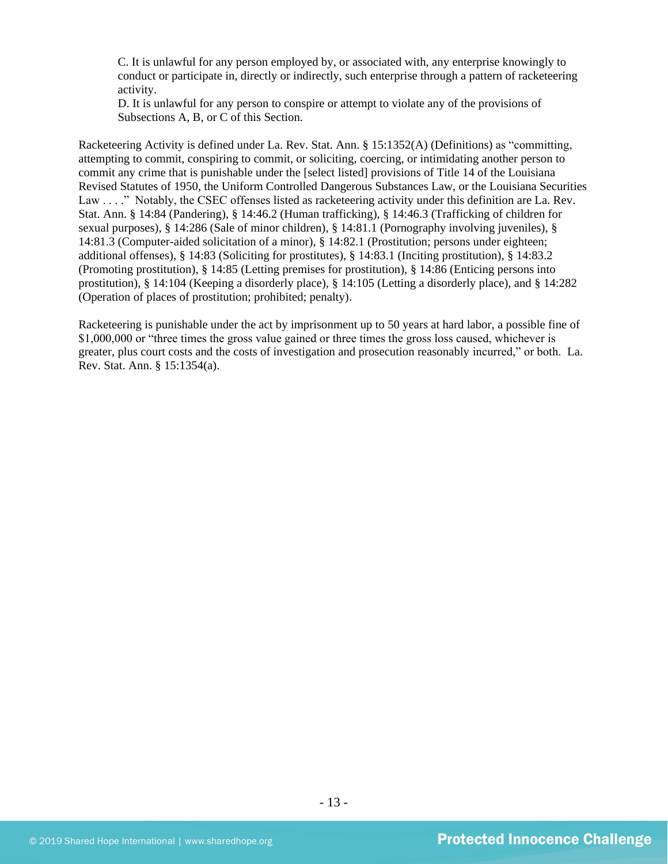C. It is unlawful for any person employed by, or associated with, any enterprise knowingly to conduct or participate in, directly or indirectly, such enterprise through a pattern of racketeering activity.

D. It is unlawful for any person to conspire or attempt to violate any of the provisions of Subsections A, B, or C of this Section.

Racketeering Activity is defined under La. Rev. Stat. Ann. § 15:1352(A) (Definitions) as "committing, attempting to commit, conspiring to commit, or soliciting, coercing, or intimidating another person to commit any crime that is punishable under the [select listed] provisions of Title 14 of the Louisiana Revised Statutes of 1950, the Uniform Controlled Dangerous Substances Law, or the Louisiana Securities Law . . . ." Notably, the CSEC offenses listed as racketeering activity under this definition are La. Rev. Stat. Ann. § 14:84 (Pandering), § 14:46.2 (Human trafficking), § 14:46.3 (Trafficking of children for sexual purposes), § 14:286 (Sale of minor children), § 14:81.1 (Pornography involving juveniles), § 14:81.3 (Computer-aided solicitation of a minor), § 14:82.1 (Prostitution; persons under eighteen; additional offenses), § 14:83 (Soliciting for prostitutes), § 14:83.1 (Inciting prostitution), § 14:83.2 (Promoting prostitution), § 14:85 (Letting premises for prostitution), § 14:86 (Enticing persons into prostitution), § 14:104 (Keeping a disorderly place), § 14:105 (Letting a disorderly place), and § 14:282 (Operation of places of prostitution; prohibited; penalty).

Racketeering is punishable under the act by imprisonment up to 50 years at hard labor, a possible fine of \$1,000,000 or "three times the gross value gained or three times the gross loss caused, whichever is greater, plus court costs and the costs of investigation and prosecution reasonably incurred," or both. La. Rev. Stat. Ann. § 15:1354(a).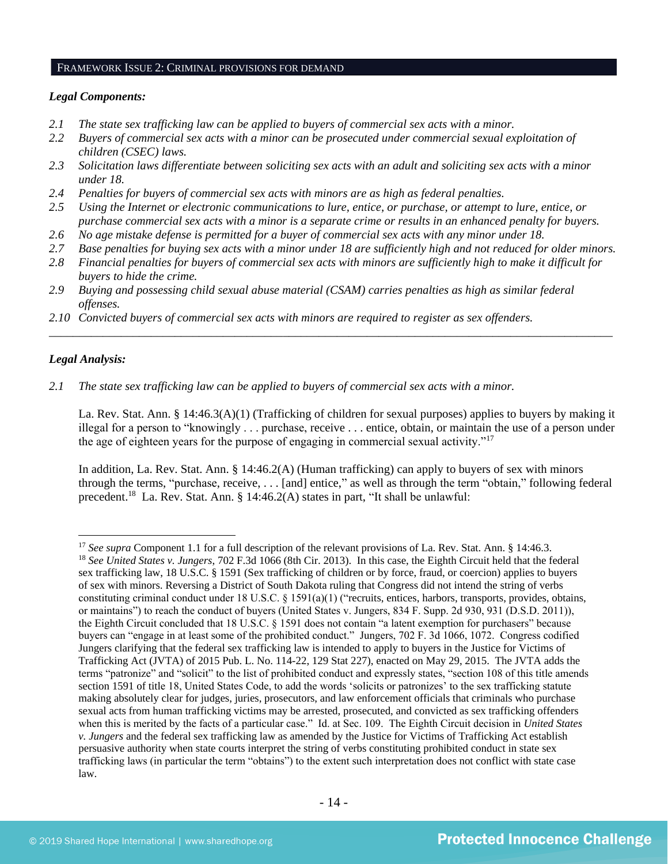## FRAMEWORK ISSUE 2: CRIMINAL PROVISIONS FOR DEMAND

#### *Legal Components:*

- *2.1 The state sex trafficking law can be applied to buyers of commercial sex acts with a minor.*
- *2.2 Buyers of commercial sex acts with a minor can be prosecuted under commercial sexual exploitation of children (CSEC) laws.*
- *2.3 Solicitation laws differentiate between soliciting sex acts with an adult and soliciting sex acts with a minor under 18.*
- *2.4 Penalties for buyers of commercial sex acts with minors are as high as federal penalties.*
- *2.5 Using the Internet or electronic communications to lure, entice, or purchase, or attempt to lure, entice, or purchase commercial sex acts with a minor is a separate crime or results in an enhanced penalty for buyers.*
- *2.6 No age mistake defense is permitted for a buyer of commercial sex acts with any minor under 18.*
- *2.7 Base penalties for buying sex acts with a minor under 18 are sufficiently high and not reduced for older minors.*
- *2.8 Financial penalties for buyers of commercial sex acts with minors are sufficiently high to make it difficult for buyers to hide the crime.*

\_\_\_\_\_\_\_\_\_\_\_\_\_\_\_\_\_\_\_\_\_\_\_\_\_\_\_\_\_\_\_\_\_\_\_\_\_\_\_\_\_\_\_\_\_\_\_\_\_\_\_\_\_\_\_\_\_\_\_\_\_\_\_\_\_\_\_\_\_\_\_\_\_\_\_\_\_\_\_\_\_\_\_\_\_\_\_\_\_\_\_\_\_\_

- *2.9 Buying and possessing child sexual abuse material (CSAM) carries penalties as high as similar federal offenses.*
- *2.10 Convicted buyers of commercial sex acts with minors are required to register as sex offenders.*

#### *Legal Analysis:*

*2.1 The state sex trafficking law can be applied to buyers of commercial sex acts with a minor.*

La. Rev. Stat. Ann. § 14:46.3(A)(1) (Trafficking of children for sexual purposes) applies to buyers by making it illegal for a person to "knowingly . . . purchase, receive . . . entice, obtain, or maintain the use of a person under the age of eighteen years for the purpose of engaging in commercial sexual activity."<sup>17</sup>

In addition, La. Rev. Stat. Ann. § 14:46.2(A) (Human trafficking) can apply to buyers of sex with minors through the terms, "purchase, receive, . . . [and] entice," as well as through the term "obtain," following federal precedent.<sup>18</sup> La. Rev. Stat. Ann. § 14:46.2(A) states in part, "It shall be unlawful:

<sup>&</sup>lt;sup>17</sup> *See supra* Component 1.1 for a full description of the relevant provisions of La. Rev. Stat. Ann. § 14:46.3. <sup>18</sup> *See United States v. Jungers*, 702 F.3d 1066 (8th Cir. 2013). In this case, the Eighth Circuit held that the federal sex trafficking law, 18 U.S.C. § 1591 (Sex trafficking of children or by force, fraud, or coercion) applies to buyers of sex with minors. Reversing a District of South Dakota ruling that Congress did not intend the string of verbs constituting criminal conduct under 18 U.S.C. § 1591(a)(1) ("recruits, entices, harbors, transports, provides, obtains, or maintains") to reach the conduct of buyers (United States v. Jungers, 834 F. Supp. 2d 930, 931 (D.S.D. 2011)), the Eighth Circuit concluded that 18 U.S.C. § 1591 does not contain "a latent exemption for purchasers" because buyers can "engage in at least some of the prohibited conduct." Jungers, 702 F. 3d 1066, 1072. Congress codified Jungers clarifying that the federal sex trafficking law is intended to apply to buyers in the Justice for Victims of Trafficking Act (JVTA) of 2015 Pub. L. No. 114-22, 129 Stat 227), enacted on May 29, 2015. The JVTA adds the terms "patronize" and "solicit" to the list of prohibited conduct and expressly states, "section 108 of this title amends section 1591 of title 18, United States Code, to add the words 'solicits or patronizes' to the sex trafficking statute making absolutely clear for judges, juries, prosecutors, and law enforcement officials that criminals who purchase sexual acts from human trafficking victims may be arrested, prosecuted, and convicted as sex trafficking offenders when this is merited by the facts of a particular case." Id. at Sec. 109. The Eighth Circuit decision in *United States v. Jungers* and the federal sex trafficking law as amended by the Justice for Victims of Trafficking Act establish persuasive authority when state courts interpret the string of verbs constituting prohibited conduct in state sex trafficking laws (in particular the term "obtains") to the extent such interpretation does not conflict with state case law.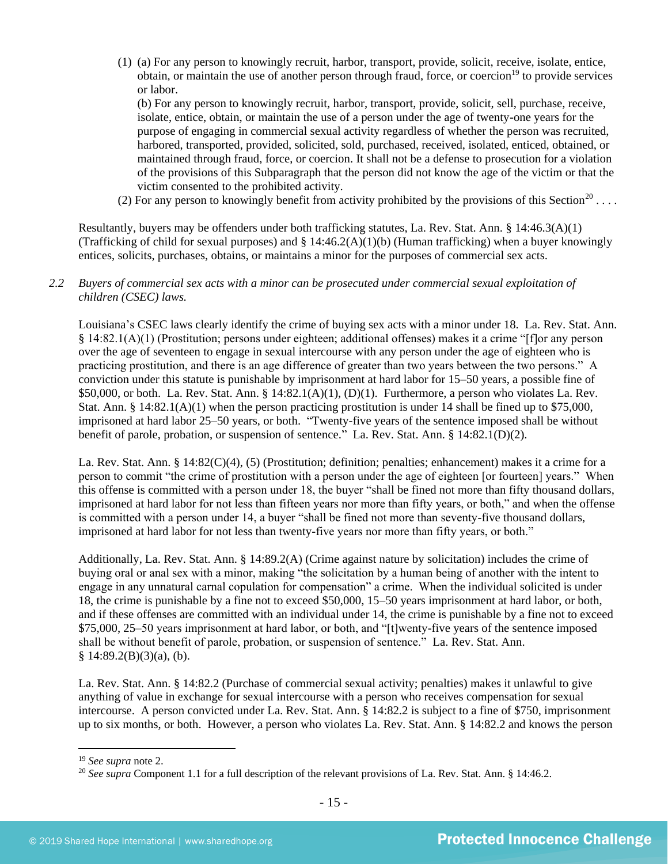(1) (a) For any person to knowingly recruit, harbor, transport, provide, solicit, receive, isolate, entice, obtain, or maintain the use of another person through fraud, force, or coercion<sup>19</sup> to provide services or labor.

(b) For any person to knowingly recruit, harbor, transport, provide, solicit, sell, purchase, receive, isolate, entice, obtain, or maintain the use of a person under the age of twenty-one years for the purpose of engaging in commercial sexual activity regardless of whether the person was recruited, harbored, transported, provided, solicited, sold, purchased, received, isolated, enticed, obtained, or maintained through fraud, force, or coercion. It shall not be a defense to prosecution for a violation of the provisions of this Subparagraph that the person did not know the age of the victim or that the victim consented to the prohibited activity.

(2) For any person to knowingly benefit from activity prohibited by the provisions of this Section<sup>20</sup>...

Resultantly, buyers may be offenders under both trafficking statutes, La. Rev. Stat. Ann. § 14:46.3(A)(1) (Trafficking of child for sexual purposes) and  $\S 14:46.2(A)(1)(b)$  (Human trafficking) when a buyer knowingly entices, solicits, purchases, obtains, or maintains a minor for the purposes of commercial sex acts.

## *2.2 Buyers of commercial sex acts with a minor can be prosecuted under commercial sexual exploitation of children (CSEC) laws.*

Louisiana's CSEC laws clearly identify the crime of buying sex acts with a minor under 18. La. Rev. Stat. Ann. § 14:82.1(A)(1) (Prostitution; persons under eighteen; additional offenses) makes it a crime "[f]or any person over the age of seventeen to engage in sexual intercourse with any person under the age of eighteen who is practicing prostitution, and there is an age difference of greater than two years between the two persons." A conviction under this statute is punishable by imprisonment at hard labor for 15–50 years, a possible fine of \$50,000, or both. La. Rev. Stat. Ann. §  $14:82.1(A)(1)$ ,  $(D)(1)$ . Furthermore, a person who violates La. Rev. Stat. Ann. § 14:82.1(A)(1) when the person practicing prostitution is under 14 shall be fined up to \$75,000, imprisoned at hard labor 25–50 years, or both. "Twenty-five years of the sentence imposed shall be without benefit of parole, probation, or suspension of sentence." La. Rev. Stat. Ann. § 14:82.1(D)(2).

La. Rev. Stat. Ann. § 14:82(C)(4), (5) (Prostitution; definition; penalties; enhancement) makes it a crime for a person to commit "the crime of prostitution with a person under the age of eighteen [or fourteen] years." When this offense is committed with a person under 18, the buyer "shall be fined not more than fifty thousand dollars, imprisoned at hard labor for not less than fifteen years nor more than fifty years, or both," and when the offense is committed with a person under 14, a buyer "shall be fined not more than seventy-five thousand dollars, imprisoned at hard labor for not less than twenty-five years nor more than fifty years, or both."

Additionally, La. Rev. Stat. Ann. § 14:89.2(A) (Crime against nature by solicitation) includes the crime of buying oral or anal sex with a minor, making "the solicitation by a human being of another with the intent to engage in any unnatural carnal copulation for compensation" a crime. When the individual solicited is under 18, the crime is punishable by a fine not to exceed \$50,000, 15–50 years imprisonment at hard labor, or both, and if these offenses are committed with an individual under 14, the crime is punishable by a fine not to exceed \$75,000, 25–50 years imprisonment at hard labor, or both, and "[t]wenty-five years of the sentence imposed shall be without benefit of parole, probation, or suspension of sentence." La. Rev. Stat. Ann.  $§ 14:89.2(B)(3)(a)$ , (b).

La. Rev. Stat. Ann. § 14:82.2 (Purchase of commercial sexual activity; penalties) makes it unlawful to give anything of value in exchange for sexual intercourse with a person who receives compensation for sexual intercourse. A person convicted under La. Rev. Stat. Ann. § 14:82.2 is subject to a fine of \$750, imprisonment up to six months, or both. However, a person who violates La. Rev. Stat. Ann. § 14:82.2 and knows the person

<sup>19</sup> *See supra* note [2.](#page-0-0)

<sup>&</sup>lt;sup>20</sup> See supra Component 1.1 for a full description of the relevant provisions of La. Rev. Stat. Ann. § 14:46.2.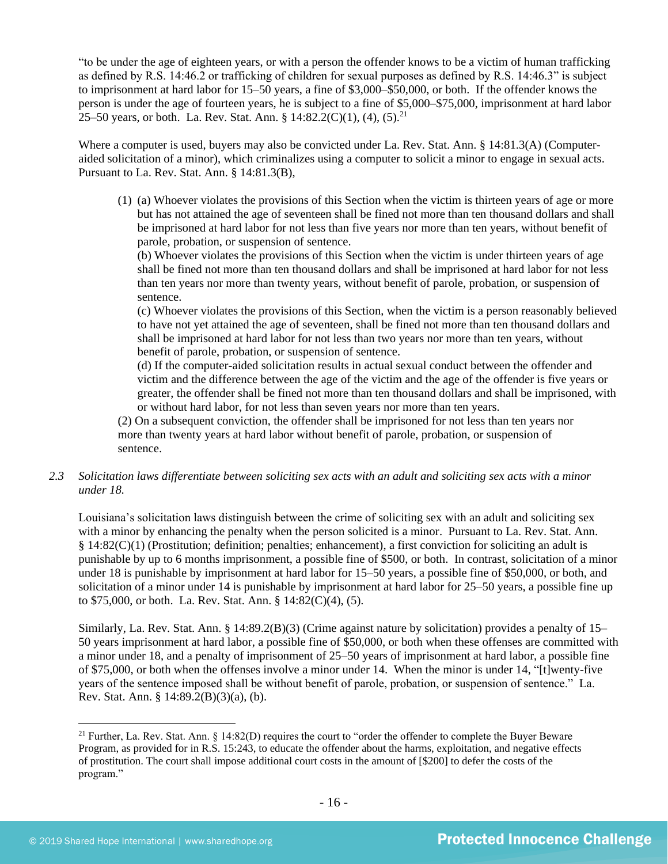"to be under the age of eighteen years, or with a person the offender knows to be a victim of human trafficking as defined by R.S. 14:46.2 or trafficking of children for sexual purposes as defined by R.S. 14:46.3" is subject to imprisonment at hard labor for 15–50 years, a fine of \$3,000–\$50,000, or both. If the offender knows the person is under the age of fourteen years, he is subject to a fine of \$5,000–\$75,000, imprisonment at hard labor 25–50 years, or both. La. Rev. Stat. Ann. § 14:82.2(C)(1), (4), (5).<sup>21</sup>

Where a computer is used, buyers may also be convicted under La. Rev. Stat. Ann. § 14:81.3(A) (Computeraided solicitation of a minor), which criminalizes using a computer to solicit a minor to engage in sexual acts. Pursuant to La. Rev. Stat. Ann. § 14:81.3(B),

(1) (a) Whoever violates the provisions of this Section when the victim is thirteen years of age or more but has not attained the age of seventeen shall be fined not more than ten thousand dollars and shall be imprisoned at hard labor for not less than five years nor more than ten years, without benefit of parole, probation, or suspension of sentence.

(b) Whoever violates the provisions of this Section when the victim is under thirteen years of age shall be fined not more than ten thousand dollars and shall be imprisoned at hard labor for not less than ten years nor more than twenty years, without benefit of parole, probation, or suspension of sentence.

(c) Whoever violates the provisions of this Section, when the victim is a person reasonably believed to have not yet attained the age of seventeen, shall be fined not more than ten thousand dollars and shall be imprisoned at hard labor for not less than two years nor more than ten years, without benefit of parole, probation, or suspension of sentence.

(d) If the computer-aided solicitation results in actual sexual conduct between the offender and victim and the difference between the age of the victim and the age of the offender is five years or greater, the offender shall be fined not more than ten thousand dollars and shall be imprisoned, with or without hard labor, for not less than seven years nor more than ten years.

(2) On a subsequent conviction, the offender shall be imprisoned for not less than ten years nor more than twenty years at hard labor without benefit of parole, probation, or suspension of sentence.

*2.3 Solicitation laws differentiate between soliciting sex acts with an adult and soliciting sex acts with a minor under 18.*

Louisiana's solicitation laws distinguish between the crime of soliciting sex with an adult and soliciting sex with a minor by enhancing the penalty when the person solicited is a minor. Pursuant to La. Rev. Stat. Ann. § 14:82(C)(1) (Prostitution; definition; penalties; enhancement), a first conviction for soliciting an adult is punishable by up to 6 months imprisonment, a possible fine of \$500, or both. In contrast, solicitation of a minor under 18 is punishable by imprisonment at hard labor for 15–50 years, a possible fine of \$50,000, or both, and solicitation of a minor under 14 is punishable by imprisonment at hard labor for 25–50 years, a possible fine up to \$75,000, or both. La. Rev. Stat. Ann. § 14:82(C)(4), (5).

Similarly, La. Rev. Stat. Ann. § 14:89.2(B)(3) (Crime against nature by solicitation) provides a penalty of 15– 50 years imprisonment at hard labor, a possible fine of \$50,000, or both when these offenses are committed with a minor under 18, and a penalty of imprisonment of 25–50 years of imprisonment at hard labor, a possible fine of \$75,000, or both when the offenses involve a minor under 14. When the minor is under 14, "[t]wenty-five years of the sentence imposed shall be without benefit of parole, probation, or suspension of sentence." La. Rev. Stat. Ann. § 14:89.2(B)(3)(a), (b).

<sup>&</sup>lt;sup>21</sup> Further, La. Rev. Stat. Ann. § 14:82(D) requires the court to "order the offender to complete the Buyer Beware Program, as provided for in R.S. 15:243, to educate the offender about the harms, exploitation, and negative effects of prostitution. The court shall impose additional court costs in the amount of [\$200] to defer the costs of the program."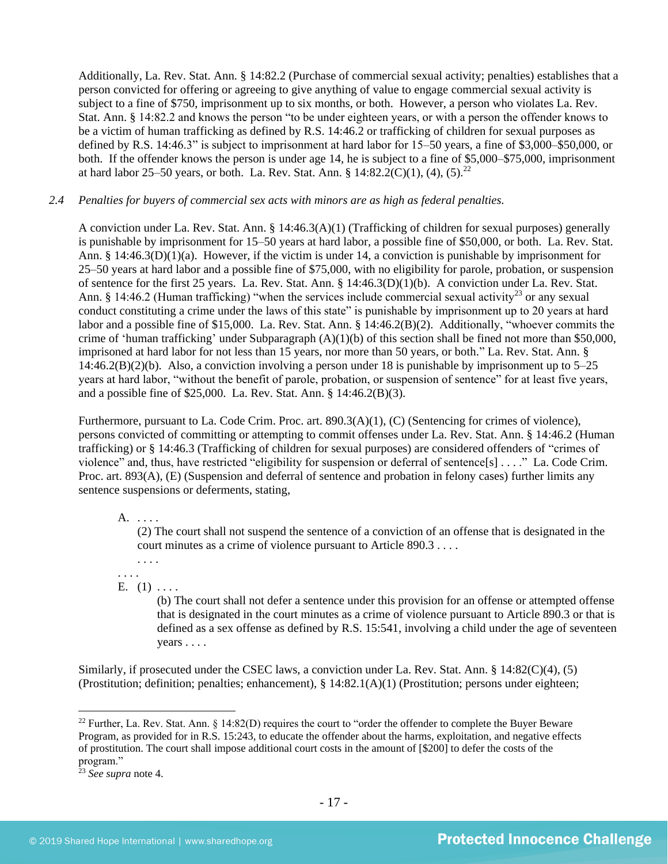Additionally, La. Rev. Stat. Ann. § 14:82.2 (Purchase of commercial sexual activity; penalties) establishes that a person convicted for offering or agreeing to give anything of value to engage commercial sexual activity is subject to a fine of \$750, imprisonment up to six months, or both. However, a person who violates La. Rev. Stat. Ann. § 14:82.2 and knows the person "to be under eighteen years, or with a person the offender knows to be a victim of human trafficking as defined by R.S. 14:46.2 or trafficking of children for sexual purposes as defined by R.S. 14:46.3" is subject to imprisonment at hard labor for 15–50 years, a fine of \$3,000–\$50,000, or both. If the offender knows the person is under age 14, he is subject to a fine of \$5,000–\$75,000, imprisonment at hard labor 25–50 years, or both. La. Rev. Stat. Ann. §  $14:82.2(C)(1)$ ,  $(4)$ ,  $(5)$ .<sup>22</sup>

## *2.4 Penalties for buyers of commercial sex acts with minors are as high as federal penalties.*

A conviction under La. Rev. Stat. Ann. § 14:46.3(A)(1) (Trafficking of children for sexual purposes) generally is punishable by imprisonment for 15–50 years at hard labor, a possible fine of \$50,000, or both. La. Rev. Stat. Ann. § 14:46.3(D)(1)(a). However, if the victim is under 14, a conviction is punishable by imprisonment for 25–50 years at hard labor and a possible fine of \$75,000, with no eligibility for parole, probation, or suspension of sentence for the first 25 years. La. Rev. Stat. Ann. § 14:46.3(D)(1)(b). A conviction under La. Rev. Stat. Ann. § 14:46.2 (Human trafficking) "when the services include commercial sexual activity<sup>23</sup> or any sexual conduct constituting a crime under the laws of this state" is punishable by imprisonment up to 20 years at hard labor and a possible fine of \$15,000. La. Rev. Stat. Ann. § 14:46.2(B)(2). Additionally, "whoever commits the crime of 'human trafficking' under Subparagraph  $(A)(1)(b)$  of this section shall be fined not more than \$50,000, imprisoned at hard labor for not less than 15 years, nor more than 50 years, or both." La. Rev. Stat. Ann. §  $14:46.2(B)(2)(b)$ . Also, a conviction involving a person under 18 is punishable by imprisonment up to  $5-25$ years at hard labor, "without the benefit of parole, probation, or suspension of sentence" for at least five years, and a possible fine of \$25,000. La. Rev. Stat. Ann. § 14:46.2(B)(3).

Furthermore, pursuant to La. Code Crim. Proc. art. 890.3(A)(1), (C) (Sentencing for crimes of violence), persons convicted of committing or attempting to commit offenses under La. Rev. Stat. Ann. § 14:46.2 (Human trafficking) or § 14:46.3 (Trafficking of children for sexual purposes) are considered offenders of "crimes of violence" and, thus, have restricted "eligibility for suspension or deferral of sentence[s] . . . ." La. Code Crim. Proc. art. 893(A), (E) (Suspension and deferral of sentence and probation in felony cases) further limits any sentence suspensions or deferments, stating,

#### A. . . . .

(2) The court shall not suspend the sentence of a conviction of an offense that is designated in the court minutes as a crime of violence pursuant to Article 890.3 . . . .

. . . . . . . .

## E.  $(1) \ldots$

(b) The court shall not defer a sentence under this provision for an offense or attempted offense that is designated in the court minutes as a crime of violence pursuant to Article 890.3 or that is defined as a sex offense as defined by R.S. 15:541, involving a child under the age of seventeen years . . . .

Similarly, if prosecuted under the CSEC laws, a conviction under La. Rev. Stat. Ann. § 14:82(C)(4), (5) (Prostitution; definition; penalties; enhancement), § 14:82.1(A)(1) (Prostitution; persons under eighteen;

<sup>&</sup>lt;sup>22</sup> Further, La. Rev. Stat. Ann.  $\S$  14:82(D) requires the court to "order the offender to complete the Buyer Beware Program, as provided for in R.S. 15:243, to educate the offender about the harms, exploitation, and negative effects of prostitution. The court shall impose additional court costs in the amount of [\$200] to defer the costs of the program."

<sup>23</sup> *See supra* note [4.](#page-1-0)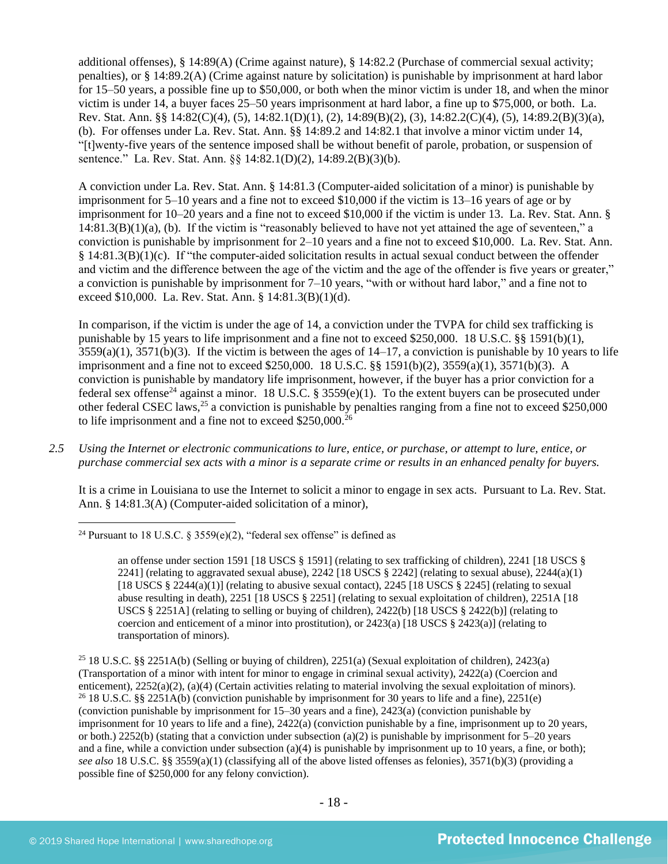additional offenses), § 14:89(A) (Crime against nature), § 14:82.2 (Purchase of commercial sexual activity; penalties), or § 14:89.2(A) (Crime against nature by solicitation) is punishable by imprisonment at hard labor for 15–50 years, a possible fine up to \$50,000, or both when the minor victim is under 18, and when the minor victim is under 14, a buyer faces 25–50 years imprisonment at hard labor, a fine up to \$75,000, or both. La. Rev. Stat. Ann. §§ 14:82(C)(4), (5), 14:82.1(D)(1), (2), 14:89(B)(2), (3), 14:82.2(C)(4), (5), 14:89.2(B)(3)(a), (b). For offenses under La. Rev. Stat. Ann. §§ 14:89.2 and 14:82.1 that involve a minor victim under 14, "[t]wenty-five years of the sentence imposed shall be without benefit of parole, probation, or suspension of sentence." La. Rev. Stat. Ann. §§ 14:82.1(D)(2), 14:89.2(B)(3)(b).

A conviction under La. Rev. Stat. Ann. § 14:81.3 (Computer-aided solicitation of a minor) is punishable by imprisonment for 5–10 years and a fine not to exceed \$10,000 if the victim is 13–16 years of age or by imprisonment for 10–20 years and a fine not to exceed \$10,000 if the victim is under 13. La. Rev. Stat. Ann. § 14:81.3(B)(1)(a), (b). If the victim is "reasonably believed to have not yet attained the age of seventeen," a conviction is punishable by imprisonment for 2–10 years and a fine not to exceed \$10,000. La. Rev. Stat. Ann. § 14:81.3(B)(1)(c). If "the computer-aided solicitation results in actual sexual conduct between the offender and victim and the difference between the age of the victim and the age of the offender is five years or greater," a conviction is punishable by imprisonment for 7–10 years, "with or without hard labor," and a fine not to exceed \$10,000. La. Rev. Stat. Ann. § 14:81.3(B)(1)(d).

<span id="page-17-0"></span>In comparison, if the victim is under the age of 14, a conviction under the TVPA for child sex trafficking is punishable by 15 years to life imprisonment and a fine not to exceed \$250,000. 18 U.S.C. §§ 1591(b)(1),  $3559(a)(1)$ ,  $3571(b)(3)$ . If the victim is between the ages of  $14-17$ , a conviction is punishable by 10 years to life imprisonment and a fine not to exceed \$250,000. 18 U.S.C. §§ 1591(b)(2), 3559(a)(1), 3571(b)(3). A conviction is punishable by mandatory life imprisonment, however, if the buyer has a prior conviction for a federal sex offense<sup>24</sup> against a minor. 18 U.S.C. § 3559(e)(1). To the extent buyers can be prosecuted under other federal CSEC laws,<sup>25</sup> a conviction is punishable by penalties ranging from a fine not to exceed \$250,000 to life imprisonment and a fine not to exceed  $$250,000.<sup>26</sup>$ 

*2.5 Using the Internet or electronic communications to lure, entice, or purchase, or attempt to lure, entice, or purchase commercial sex acts with a minor is a separate crime or results in an enhanced penalty for buyers.*

It is a crime in Louisiana to use the Internet to solicit a minor to engage in sex acts. Pursuant to La. Rev. Stat. Ann. § 14:81.3(A) (Computer-aided solicitation of a minor),

<sup>&</sup>lt;sup>24</sup> Pursuant to 18 U.S.C. § 3559(e)(2), "federal sex offense" is defined as

an offense under section 1591 [18 USCS § 1591] (relating to sex trafficking of children), 2241 [18 USCS § 2241] (relating to aggravated sexual abuse), 2242 [18 USCS  $\S$  2242] (relating to sexual abuse), 2244(a)(1) [18 USCS  $\S$  2244(a)(1)] (relating to abusive sexual contact), 2245 [18 USCS  $\S$  2245] (relating to sexual abuse resulting in death), 2251 [18 USCS § 2251] (relating to sexual exploitation of children), 2251A [18 USCS § 2251A] (relating to selling or buying of children), 2422(b) [18 USCS § 2422(b)] (relating to coercion and enticement of a minor into prostitution), or  $2423(a)$  [18 USCS §  $2423(a)$ ] (relating to transportation of minors).

<sup>25</sup> 18 U.S.C. §§ 2251A(b) (Selling or buying of children), 2251(a) (Sexual exploitation of children), 2423(a) (Transportation of a minor with intent for minor to engage in criminal sexual activity), 2422(a) (Coercion and enticement), 2252(a)(2), (a)(4) (Certain activities relating to material involving the sexual exploitation of minors). <sup>26</sup> 18 U.S.C. §§ 2251A(b) (conviction punishable by imprisonment for 30 years to life and a fine), 2251(e) (conviction punishable by imprisonment for 15–30 years and a fine), 2423(a) (conviction punishable by imprisonment for 10 years to life and a fine), 2422(a) (conviction punishable by a fine, imprisonment up to 20 years, or both.) 2252(b) (stating that a conviction under subsection (a)(2) is punishable by imprisonment for  $5-20$  years and a fine, while a conviction under subsection (a)(4) is punishable by imprisonment up to 10 years, a fine, or both); *see also* 18 U.S.C. §§ 3559(a)(1) (classifying all of the above listed offenses as felonies), 3571(b)(3) (providing a possible fine of \$250,000 for any felony conviction).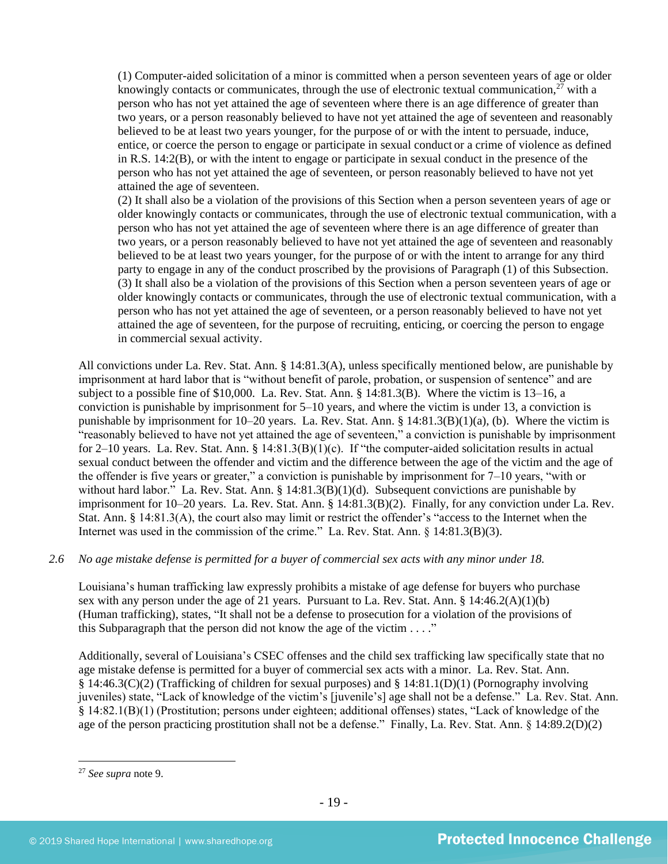(1) Computer-aided solicitation of a minor is committed when a person seventeen years of age or older knowingly contacts or communicates, through the use of electronic textual communication,  $2^7$  with a person who has not yet attained the age of seventeen where there is an age difference of greater than two years, or a person reasonably believed to have not yet attained the age of seventeen and reasonably believed to be at least two years younger, for the purpose of or with the intent to persuade, induce, entice, or coerce the person to engage or participate in sexual conduct or a crime of violence as defined in [R.S. 14:2\(B\),](https://www.lexis.com/research/buttonTFLink?_m=99d0f5a773918e7181bbcf01552bc950&_xfercite=%3ccite%20cc%3d%22USA%22%3e%3c%21%5bCDATA%5bLa.%20R.S.%2014%3a81.2%5d%5d%3e%3c%2fcite%3e&_butType=4&_butStat=0&_butNum=5&_butInline=1&_butinfo=LACODE%2015%3a539.1&_fmtstr=FULL&docnum=1&_startdoc=1&wchp=dGLzVlz-zSkAA&_md5=dbb10adb6468eeda4d3d1f1bc675eee1) or with the intent to engage or participate in sexual conduct in the presence of the person who has not yet attained the age of seventeen, or person reasonably believed to have not yet attained the age of seventeen.

(2) It shall also be a violation of the provisions of this Section when a person seventeen years of age or older knowingly contacts or communicates, through the use of electronic textual communication, with a person who has not yet attained the age of seventeen where there is an age difference of greater than two years, or a person reasonably believed to have not yet attained the age of seventeen and reasonably believed to be at least two years younger, for the purpose of or with the intent to arrange for any third party to engage in any of the conduct proscribed by the provisions of Paragraph (1) of this Subsection. (3) It shall also be a violation of the provisions of this Section when a person seventeen years of age or older knowingly contacts or communicates, through the use of electronic textual communication, with a person who has not yet attained the age of seventeen, or a person reasonably believed to have not yet attained the age of seventeen, for the purpose of recruiting, enticing, or coercing the person to engage in commercial sexual activity.

All convictions under La. Rev. Stat. Ann. § 14:81.3(A), unless specifically mentioned below, are punishable by imprisonment at hard labor that is "without benefit of parole, probation, or suspension of sentence" and are subject to a possible fine of \$10,000. La. Rev. Stat. Ann. § 14:81.3(B). Where the victim is 13–16, a conviction is punishable by imprisonment for 5–10 years, and where the victim is under 13, a conviction is punishable by imprisonment for 10–20 years. La. Rev. Stat. Ann. § 14:81.3(B)(1)(a), (b). Where the victim is "reasonably believed to have not yet attained the age of seventeen," a conviction is punishable by imprisonment for 2–10 years. La. Rev. Stat. Ann. §  $14:81.3(B)(1)(c)$ . If "the computer-aided solicitation results in actual sexual conduct between the offender and victim and the difference between the age of the victim and the age of the offender is five years or greater," a conviction is punishable by imprisonment for 7–10 years, "with or without hard labor." La. Rev. Stat. Ann. § 14:81.3(B)(1)(d). Subsequent convictions are punishable by imprisonment for 10–20 years. La. Rev. Stat. Ann. § 14:81.3(B)(2). Finally, for any conviction under La. Rev. Stat. Ann. § 14:81.3(A), the court also may limit or restrict the offender's "access to the Internet when the Internet was used in the commission of the crime." La. Rev. Stat. Ann. § 14:81.3(B)(3).

## *2.6 No age mistake defense is permitted for a buyer of commercial sex acts with any minor under 18.*

Louisiana's human trafficking law expressly prohibits a mistake of age defense for buyers who purchase sex with any person under the age of 21 years. Pursuant to La. Rev. Stat. Ann. § 14:46.2(A)(1)(b) (Human trafficking), states, "It shall not be a defense to prosecution for a violation of the provisions of this Subparagraph that the person did not know the age of the victim  $\dots$ ."

Additionally, several of Louisiana's CSEC offenses and the child sex trafficking law specifically state that no age mistake defense is permitted for a buyer of commercial sex acts with a minor. La. Rev. Stat. Ann. § 14:46.3(C)(2) (Trafficking of children for sexual purposes) and § 14:81.1(D)(1) (Pornography involving juveniles) state, "Lack of knowledge of the victim's [juvenile's] age shall not be a defense." La. Rev. Stat. Ann. § 14:82.1(B)(1) (Prostitution; persons under eighteen; additional offenses) states, "Lack of knowledge of the age of the person practicing prostitution shall not be a defense." Finally, La. Rev. Stat. Ann. § 14:89.2(D)(2)

<sup>27</sup> *See supra* note [9.](#page-4-0)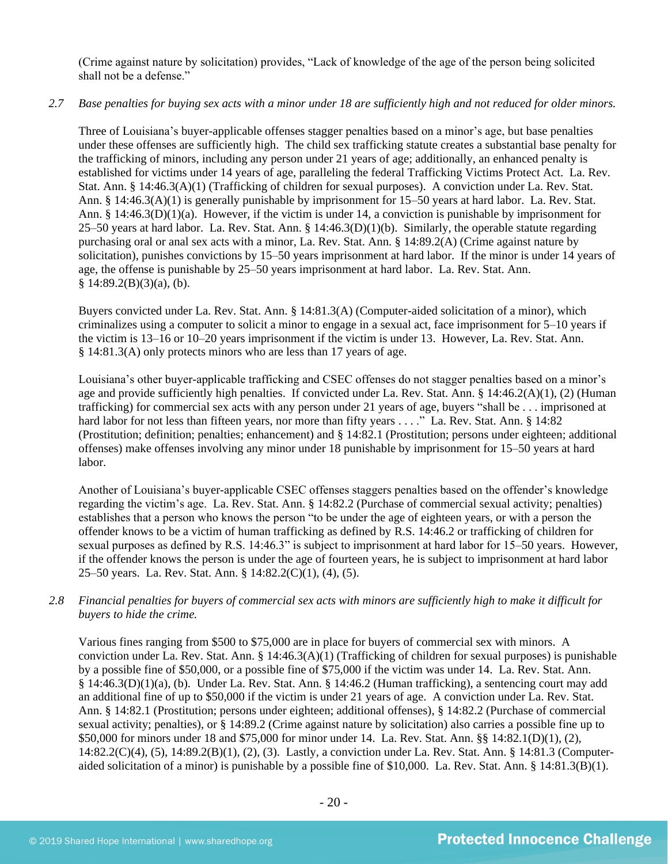(Crime against nature by solicitation) provides, "Lack of knowledge of the age of the person being solicited shall not be a defense."

#### *2.7 Base penalties for buying sex acts with a minor under 18 are sufficiently high and not reduced for older minors.*

Three of Louisiana's buyer-applicable offenses stagger penalties based on a minor's age, but base penalties under these offenses are sufficiently high. The child sex trafficking statute creates a substantial base penalty for the trafficking of minors, including any person under 21 years of age; additionally, an enhanced penalty is established for victims under 14 years of age, paralleling the federal Trafficking Victims Protect Act. La. Rev. Stat. Ann. § 14:46.3(A)(1) (Trafficking of children for sexual purposes). A conviction under La. Rev. Stat. Ann. § 14:46.3(A)(1) is generally punishable by imprisonment for 15–50 years at hard labor. La. Rev. Stat. Ann. § 14:46.3(D)(1)(a). However, if the victim is under 14, a conviction is punishable by imprisonment for 25–50 years at hard labor. La. Rev. Stat. Ann. § 14:46.3(D)(1)(b). Similarly, the operable statute regarding purchasing oral or anal sex acts with a minor, La. Rev. Stat. Ann. § 14:89.2(A) (Crime against nature by solicitation), punishes convictions by 15–50 years imprisonment at hard labor. If the minor is under 14 years of age, the offense is punishable by 25–50 years imprisonment at hard labor. La. Rev. Stat. Ann.  $§ 14:89.2(B)(3)(a), (b).$ 

Buyers convicted under La. Rev. Stat. Ann. § 14:81.3(A) (Computer-aided solicitation of a minor), which criminalizes using a computer to solicit a minor to engage in a sexual act, face imprisonment for 5–10 years if the victim is 13–16 or 10–20 years imprisonment if the victim is under 13. However, La. Rev. Stat. Ann. § 14:81.3(A) only protects minors who are less than 17 years of age.

Louisiana's other buyer-applicable trafficking and CSEC offenses do not stagger penalties based on a minor's age and provide sufficiently high penalties. If convicted under La. Rev. Stat. Ann. § 14:46.2(A)(1), (2) (Human trafficking) for commercial sex acts with any person under 21 years of age, buyers "shall be . . . imprisoned at hard labor for not less than fifteen years, nor more than fifty years . . . ." La. Rev. Stat. Ann. § 14:82 (Prostitution; definition; penalties; enhancement) and § 14:82.1 (Prostitution; persons under eighteen; additional offenses) make offenses involving any minor under 18 punishable by imprisonment for 15–50 years at hard labor.

Another of Louisiana's buyer-applicable CSEC offenses staggers penalties based on the offender's knowledge regarding the victim's age. La. Rev. Stat. Ann. § 14:82.2 (Purchase of commercial sexual activity; penalties) establishes that a person who knows the person "to be under the age of eighteen years, or with a person the offender knows to be a victim of human trafficking as defined by R.S. 14:46.2 or trafficking of children for sexual purposes as defined by R.S. 14:46.3" is subject to imprisonment at hard labor for 15–50 years. However, if the offender knows the person is under the age of fourteen years, he is subject to imprisonment at hard labor 25–50 years. La. Rev. Stat. Ann. § 14:82.2(C)(1), (4), (5).

## *2.8 Financial penalties for buyers of commercial sex acts with minors are sufficiently high to make it difficult for buyers to hide the crime.*

Various fines ranging from \$500 to \$75,000 are in place for buyers of commercial sex with minors. A conviction under La. Rev. Stat. Ann. § 14:46.3(A)(1) (Trafficking of children for sexual purposes) is punishable by a possible fine of \$50,000, or a possible fine of \$75,000 if the victim was under 14. La. Rev. Stat. Ann. § 14:46.3(D)(1)(a), (b). Under La. Rev. Stat. Ann. § 14:46.2 (Human trafficking), a sentencing court may add an additional fine of up to \$50,000 if the victim is under 21 years of age. A conviction under La. Rev. Stat. Ann. § 14:82.1 (Prostitution; persons under eighteen; additional offenses), § 14:82.2 (Purchase of commercial sexual activity; penalties), or § 14:89.2 (Crime against nature by solicitation) also carries a possible fine up to \$50,000 for minors under 18 and \$75,000 for minor under 14. La. Rev. Stat. Ann. §§ 14:82.1(D)(1), (2), 14:82.2(C)(4), (5), 14:89.2(B)(1), (2), (3). Lastly, a conviction under La. Rev. Stat. Ann. § 14:81.3 (Computeraided solicitation of a minor) is punishable by a possible fine of \$10,000. La. Rev. Stat. Ann. § 14:81.3(B)(1).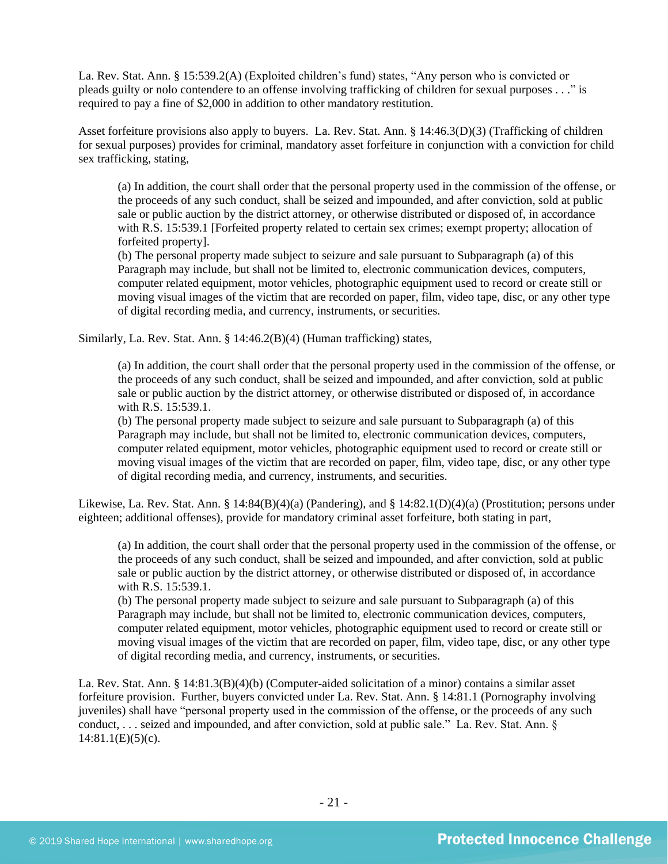La. Rev. Stat. Ann. § 15:539.2(A) (Exploited children's fund) states, "Any person who is convicted or pleads guilty or nolo contendere to an offense involving trafficking of children for sexual purposes . . ." is required to pay a fine of \$2,000 in addition to other mandatory restitution.

Asset forfeiture provisions also apply to buyers. La. Rev. Stat. Ann. § 14:46.3(D)(3) (Trafficking of children for sexual purposes) provides for criminal, mandatory asset forfeiture in conjunction with a conviction for child sex trafficking, stating,

(a) In addition, the court shall order that the personal property used in the commission of the offense, or the proceeds of any such conduct, shall be seized and impounded, and after conviction, sold at public sale or public auction by the district attorney, or otherwise distributed or disposed of, in accordance with R.S. 15:539.1 [Forfeited property related to certain sex crimes; exempt property; allocation of forfeited property].

(b) The personal property made subject to seizure and sale pursuant to Subparagraph (a) of this Paragraph may include, but shall not be limited to, electronic communication devices, computers, computer related equipment, motor vehicles, photographic equipment used to record or create still or moving visual images of the victim that are recorded on paper, film, video tape, disc, or any other type of digital recording media, and currency, instruments, or securities.

Similarly, La. Rev. Stat. Ann. § 14:46.2(B)(4) (Human trafficking) states,

(a) In addition, the court shall order that the personal property used in the commission of the offense, or the proceeds of any such conduct, shall be seized and impounded, and after conviction, sold at public sale or public auction by the district attorney, or otherwise distributed or disposed of, in accordance with R.S. 15:539.1.

(b) The personal property made subject to seizure and sale pursuant to Subparagraph (a) of this Paragraph may include, but shall not be limited to, electronic communication devices, computers, computer related equipment, motor vehicles, photographic equipment used to record or create still or moving visual images of the victim that are recorded on paper, film, video tape, disc, or any other type of digital recording media, and currency, instruments, and securities.

Likewise, La. Rev. Stat. Ann. § 14:84(B)(4)(a) (Pandering), and § 14:82.1(D)(4)(a) (Prostitution; persons under eighteen; additional offenses), provide for mandatory criminal asset forfeiture, both stating in part,

(a) In addition, the court shall order that the personal property used in the commission of the offense, or the proceeds of any such conduct, shall be seized and impounded, and after conviction, sold at public sale or public auction by the district attorney, or otherwise distributed or disposed of, in accordance with R.S. 15:539.1.

(b) The personal property made subject to seizure and sale pursuant to Subparagraph (a) of this Paragraph may include, but shall not be limited to, electronic communication devices, computers, computer related equipment, motor vehicles, photographic equipment used to record or create still or moving visual images of the victim that are recorded on paper, film, video tape, disc, or any other type of digital recording media, and currency, instruments, or securities.

La. Rev. Stat. Ann. § 14:81.3(B)(4)(b) (Computer-aided solicitation of a minor) contains a similar asset forfeiture provision. Further, buyers convicted under La. Rev. Stat. Ann. § 14:81.1 (Pornography involving juveniles) shall have "personal property used in the commission of the offense, or the proceeds of any such conduct, . . . seized and impounded, and after conviction, sold at public sale." La. Rev. Stat. Ann. §  $14:81.1(E)(5)(c)$ .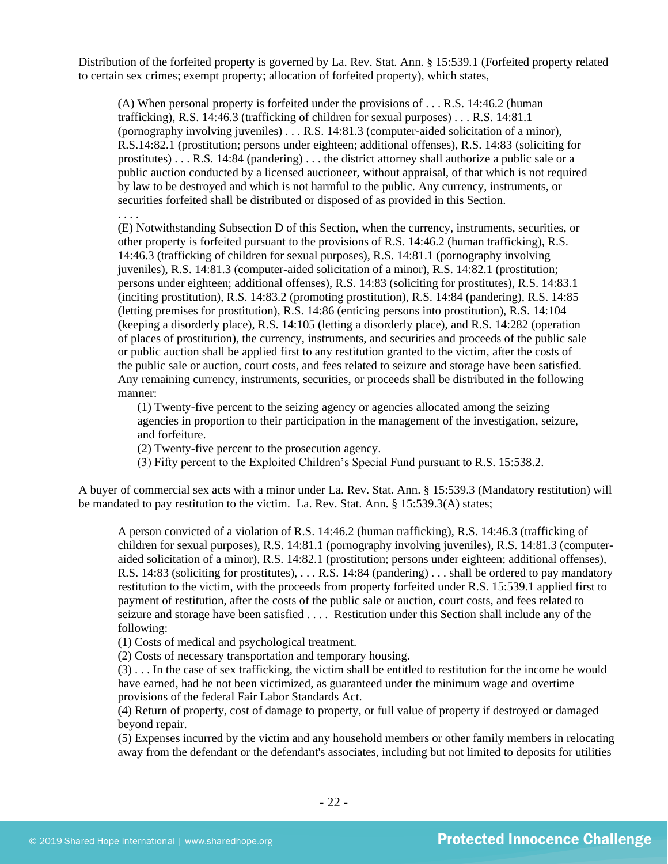Distribution of the forfeited property is governed by La. Rev. Stat. Ann. § 15:539.1 (Forfeited property related to certain sex crimes; exempt property; allocation of forfeited property), which states,

(A) When personal property is forfeited under the provisions of . . . R.S. 14:46.2 (human trafficking), R.S. 14:46.3 (trafficking of children for sexual purposes) . . . R.S. 14:81.1 (pornography involving juveniles) . . . R.S. 14:81.3 (computer-aided solicitation of a minor), R.S.14:82.1 (prostitution; persons under eighteen; additional offenses), R.S. 14:83 (soliciting for prostitutes) . . . R.S. 14:84 (pandering) . . . the district attorney shall authorize a public sale or a public auction conducted by a licensed auctioneer, without appraisal, of that which is not required by law to be destroyed and which is not harmful to the public. Any currency, instruments, or securities forfeited shall be distributed or disposed of as provided in this Section.

. . . .

(E) Notwithstanding Subsection D of this Section, when the currency, instruments, securities, or other property is forfeited pursuant to the provisions of R.S. 14:46.2 (human trafficking), R.S. 14:46.3 (trafficking of children for sexual purposes), R.S. 14:81.1 (pornography involving juveniles), R.S. 14:81.3 (computer-aided solicitation of a minor), R.S. 14:82.1 (prostitution; persons under eighteen; additional offenses), R.S. 14:83 (soliciting for prostitutes), R.S. 14:83.1 (inciting prostitution), R.S. 14:83.2 (promoting prostitution), R.S. 14:84 (pandering), R.S. 14:85 (letting premises for prostitution), R.S. 14:86 (enticing persons into prostitution), R.S. 14:104 (keeping a disorderly place), R.S. 14:105 (letting a disorderly place), and R.S. 14:282 (operation of places of prostitution), the currency, instruments, and securities and proceeds of the public sale or public auction shall be applied first to any restitution granted to the victim, after the costs of the public sale or auction, court costs, and fees related to seizure and storage have been satisfied. Any remaining currency, instruments, securities, or proceeds shall be distributed in the following manner:

(1) Twenty-five percent to the seizing agency or agencies allocated among the seizing agencies in proportion to their participation in the management of the investigation, seizure, and forfeiture.

(2) Twenty-five percent to the prosecution agency.

(3) Fifty percent to the Exploited Children's Special Fund pursuant to R.S. 15:538.2.

A buyer of commercial sex acts with a minor under La. Rev. Stat. Ann. § 15:539.3 (Mandatory restitution) will be mandated to pay restitution to the victim. La. Rev. Stat. Ann. § 15:539.3(A) states;

A person convicted of a violation of R.S. 14:46.2 (human trafficking), R.S. 14:46.3 (trafficking of children for sexual purposes), R.S. 14:81.1 (pornography involving juveniles), R.S. 14:81.3 (computeraided solicitation of a minor), R.S. 14:82.1 (prostitution; persons under eighteen; additional offenses), R.S. 14:83 (soliciting for prostitutes), . . . R.S. 14:84 (pandering) . . . shall be ordered to pay mandatory restitution to the victim, with the proceeds from property forfeited under R.S. 15:539.1 applied first to payment of restitution, after the costs of the public sale or auction, court costs, and fees related to seizure and storage have been satisfied . . . . Restitution under this Section shall include any of the following:

(1) Costs of medical and psychological treatment.

(2) Costs of necessary transportation and temporary housing.

(3) . . . In the case of sex trafficking, the victim shall be entitled to restitution for the income he would have earned, had he not been victimized, as guaranteed under the minimum wage and overtime provisions of the federal Fair Labor Standards Act.

(4) Return of property, cost of damage to property, or full value of property if destroyed or damaged beyond repair.

(5) Expenses incurred by the victim and any household members or other family members in relocating away from the defendant or the defendant's associates, including but not limited to deposits for utilities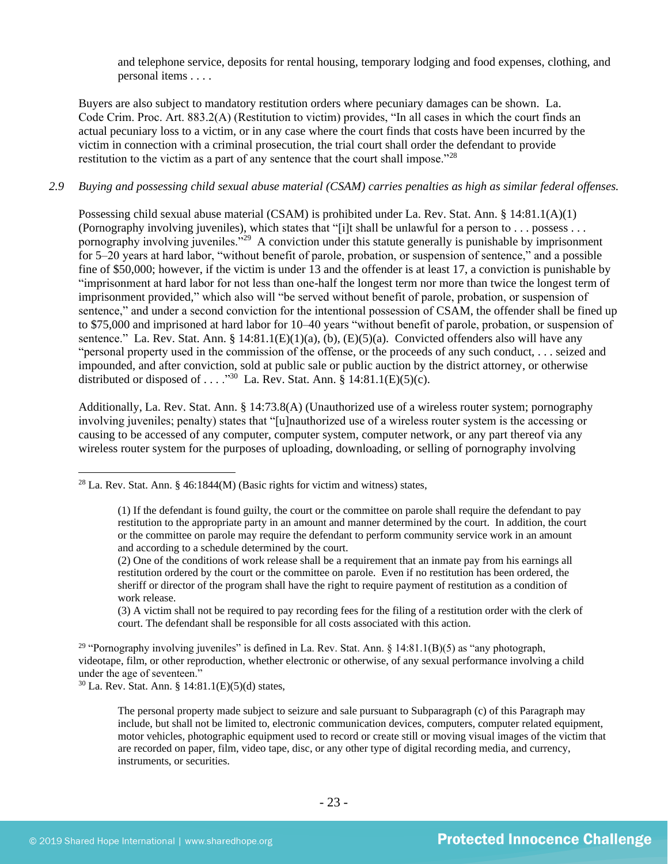<span id="page-22-0"></span>and telephone service, deposits for rental housing, temporary lodging and food expenses, clothing, and personal items . . . .

Buyers are also subject to mandatory restitution orders where pecuniary damages can be shown. La. Code Crim. Proc. Art. 883.2(A) (Restitution to victim) provides, "In all cases in which the court finds an actual pecuniary loss to a victim, or in any case where the court finds that costs have been incurred by the victim in connection with a criminal prosecution, the trial court shall order the defendant to provide restitution to the victim as a part of any sentence that the court shall impose.<sup> $28$ </sup>

## *2.9 Buying and possessing child sexual abuse material (CSAM) carries penalties as high as similar federal offenses.*

Possessing child sexual abuse material (CSAM) is prohibited under La. Rev. Stat. Ann. § 14:81.1(A)(1) (Pornography involving juveniles), which states that "[i]t shall be unlawful for a person to . . . possess . . . pornography involving juveniles."<sup>29</sup> A conviction under this statute generally is punishable by imprisonment for 5–20 years at hard labor, "without benefit of parole, probation, or suspension of sentence," and a possible fine of \$50,000; however, if the victim is under 13 and the offender is at least 17, a conviction is punishable by "imprisonment at hard labor for not less than one-half the longest term nor more than twice the longest term of imprisonment provided," which also will "be served without benefit of parole, probation, or suspension of sentence," and under a second conviction for the intentional possession of CSAM, the offender shall be fined up to \$75,000 and imprisoned at hard labor for 10–40 years "without benefit of parole, probation, or suspension of sentence." La. Rev. Stat. Ann. §  $14:81.1(E)(1)(a)$ , (b),  $(E)(5)(a)$ . Convicted offenders also will have any "personal property used in the commission of the offense, or the proceeds of any such conduct, . . . seized and impounded, and after conviction, sold at public sale or public auction by the district attorney, or otherwise distributed or disposed of . . . . "<sup>30</sup> La. Rev. Stat. Ann. § 14:81.1(E)(5)(c).

Additionally, La. Rev. Stat. Ann. § 14:73.8(A) (Unauthorized use of a wireless router system; pornography involving juveniles; penalty) states that "[u]nauthorized use of a wireless router system is the accessing or causing to be accessed of any computer, computer system, computer network, or any part thereof via any wireless router system for the purposes of uploading, downloading, or selling of pornography involving

(3) A victim shall not be required to pay recording fees for the filing of a restitution order with the clerk of court. The defendant shall be responsible for all costs associated with this action.

<sup>29</sup> "Pornography involving juveniles" is defined in La. Rev. Stat. Ann. §  $14:81.1(B)(5)$  as "any photograph, videotape, film, or other reproduction, whether electronic or otherwise, of any sexual performance involving a child under the age of seventeen."

 $30$  La. Rev. Stat. Ann. § 14:81.1(E)(5)(d) states,

The personal property made subject to seizure and sale pursuant to Subparagraph (c) of this Paragraph may include, but shall not be limited to, electronic communication devices, computers, computer related equipment, motor vehicles, photographic equipment used to record or create still or moving visual images of the victim that are recorded on paper, film, video tape, disc, or any other type of digital recording media, and currency, instruments, or securities.

<sup>&</sup>lt;sup>28</sup> La. Rev. Stat. Ann. § 46:1844(M) (Basic rights for victim and witness) states,

<sup>(1)</sup> If the defendant is found guilty, the court or the committee on parole shall require the defendant to pay restitution to the appropriate party in an amount and manner determined by the court. In addition, the court or the committee on parole may require the defendant to perform community service work in an amount and according to a schedule determined by the court.

<sup>(2)</sup> One of the conditions of work release shall be a requirement that an inmate pay from his earnings all restitution ordered by the court or the committee on parole. Even if no restitution has been ordered, the sheriff or director of the program shall have the right to require payment of restitution as a condition of work release.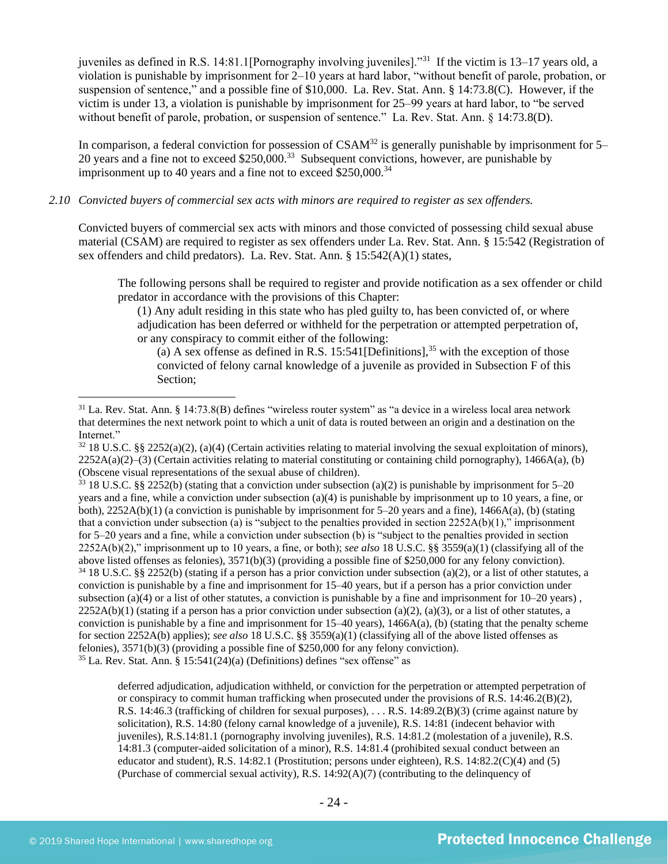juveniles as defined in R.S. 14:81.1[Pornography involving juveniles]."<sup>31</sup> If the victim is 13–17 years old, a violation is punishable by imprisonment for 2–10 years at hard labor, "without benefit of parole, probation, or suspension of sentence," and a possible fine of \$10,000. La. Rev. Stat. Ann. § 14:73.8(C). However, if the victim is under 13, a violation is punishable by imprisonment for 25–99 years at hard labor, to "be served without benefit of parole, probation, or suspension of sentence." La. Rev. Stat. Ann. § 14:73.8(D).

In comparison, a federal conviction for possession of  $CSAM<sup>32</sup>$  is generally punishable by imprisonment for 5– 20 years and a fine not to exceed  $$250,000$ .<sup>33</sup> Subsequent convictions, however, are punishable by imprisonment up to 40 years and a fine not to exceed  $$250,000.<sup>34</sup>$ 

## *2.10 Convicted buyers of commercial sex acts with minors are required to register as sex offenders.*

Convicted buyers of commercial sex acts with minors and those convicted of possessing child sexual abuse material (CSAM) are required to register as sex offenders under La. Rev. Stat. Ann. § 15:542 (Registration of sex offenders and child predators). La. Rev. Stat. Ann. § 15:542(A)(1) states,

The following persons shall be required to register and provide notification as a sex offender or child predator in accordance with the provisions of this Chapter:

(1) Any adult residing in this state who has pled guilty to, has been convicted of, or where adjudication has been deferred or withheld for the perpetration or attempted perpetration of, or any conspiracy to commit either of the following:

(a) A sex offense as defined in R.S. 15:541 [Definitions],<sup>35</sup> with the exception of those convicted of felony carnal knowledge of a juvenile as provided in Subsection F of this Section;

 $33$  18 U.S.C. §§ 2252(b) (stating that a conviction under subsection (a)(2) is punishable by imprisonment for 5–20 years and a fine, while a conviction under subsection (a)(4) is punishable by imprisonment up to 10 years, a fine, or both),  $2252A(b)(1)$  (a conviction is punishable by imprisonment for 5–20 years and a fine),  $1466A(a)$ , (b) (stating that a conviction under subsection (a) is "subject to the penalties provided in section  $2252A(b)(1)$ ," imprisonment for 5–20 years and a fine, while a conviction under subsection (b) is "subject to the penalties provided in section 2252A(b)(2)," imprisonment up to 10 years, a fine, or both); *see also* 18 U.S.C. §§ 3559(a)(1) (classifying all of the above listed offenses as felonies), 3571(b)(3) (providing a possible fine of \$250,000 for any felony conviction).  $34\,18$  U.S.C. §§ 2252(b) (stating if a person has a prior conviction under subsection (a)(2), or a list of other statutes, a conviction is punishable by a fine and imprisonment for 15–40 years, but if a person has a prior conviction under subsection (a)(4) or a list of other statutes, a conviction is punishable by a fine and imprisonment for  $10-20$  years),  $2252A(b)(1)$  (stating if a person has a prior conviction under subsection (a)(2), (a)(3), or a list of other statutes, a conviction is punishable by a fine and imprisonment for 15–40 years), 1466A(a), (b) (stating that the penalty scheme for section 2252A(b) applies); *see also* 18 U.S.C. §§ 3559(a)(1) (classifying all of the above listed offenses as felonies), 3571(b)(3) (providing a possible fine of \$250,000 for any felony conviction).  $35$  La. Rev. Stat. Ann. § 15:541(24)(a) (Definitions) defines "sex offense" as

deferred adjudication, adjudication withheld, or conviction for the perpetration or attempted perpetration of or conspiracy to commit human trafficking when prosecuted under the provisions of R.S. 14:46.2(B)(2), R.S. 14:46.3 (trafficking of children for sexual purposes), . . . R.S. 14:89.2(B)(3) (crime against nature by solicitation), R.S. 14:80 (felony carnal knowledge of a juvenile), R.S. 14:81 (indecent behavior with juveniles), R.S.14:81.1 (pornography involving juveniles), R.S. 14:81.2 (molestation of a juvenile), R.S. 14:81.3 (computer-aided solicitation of a minor), R.S. 14:81.4 (prohibited sexual conduct between an educator and student), R.S. 14:82.1 (Prostitution; persons under eighteen), R.S. 14:82.2(C)(4) and (5) (Purchase of commercial sexual activity), R.S. 14:92(A)(7) (contributing to the delinquency of

 $31$  La. Rev. Stat. Ann. § 14:73.8(B) defines "wireless router system" as "a device in a wireless local area network that determines the next network point to which a unit of data is routed between an origin and a destination on the Internet."

 $32\,18$  U.S.C. §§ 2252(a)(2), (a)(4) (Certain activities relating to material involving the sexual exploitation of minors),  $2252A(a)(2)$ –(3) (Certain activities relating to material constituting or containing child pornography), 1466A(a), (b) (Obscene visual representations of the sexual abuse of children).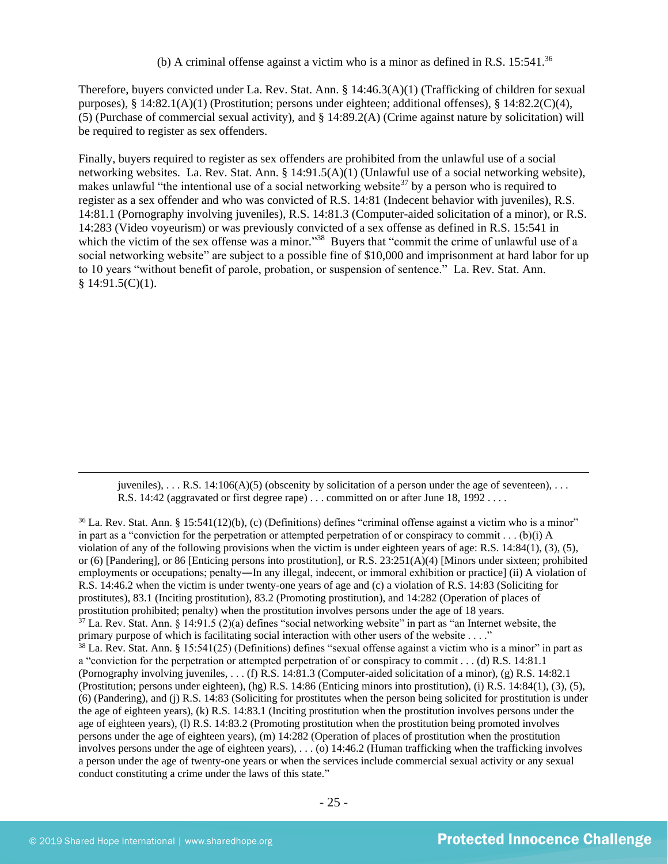<span id="page-24-1"></span><span id="page-24-0"></span>(b) A criminal offense against a victim who is a minor as defined in R.S.  $15:541$ .<sup>36</sup>

Therefore, buyers convicted under La. Rev. Stat. Ann. § 14:46.3(A)(1) (Trafficking of children for sexual purposes),  $\S$  14:82.1(A)(1) (Prostitution; persons under eighteen; additional offenses),  $\S$  14:82.2(C)(4), (5) (Purchase of commercial sexual activity), and § 14:89.2(A) (Crime against nature by solicitation) will be required to register as sex offenders.

Finally, buyers required to register as sex offenders are prohibited from the unlawful use of a social networking websites. La. Rev. Stat. Ann. § 14:91.5(A)(1) (Unlawful use of a social networking website), makes unlawful "the intentional use of a social networking website<sup>37</sup> by a person who is required to register as a sex offender and who was convicted of R.S. 14:81 (Indecent behavior with juveniles), R.S. 14:81.1 (Pornography involving juveniles), R.S. 14:81.3 (Computer-aided solicitation of a minor), or R.S. 14:283 (Video voyeurism) or was previously convicted of a sex offense as defined in R.S. 15:541 in which the victim of the sex offense was a minor."<sup>38</sup> Buyers that "commit the crime of unlawful use of a social networking website" are subject to a possible fine of \$10,000 and imprisonment at hard labor for up to 10 years "without benefit of parole, probation, or suspension of sentence." La. Rev. Stat. Ann.  $§ 14:91.5(C)(1).$ 

juveniles), ... R.S.  $14:106(A)(5)$  (obscenity by solicitation of a person under the age of seventeen), ... R.S. 14:42 (aggravated or first degree rape) . . . committed on or after June 18, 1992 . . . .

 $36$  La. Rev. Stat. Ann. § 15:541(12)(b), (c) (Definitions) defines "criminal offense against a victim who is a minor" in part as a "conviction for the perpetration or attempted perpetration of or conspiracy to commit . . . (b)(i) A violation of any of the following provisions when the victim is under eighteen years of age: R.S. 14:84(1), (3), (5), or (6) [Pandering], or 86 [Enticing persons into prostitution], or R.S. 23:251(A)(4) [Minors under sixteen; prohibited employments or occupations; penalty―In any illegal, indecent, or immoral exhibition or practice] (ii) A violation of R.S. 14:46.2 when the victim is under twenty-one years of age and (c) a violation of R.S. 14:83 (Soliciting for prostitutes), 83.1 (Inciting prostitution), 83.2 (Promoting prostitution), and 14:282 (Operation of places of prostitution prohibited; penalty) when the prostitution involves persons under the age of 18 years.  $37$  La. Rev. Stat. Ann. § 14:91.5 (2)(a) defines "social networking website" in part as "an Internet website, the primary purpose of which is facilitating social interaction with other users of the website . . . ."  $38$  La. Rev. Stat. Ann. § 15:541(25) (Definitions) defines "sexual offense against a victim who is a minor" in part as a "conviction for the perpetration or attempted perpetration of or conspiracy to commit . . . (d) R.S. 14:81.1 (Pornography involving juveniles, . . . (f) R.S. 14:81.3 (Computer-aided solicitation of a minor), (g) R.S. 14:82.1 (Prostitution; persons under eighteen), (hg) R.S. 14:86 (Enticing minors into prostitution), (i) R.S. 14:84(1), (3), (5), (6) (Pandering), and (j) R.S. 14:83 (Soliciting for prostitutes when the person being solicited for prostitution is under the age of eighteen years), (k) R.S. 14:83.1 (Inciting prostitution when the prostitution involves persons under the age of eighteen years), (l) R.S. 14:83.2 (Promoting prostitution when the prostitution being promoted involves persons under the age of eighteen years), (m) 14:282 (Operation of places of prostitution when the prostitution involves persons under the age of eighteen years), . . . (o) 14:46.2 (Human trafficking when the trafficking involves a person under the age of twenty-one years or when the services include commercial sexual activity or any sexual conduct constituting a crime under the laws of this state."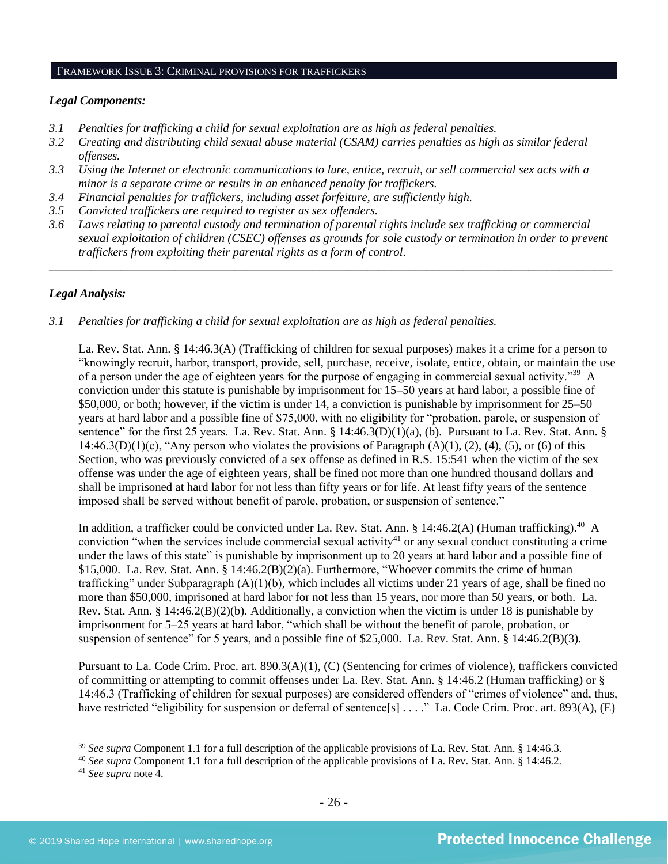#### FRAMEWORK ISSUE 3: CRIMINAL PROVISIONS FOR TRAFFICKERS

#### *Legal Components:*

- *3.1 Penalties for trafficking a child for sexual exploitation are as high as federal penalties.*
- *3.2 Creating and distributing child sexual abuse material (CSAM) carries penalties as high as similar federal offenses.*
- *3.3 Using the Internet or electronic communications to lure, entice, recruit, or sell commercial sex acts with a minor is a separate crime or results in an enhanced penalty for traffickers.*
- *3.4 Financial penalties for traffickers, including asset forfeiture, are sufficiently high.*
- *3.5 Convicted traffickers are required to register as sex offenders.*
- *3.6 Laws relating to parental custody and termination of parental rights include sex trafficking or commercial sexual exploitation of children (CSEC) offenses as grounds for sole custody or termination in order to prevent traffickers from exploiting their parental rights as a form of control.*

*\_\_\_\_\_\_\_\_\_\_\_\_\_\_\_\_\_\_\_\_\_\_\_\_\_\_\_\_\_\_\_\_\_\_\_\_\_\_\_\_\_\_\_\_\_\_\_\_\_\_\_\_\_\_\_\_\_\_\_\_\_\_\_\_\_\_\_\_\_\_\_\_\_\_\_\_\_\_\_\_\_\_\_\_\_\_\_\_\_\_\_\_\_\_*

#### *Legal Analysis:*

*3.1 Penalties for trafficking a child for sexual exploitation are as high as federal penalties.*

La. Rev. Stat. Ann. § 14:46.3(A) (Trafficking of children for sexual purposes) makes it a crime for a person to "knowingly recruit, harbor, transport, provide, sell, purchase, receive, isolate, entice, obtain, or maintain the use of a person under the age of eighteen years for the purpose of engaging in commercial sexual activity."<sup>39</sup> A conviction under this statute is punishable by imprisonment for 15–50 years at hard labor, a possible fine of \$50,000, or both; however, if the victim is under 14, a conviction is punishable by imprisonment for 25–50 years at hard labor and a possible fine of \$75,000, with no eligibility for "probation, parole, or suspension of sentence" for the first 25 years. La. Rev. Stat. Ann. § 14:46.3(D)(1)(a), (b). Pursuant to La. Rev. Stat. Ann. § 14:46.3(D)(1)(c), "Any person who violates the provisions of Paragraph (A)(1), (2), (4), (5), or (6) of this Section, who was previously convicted of a sex offense as defined in R.S. 15:541 when the victim of the sex offense was under the age of eighteen years, shall be fined not more than one hundred thousand dollars and shall be imprisoned at hard labor for not less than fifty years or for life. At least fifty years of the sentence imposed shall be served without benefit of parole, probation, or suspension of sentence."

In addition, a trafficker could be convicted under La. Rev. Stat. Ann. § 14:46.2(A) (Human trafficking).<sup>40</sup> A conviction "when the services include commercial sexual activity<sup>41</sup> or any sexual conduct constituting a crime under the laws of this state" is punishable by imprisonment up to 20 years at hard labor and a possible fine of \$15,000. La. Rev. Stat. Ann. § 14:46.2(B)(2)(a). Furthermore, "Whoever commits the crime of human trafficking" under Subparagraph  $(A)(1)(b)$ , which includes all victims under 21 years of age, shall be fined no more than \$50,000, imprisoned at hard labor for not less than 15 years, nor more than 50 years, or both. La. Rev. Stat. Ann. § 14:46.2(B)(2)(b). Additionally, a conviction when the victim is under 18 is punishable by imprisonment for 5–25 years at hard labor, "which shall be without the benefit of parole, probation, or suspension of sentence" for 5 years, and a possible fine of \$25,000. La. Rev. Stat. Ann. § 14:46.2(B)(3).

Pursuant to La. Code Crim. Proc. art. 890.3(A)(1), (C) (Sentencing for crimes of violence), traffickers convicted of committing or attempting to commit offenses under La. Rev. Stat. Ann. § 14:46.2 (Human trafficking) or § 14:46.3 (Trafficking of children for sexual purposes) are considered offenders of "crimes of violence" and, thus, have restricted "eligibility for suspension or deferral of sentence[s] . . . ." La. Code Crim. Proc. art. 893(A), (E)

<sup>39</sup> *See supra* Component 1.1 for a full description of the applicable provisions of La. Rev. Stat. Ann. § 14:46.3.

<sup>&</sup>lt;sup>40</sup> See supra Component 1.1 for a full description of the applicable provisions of La. Rev. Stat. Ann. § 14:46.2.

<sup>41</sup> *See supra* note [4.](#page-1-0)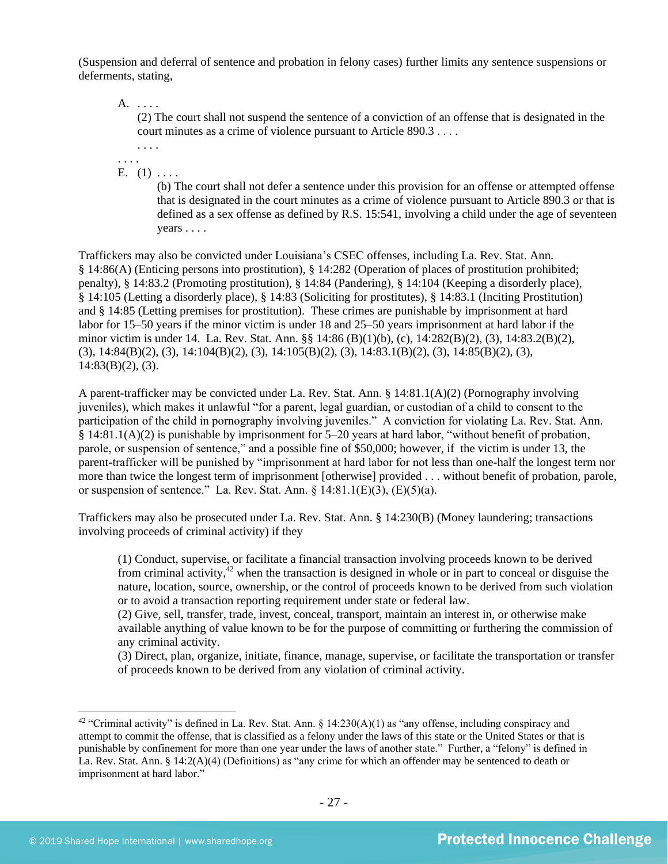(Suspension and deferral of sentence and probation in felony cases) further limits any sentence suspensions or deferments, stating,

A. . . . .

(2) The court shall not suspend the sentence of a conviction of an offense that is designated in the court minutes as a crime of violence pursuant to Article 890.3 . . . .

. . . . . . . .

E.  $(1) \ldots$ .

(b) The court shall not defer a sentence under this provision for an offense or attempted offense that is designated in the court minutes as a crime of violence pursuant to Article 890.3 or that is defined as a sex offense as defined by R.S. 15:541, involving a child under the age of seventeen years . . . .

Traffickers may also be convicted under Louisiana's CSEC offenses, including La. Rev. Stat. Ann. § 14:86(A) (Enticing persons into prostitution), § 14:282 (Operation of places of prostitution prohibited; penalty), § 14:83.2 (Promoting prostitution), § 14:84 (Pandering), § 14:104 (Keeping a disorderly place), § 14:105 (Letting a disorderly place), § 14:83 (Soliciting for prostitutes), § 14:83.1 (Inciting Prostitution) and § 14:85 (Letting premises for prostitution). These crimes are punishable by imprisonment at hard labor for 15–50 years if the minor victim is under 18 and 25–50 years imprisonment at hard labor if the minor victim is under 14. La. Rev. Stat. Ann. §§ 14:86 (B)(1)(b), (c), 14:282(B)(2), (3), 14:83.2(B)(2), (3), 14:84(B)(2), (3), 14:104(B)(2), (3), 14:105(B)(2), (3), 14:83.1(B)(2), (3), 14:85(B)(2), (3),  $14:83(B)(2)$ , (3).

A parent-trafficker may be convicted under La. Rev. Stat. Ann. § 14:81.1(A)(2) (Pornography involving juveniles), which makes it unlawful "for a parent, legal guardian, or custodian of a child to consent to the participation of the child in pornography involving juveniles." A conviction for violating La. Rev. Stat. Ann. § 14:81.1(A)(2) is punishable by imprisonment for 5–20 years at hard labor, "without benefit of probation, parole, or suspension of sentence," and a possible fine of \$50,000; however, if the victim is under 13, the parent-trafficker will be punished by "imprisonment at hard labor for not less than one-half the longest term nor more than twice the longest term of imprisonment [otherwise] provided . . . without benefit of probation, parole, or suspension of sentence." La. Rev. Stat. Ann.  $\S$  14:81.1(E)(3), (E)(5)(a).

Traffickers may also be prosecuted under La. Rev. Stat. Ann. § 14:230(B) (Money laundering; transactions involving proceeds of criminal activity) if they

(1) Conduct, supervise, or facilitate a financial transaction involving proceeds known to be derived from criminal activity, $42$  when the transaction is designed in whole or in part to conceal or disguise the nature, location, source, ownership, or the control of proceeds known to be derived from such violation or to avoid a transaction reporting requirement under state or federal law.

(2) Give, sell, transfer, trade, invest, conceal, transport, maintain an interest in, or otherwise make available anything of value known to be for the purpose of committing or furthering the commission of any criminal activity.

(3) Direct, plan, organize, initiate, finance, manage, supervise, or facilitate the transportation or transfer of proceeds known to be derived from any violation of criminal activity.

<sup>&</sup>lt;sup>42</sup> "Criminal activity" is defined in La. Rev. Stat. Ann. §  $14:230(A)(1)$  as "any offense, including conspiracy and attempt to commit the offense, that is classified as a felony under the laws of this state or the United States or that is punishable by confinement for more than one year under the laws of another state." Further, a "felony" is defined in La. Rev. Stat. Ann. § 14:2(A)(4) (Definitions) as "any crime for which an offender may be sentenced to death or imprisonment at hard labor."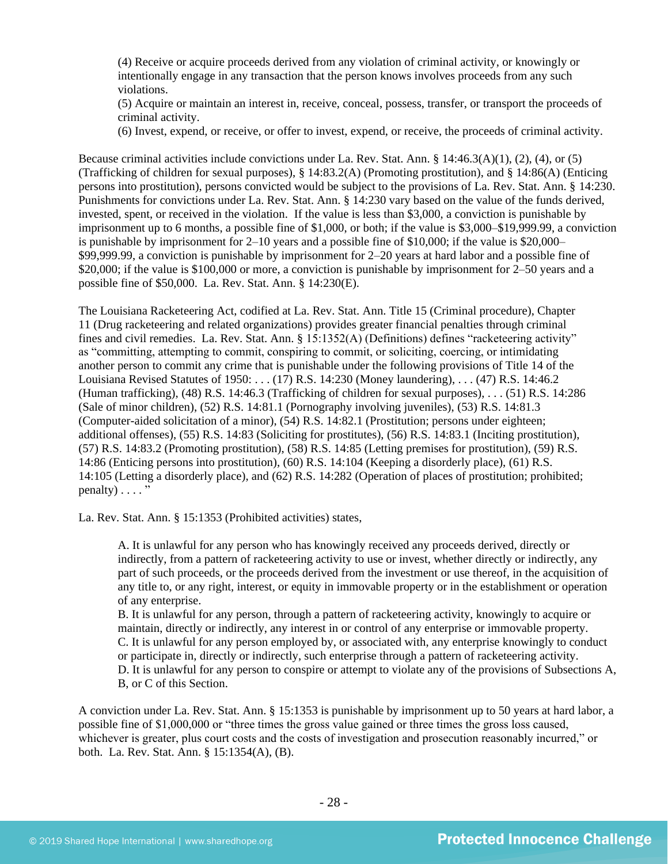(4) Receive or acquire proceeds derived from any violation of criminal activity, or knowingly or intentionally engage in any transaction that the person knows involves proceeds from any such violations.

(5) Acquire or maintain an interest in, receive, conceal, possess, transfer, or transport the proceeds of criminal activity.

(6) Invest, expend, or receive, or offer to invest, expend, or receive, the proceeds of criminal activity.

Because criminal activities include convictions under La. Rev. Stat. Ann. § 14:46.3(A)(1), (2), (4), or (5) (Trafficking of children for sexual purposes), § 14:83.2(A) (Promoting prostitution), and § 14:86(A) (Enticing persons into prostitution), persons convicted would be subject to the provisions of La. Rev. Stat. Ann. § 14:230. Punishments for convictions under La. Rev. Stat. Ann. § 14:230 vary based on the value of the funds derived, invested, spent, or received in the violation. If the value is less than \$3,000, a conviction is punishable by imprisonment up to 6 months, a possible fine of \$1,000, or both; if the value is \$3,000–\$19,999.99, a conviction is punishable by imprisonment for  $2-10$  years and a possible fine of \$10,000; if the value is \$20,000– \$99,999.99, a conviction is punishable by imprisonment for 2–20 years at hard labor and a possible fine of \$20,000; if the value is \$100,000 or more, a conviction is punishable by imprisonment for 2–50 years and a possible fine of \$50,000. La. Rev. Stat. Ann. § 14:230(E).

The Louisiana Racketeering Act, codified at La. Rev. Stat. Ann. Title 15 (Criminal procedure), Chapter 11 (Drug racketeering and related organizations) provides greater financial penalties through criminal fines and civil remedies. La. Rev. Stat. Ann. § 15:1352(A) (Definitions) defines "racketeering activity" as "committing, attempting to commit, conspiring to commit, or soliciting, coercing, or intimidating another person to commit any crime that is punishable under the following provisions of Title 14 of the Louisiana Revised Statutes of 1950: . . . (17) [R.S. 14:230](https://owa.regent.edu/owa/redir.aspx?C=0e2d79adea07471dbdda445e0bdec5a1&URL=https%3a%2f%2fwww.lexis.com%2fresearch%2fbuttonTFLink%3f_m%3d77bedd41a1d353e2f7fb983c7e7d9776%26_xfercite%3d%253ccite%2520cc%253d%2522USA%2522%253e%253c%2521%255bCDATA%255bLa.%2520R.S.%252015%253a1352%255d%255d%253e%253c%252fcite%253e%26_butType%3d4%26_butStat%3d0%26_butNum%3d17%26_butInline%3d1%26_butinfo%3dLACODE%252014%253a230%26_fmtstr%3dFULL%26docnum%3d1%26_startdoc%3d1%26wchp%3ddGLbVzS-zSkAA%26_md5%3d250b0b7bf18842c9490cfcc3fc704d6e) (Money laundering), . . . (47) R.S. 14:46.2 (Human trafficking), (48) R.S. 14:46.3 (Trafficking of children for sexual purposes), . . . (51) R.S. 14:286 (Sale of minor children), (52) R.S. 14:81.1 (Pornography involving juveniles), (53) R.S. 14:81.3 (Computer-aided solicitation of a minor), (54) R.S. 14:82.1 (Prostitution; persons under eighteen; additional offenses), (55) R.S. 14:83 (Soliciting for prostitutes), (56) R.S. 14:83.1 (Inciting prostitution), (57) R.S. 14:83.2 (Promoting prostitution), (58) R.S. 14:85 (Letting premises for prostitution), (59) R.S. 14:86 (Enticing persons into prostitution), (60) R.S. 14:104 (Keeping a disorderly place), (61) R.S. 14:105 (Letting a disorderly place), and (62) R.S. 14:282 (Operation of places of prostitution; prohibited;  $penalty$ )  $\ldots$  ."

La. Rev. Stat. Ann. § 15:1353 (Prohibited activities) states,

A. It is unlawful for any person who has knowingly received any proceeds derived, directly or indirectly, from a pattern of racketeering activity to use or invest, whether directly or indirectly, any part of such proceeds, or the proceeds derived from the investment or use thereof, in the acquisition of any title to, or any right, interest, or equity in immovable property or in the establishment or operation of any enterprise.

B. It is unlawful for any person, through a pattern of racketeering activity, knowingly to acquire or maintain, directly or indirectly, any interest in or control of any enterprise or immovable property. C. It is unlawful for any person employed by, or associated with, any enterprise knowingly to conduct or participate in, directly or indirectly, such enterprise through a pattern of racketeering activity. D. It is unlawful for any person to conspire or attempt to violate any of the provisions of Subsections A, B, or C of this Section.

A conviction under La. Rev. Stat. Ann. § 15:1353 is punishable by imprisonment up to 50 years at hard labor, a possible fine of \$1,000,000 or "three times the gross value gained or three times the gross loss caused, whichever is greater, plus court costs and the costs of investigation and prosecution reasonably incurred," or both. La. Rev. Stat. Ann. § 15:1354(A), (B).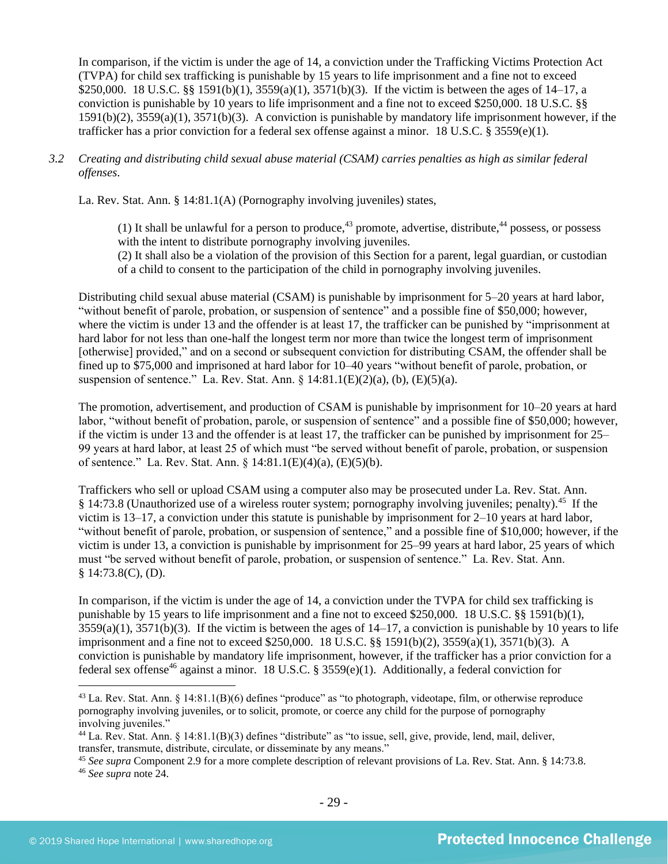In comparison, if the victim is under the age of 14, a conviction under the Trafficking Victims Protection Act (TVPA) for child sex trafficking is punishable by 15 years to life imprisonment and a fine not to exceed \$250,000. 18 U.S.C. §§ 1591(b)(1), 3559(a)(1), 3571(b)(3). If the victim is between the ages of 14–17, a conviction is punishable by 10 years to life imprisonment and a fine not to exceed \$250,000. 18 U.S.C. §§ 1591(b)(2), 3559(a)(1), 3571(b)(3). A conviction is punishable by mandatory life imprisonment however, if the trafficker has a prior conviction for a federal sex offense against a minor. 18 U.S.C. § 3559(e)(1).

## *3.2 Creating and distributing child sexual abuse material (CSAM) carries penalties as high as similar federal offenses*.

La. Rev. Stat. Ann. § 14:81.1(A) (Pornography involving juveniles) states,

(1) It shall be unlawful for a person to produce,  $43$  promote, advertise, distribute,  $44$  possess, or possess with the intent to distribute pornography involving juveniles. (2) It shall also be a violation of the provision of this Section for a parent, legal guardian, or custodian of a child to consent to the participation of the child in pornography involving juveniles.

Distributing child sexual abuse material (CSAM) is punishable by imprisonment for 5–20 years at hard labor, "without benefit of parole, probation, or suspension of sentence" and a possible fine of \$50,000; however, where the victim is under 13 and the offender is at least 17, the trafficker can be punished by "imprisonment at hard labor for not less than one-half the longest term nor more than twice the longest term of imprisonment [otherwise] provided," and on a second or subsequent conviction for distributing CSAM, the offender shall be fined up to \$75,000 and imprisoned at hard labor for 10–40 years "without benefit of parole, probation, or suspension of sentence." La. Rev. Stat. Ann.  $\S$  14:81.1(E)(2)(a), (b), (E)(5)(a).

The promotion, advertisement, and production of CSAM is punishable by imprisonment for 10–20 years at hard labor, "without benefit of probation, parole, or suspension of sentence" and a possible fine of \$50,000; however, if the victim is under 13 and the offender is at least 17, the trafficker can be punished by imprisonment for 25– 99 years at hard labor, at least 25 of which must "be served without benefit of parole, probation, or suspension of sentence." La. Rev. Stat. Ann. § 14:81.1(E)(4)(a), (E)(5)(b).

Traffickers who sell or upload CSAM using a computer also may be prosecuted under La. Rev. Stat. Ann. § 14:73.8 (Unauthorized use of a wireless router system; pornography involving juveniles; penalty).<sup>45</sup> If the victim is 13–17, a conviction under this statute is punishable by imprisonment for 2–10 years at hard labor, "without benefit of parole, probation, or suspension of sentence," and a possible fine of \$10,000; however, if the victim is under 13, a conviction is punishable by imprisonment for 25–99 years at hard labor, 25 years of which must "be served without benefit of parole, probation, or suspension of sentence." La. Rev. Stat. Ann. § 14:73.8(C), (D).

In comparison, if the victim is under the age of 14, a conviction under the TVPA for child sex trafficking is punishable by 15 years to life imprisonment and a fine not to exceed \$250,000. 18 U.S.C. §§ 1591(b)(1),  $3559(a)(1)$ ,  $3571(b)(3)$ . If the victim is between the ages of  $14-17$ , a conviction is punishable by 10 years to life imprisonment and a fine not to exceed \$250,000. 18 U.S.C. §§ 1591(b)(2), 3559(a)(1), 3571(b)(3). A conviction is punishable by mandatory life imprisonment, however, if the trafficker has a prior conviction for a federal sex offense<sup>46</sup> against a minor. 18 U.S.C. § 3559(e)(1). Additionally, a federal conviction for

<sup>43</sup> La. Rev. Stat. Ann. § 14:81.1(B)(6) defines "produce" as "to photograph, videotape, film, or otherwise reproduce pornography involving juveniles, or to solicit, promote, or coerce any child for the purpose of pornography involving juveniles."

<sup>44</sup> La. Rev. Stat. Ann. § 14:81.1(B)(3) defines "distribute" as "to issue, sell, give, provide, lend, mail, deliver, transfer, transmute, distribute, circulate, or disseminate by any means."

<sup>45</sup> *See supra* Component 2.9 for a more complete description of relevant provisions of La. Rev. Stat. Ann. § 14:73.8.

<sup>46</sup> *See supra* note [24.](#page-17-0)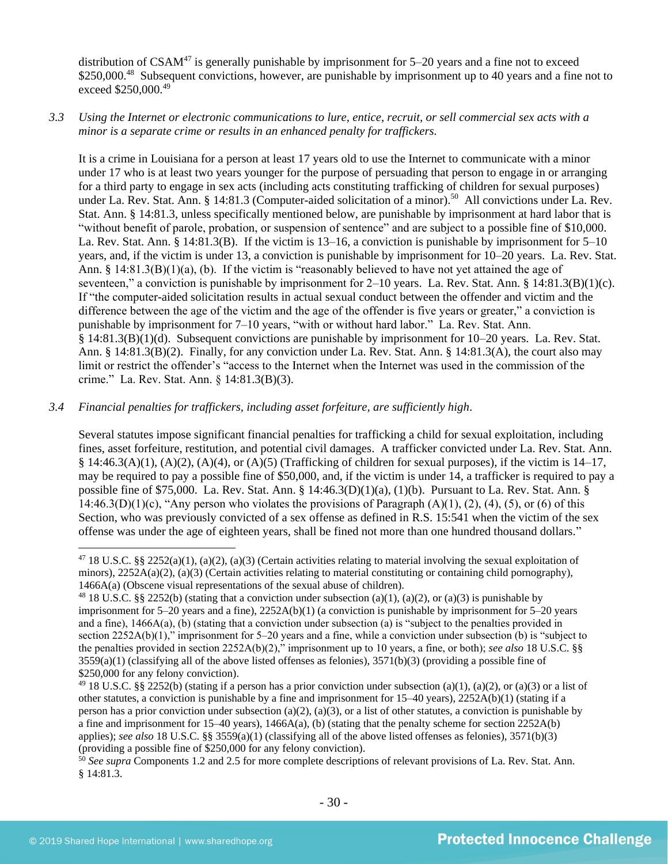distribution of  $CSAM^{47}$  is generally punishable by imprisonment for  $5-20$  years and a fine not to exceed \$250,000.<sup>48</sup> Subsequent convictions, however, are punishable by imprisonment up to 40 years and a fine not to exceed \$250,000.<sup>49</sup>

## *3.3 Using the Internet or electronic communications to lure, entice, recruit, or sell commercial sex acts with a minor is a separate crime or results in an enhanced penalty for traffickers.*

It is a crime in Louisiana for a person at least 17 years old to use the Internet to communicate with a minor under 17 who is at least two years younger for the purpose of persuading that person to engage in or arranging for a third party to engage in sex acts (including acts constituting trafficking of children for sexual purposes) under La. Rev. Stat. Ann. § 14:81.3 (Computer-aided solicitation of a minor).<sup>50</sup> All convictions under La. Rev. Stat. Ann. § 14:81.3, unless specifically mentioned below, are punishable by imprisonment at hard labor that is "without benefit of parole, probation, or suspension of sentence" and are subject to a possible fine of \$10,000. La. Rev. Stat. Ann. § 14:81.3(B). If the victim is 13–16, a conviction is punishable by imprisonment for 5–10 years, and, if the victim is under 13, a conviction is punishable by imprisonment for 10–20 years. La. Rev. Stat. Ann. §  $14:81.3(B)(1)(a)$ , (b). If the victim is "reasonably believed to have not yet attained the age of seventeen," a conviction is punishable by imprisonment for 2–10 years. La. Rev. Stat. Ann. § 14:81.3(B)(1)(c). If "the computer-aided solicitation results in actual sexual conduct between the offender and victim and the difference between the age of the victim and the age of the offender is five years or greater," a conviction is punishable by imprisonment for 7–10 years, "with or without hard labor." La. Rev. Stat. Ann. § 14:81.3(B)(1)(d). Subsequent convictions are punishable by imprisonment for 10–20 years. La. Rev. Stat. Ann. § 14:81.3(B)(2). Finally, for any conviction under La. Rev. Stat. Ann. § 14:81.3(A), the court also may limit or restrict the offender's "access to the Internet when the Internet was used in the commission of the crime." La. Rev. Stat. Ann. § 14:81.3(B)(3).

## *3.4 Financial penalties for traffickers, including asset forfeiture, are sufficiently high*.

Several statutes impose significant financial penalties for trafficking a child for sexual exploitation, including fines, asset forfeiture, restitution, and potential civil damages. A trafficker convicted under La. Rev. Stat. Ann. § 14:46.3(A)(1), (A)(2), (A)(4), or (A)(5) (Trafficking of children for sexual purposes), if the victim is  $14-17$ , may be required to pay a possible fine of \$50,000, and, if the victim is under 14, a trafficker is required to pay a possible fine of \$75,000. La. Rev. Stat. Ann. § 14:46.3(D)(1)(a), (1)(b). Pursuant to La. Rev. Stat. Ann. § 14:46.3(D)(1)(c), "Any person who violates the provisions of Paragraph  $(A)(1)$ ,  $(2)$ ,  $(4)$ ,  $(5)$ , or  $(6)$  of this Section, who was previously convicted of a sex offense as defined in R.S. 15:541 when the victim of the sex offense was under the age of eighteen years, shall be fined not more than one hundred thousand dollars."

<sup>&</sup>lt;sup>47</sup> 18 U.S.C. §§ 2252(a)(1), (a)(2), (a)(3) (Certain activities relating to material involving the sexual exploitation of minors),  $2252A(a)(2)$ ,  $(a)(3)$  (Certain activities relating to material constituting or containing child pornography), 1466A(a) (Obscene visual representations of the sexual abuse of children).

<sup>&</sup>lt;sup>48</sup> 18 U.S.C. §§ 2252(b) (stating that a conviction under subsection (a)(1), (a)(2), or (a)(3) is punishable by imprisonment for 5–20 years and a fine), 2252A(b)(1) (a conviction is punishable by imprisonment for 5–20 years and a fine), 1466A(a), (b) (stating that a conviction under subsection (a) is "subject to the penalties provided in section 2252A(b)(1)," imprisonment for 5–20 years and a fine, while a conviction under subsection (b) is "subject to the penalties provided in section 2252A(b)(2)," imprisonment up to 10 years, a fine, or both); *see also* 18 U.S.C. §§  $3559(a)(1)$  (classifying all of the above listed offenses as felonies),  $3571(b)(3)$  (providing a possible fine of \$250,000 for any felony conviction).

<sup>&</sup>lt;sup>49</sup> 18 U.S.C. §§ 2252(b) (stating if a person has a prior conviction under subsection (a)(1), (a)(2), or (a)(3) or a list of other statutes, a conviction is punishable by a fine and imprisonment for 15–40 years), 2252A(b)(1) (stating if a person has a prior conviction under subsection (a)(2), (a)(3), or a list of other statutes, a conviction is punishable by a fine and imprisonment for  $15-40$  years),  $1466A(a)$ , (b) (stating that the penalty scheme for section  $2252A(b)$ applies); *see also* 18 U.S.C. §§ 3559(a)(1) (classifying all of the above listed offenses as felonies), 3571(b)(3) (providing a possible fine of \$250,000 for any felony conviction).

<sup>&</sup>lt;sup>50</sup> See supra Components 1.2 and 2.5 for more complete descriptions of relevant provisions of La. Rev. Stat. Ann. § 14:81.3.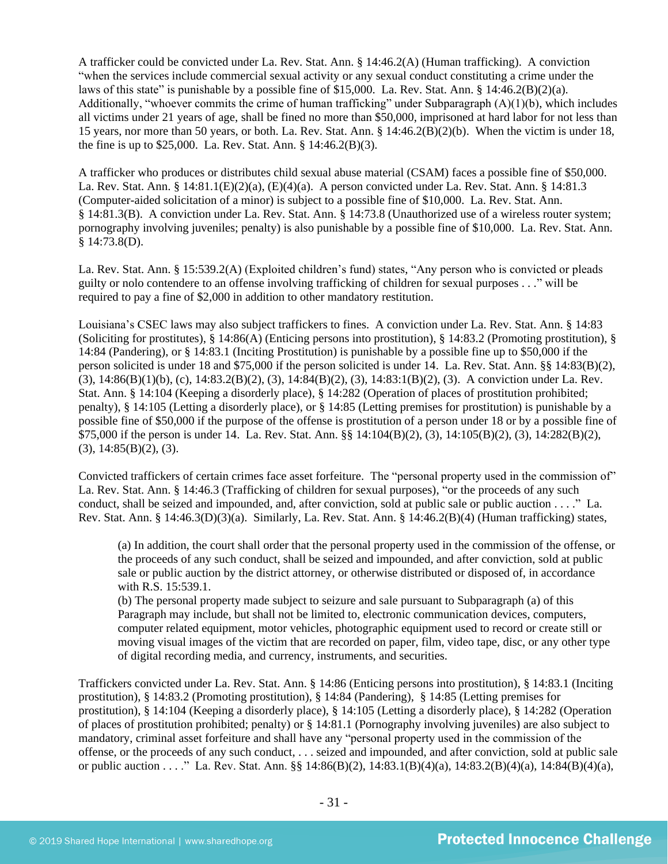A trafficker could be convicted under La. Rev. Stat. Ann. § 14:46.2(A) (Human trafficking). A conviction "when the services include commercial sexual activity or any sexual conduct constituting a crime under the laws of this state" is punishable by a possible fine of \$15,000. La. Rev. Stat. Ann. § 14:46.2(B)(2)(a). Additionally, "whoever commits the crime of human trafficking" under Subparagraph (A)(1)(b), which includes all victims under 21 years of age, shall be fined no more than \$50,000, imprisoned at hard labor for not less than 15 years, nor more than 50 years, or both. La. Rev. Stat. Ann. § 14:46.2(B)(2)(b). When the victim is under 18, the fine is up to \$25,000. La. Rev. Stat. Ann. § 14:46.2(B)(3).

A trafficker who produces or distributes child sexual abuse material (CSAM) faces a possible fine of \$50,000. La. Rev. Stat. Ann. § 14:81.1(E)(2)(a), (E)(4)(a). A person convicted under La. Rev. Stat. Ann. § 14:81.3 (Computer-aided solicitation of a minor) is subject to a possible fine of \$10,000. La. Rev. Stat. Ann. § 14:81.3(B). A conviction under La. Rev. Stat. Ann. § 14:73.8 (Unauthorized use of a wireless router system; pornography involving juveniles; penalty) is also punishable by a possible fine of \$10,000. La. Rev. Stat. Ann. § 14:73.8(D).

La. Rev. Stat. Ann. § 15:539.2(A) (Exploited children's fund) states, "Any person who is convicted or pleads guilty or nolo contendere to an offense involving trafficking of children for sexual purposes . . ." will be required to pay a fine of \$2,000 in addition to other mandatory restitution.

Louisiana's CSEC laws may also subject traffickers to fines. A conviction under La. Rev. Stat. Ann. § 14:83 (Soliciting for prostitutes), § 14:86(A) (Enticing persons into prostitution), § 14:83.2 (Promoting prostitution), § 14:84 (Pandering), or § 14:83.1 (Inciting Prostitution) is punishable by a possible fine up to \$50,000 if the person solicited is under 18 and \$75,000 if the person solicited is under 14. La. Rev. Stat. Ann. §§ 14:83(B)(2), (3), 14:86(B)(1)(b), (c), 14:83.2(B)(2), (3), 14:84(B)(2), (3), 14:83:1(B)(2), (3). A conviction under La. Rev. Stat. Ann. § 14:104 (Keeping a disorderly place), § 14:282 (Operation of places of prostitution prohibited; penalty), § 14:105 (Letting a disorderly place), or § 14:85 (Letting premises for prostitution) is punishable by a possible fine of \$50,000 if the purpose of the offense is prostitution of a person under 18 or by a possible fine of \$75,000 if the person is under 14. La. Rev. Stat. Ann. §§ 14:104(B)(2), (3), 14:105(B)(2), (3), 14:282(B)(2),  $(3)$ , 14:85 $(B)(2)$ ,  $(3)$ .

Convicted traffickers of certain crimes face asset forfeiture. The "personal property used in the commission of" La. Rev. Stat. Ann. § 14:46.3 (Trafficking of children for sexual purposes), "or the proceeds of any such conduct, shall be seized and impounded, and, after conviction, sold at public sale or public auction . . . ." La. Rev. Stat. Ann. § 14:46.3(D)(3)(a). Similarly, La. Rev. Stat. Ann. § 14:46.2(B)(4) (Human trafficking) states,

(a) In addition, the court shall order that the personal property used in the commission of the offense, or the proceeds of any such conduct, shall be seized and impounded, and after conviction, sold at public sale or public auction by the district attorney, or otherwise distributed or disposed of, in accordance with R.S. 15:539.1.

(b) The personal property made subject to seizure and sale pursuant to Subparagraph (a) of this Paragraph may include, but shall not be limited to, electronic communication devices, computers, computer related equipment, motor vehicles, photographic equipment used to record or create still or moving visual images of the victim that are recorded on paper, film, video tape, disc, or any other type of digital recording media, and currency, instruments, and securities.

Traffickers convicted under La. Rev. Stat. Ann. § 14:86 (Enticing persons into prostitution), § 14:83.1 (Inciting prostitution), § 14:83.2 (Promoting prostitution), § 14:84 (Pandering), § 14:85 (Letting premises for prostitution), § 14:104 (Keeping a disorderly place), § 14:105 (Letting a disorderly place), § 14:282 (Operation of places of prostitution prohibited; penalty) or § 14:81.1 (Pornography involving juveniles) are also subject to mandatory, criminal asset forfeiture and shall have any "personal property used in the commission of the offense, or the proceeds of any such conduct, . . . seized and impounded, and after conviction, sold at public sale or public auction . . . ." La. Rev. Stat. Ann. §§ 14:86(B)(2), 14:83.1(B)(4)(a), 14:83.2(B)(4)(a), 14:84(B)(4)(a),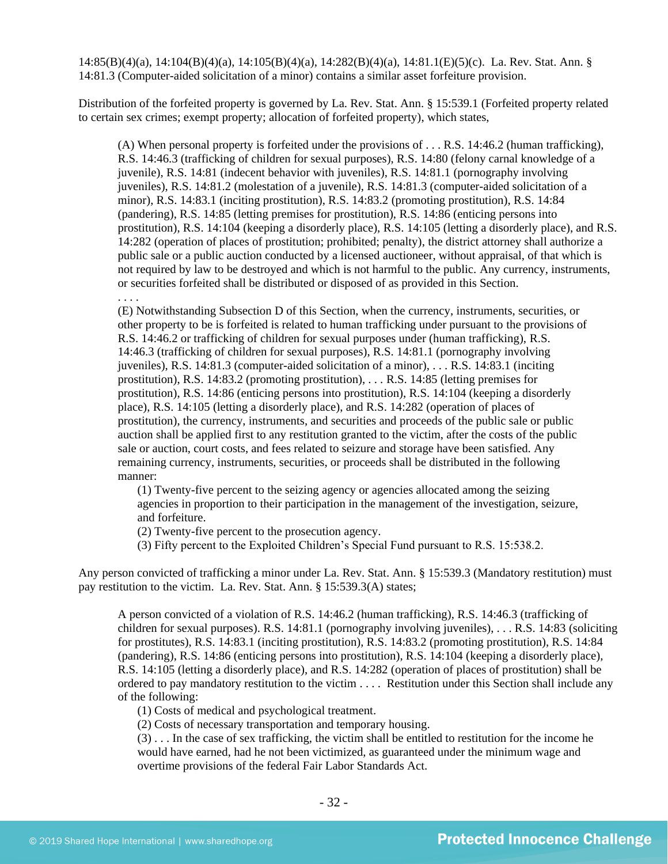14:85(B)(4)(a), 14:104(B)(4)(a), 14:105(B)(4)(a), 14:282(B)(4)(a), 14:81.1(E)(5)(c). La. Rev. Stat. Ann. § 14:81.3 (Computer-aided solicitation of a minor) contains a similar asset forfeiture provision.

Distribution of the forfeited property is governed by La. Rev. Stat. Ann. § 15:539.1 (Forfeited property related to certain sex crimes; exempt property; allocation of forfeited property), which states,

(A) When personal property is forfeited under the provisions of . . . R.S. 14:46.2 (human trafficking), R.S. 14:46.3 (trafficking of children for sexual purposes), R.S. 14:80 (felony carnal knowledge of a juvenile), R.S. 14:81 (indecent behavior with juveniles), R.S. 14:81.1 (pornography involving juveniles), R.S. 14:81.2 (molestation of a juvenile), R.S. 14:81.3 (computer-aided solicitation of a minor), R.S. 14:83.1 (inciting prostitution), R.S. 14:83.2 (promoting prostitution), R.S. 14:84 (pandering), R.S. 14:85 (letting premises for prostitution), R.S. 14:86 (enticing persons into prostitution), R.S. 14:104 (keeping a disorderly place), R.S. 14:105 (letting a disorderly place), and R.S. 14:282 (operation of places of prostitution; prohibited; penalty), the district attorney shall authorize a public sale or a public auction conducted by a licensed auctioneer, without appraisal, of that which is not required by law to be destroyed and which is not harmful to the public. Any currency, instruments, or securities forfeited shall be distributed or disposed of as provided in this Section.

. . . . (E) Notwithstanding Subsection D of this Section, when the currency, instruments, securities, or other property to be is forfeited is related to human trafficking under pursuant to the provisions of R.S. 14:46.2 or trafficking of children for sexual purposes under (human trafficking), R.S. 14:46.3 (trafficking of children for sexual purposes), R.S. 14:81.1 (pornography involving juveniles), R.S. 14:81.3 (computer-aided solicitation of a minor), . . . R.S. 14:83.1 (inciting prostitution), R.S. 14:83.2 (promoting prostitution), . . . R.S. 14:85 (letting premises for prostitution), R.S. 14:86 (enticing persons into prostitution), R.S. 14:104 (keeping a disorderly place), R.S. 14:105 (letting a disorderly place), and R.S. 14:282 (operation of places of prostitution), the currency, instruments, and securities and proceeds of the public sale or public auction shall be applied first to any restitution granted to the victim, after the costs of the public sale or auction, court costs, and fees related to seizure and storage have been satisfied. Any remaining currency, instruments, securities, or proceeds shall be distributed in the following manner:

(1) Twenty-five percent to the seizing agency or agencies allocated among the seizing agencies in proportion to their participation in the management of the investigation, seizure, and forfeiture.

(2) Twenty-five percent to the prosecution agency.

(3) Fifty percent to the Exploited Children's Special Fund pursuant to R.S. 15:538.2.

Any person convicted of trafficking a minor under La. Rev. Stat. Ann. § 15:539.3 (Mandatory restitution) must pay restitution to the victim. La. Rev. Stat. Ann. § 15:539.3(A) states;

A person convicted of a violation of R.S. 14:46.2 (human trafficking), R.S. 14:46.3 (trafficking of children for sexual purposes). R.S. 14:81.1 (pornography involving juveniles), . . . R.S. 14:83 (soliciting for prostitutes), R.S. 14:83.1 (inciting prostitution), R.S. 14:83.2 (promoting prostitution), R.S. 14:84 (pandering), R.S. 14:86 (enticing persons into prostitution), R.S. 14:104 (keeping a disorderly place), R.S. 14:105 (letting a disorderly place), and R.S. 14:282 (operation of places of prostitution) shall be ordered to pay mandatory restitution to the victim . . . . Restitution under this Section shall include any of the following:

(1) Costs of medical and psychological treatment.

(2) Costs of necessary transportation and temporary housing.

(3) . . . In the case of sex trafficking, the victim shall be entitled to restitution for the income he would have earned, had he not been victimized, as guaranteed under the minimum wage and overtime provisions of the federal Fair Labor Standards Act.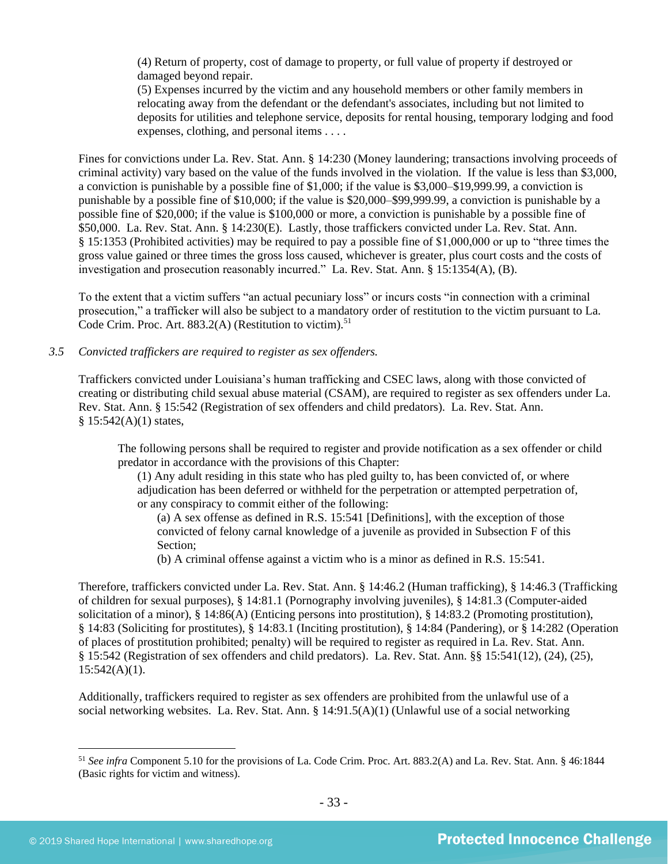(4) Return of property, cost of damage to property, or full value of property if destroyed or damaged beyond repair.

(5) Expenses incurred by the victim and any household members or other family members in relocating away from the defendant or the defendant's associates, including but not limited to deposits for utilities and telephone service, deposits for rental housing, temporary lodging and food expenses, clothing, and personal items . . . .

Fines for convictions under La. Rev. Stat. Ann. § 14:230 (Money laundering; transactions involving proceeds of criminal activity) vary based on the value of the funds involved in the violation. If the value is less than \$3,000, a conviction is punishable by a possible fine of \$1,000; if the value is \$3,000–\$19,999.99, a conviction is punishable by a possible fine of \$10,000; if the value is \$20,000–\$99,999.99, a conviction is punishable by a possible fine of \$20,000; if the value is \$100,000 or more, a conviction is punishable by a possible fine of \$50,000. La. Rev. Stat. Ann. § 14:230(E). Lastly, those traffickers convicted under La. Rev. Stat. Ann. § 15:1353 (Prohibited activities) may be required to pay a possible fine of \$1,000,000 or up to "three times the gross value gained or three times the gross loss caused, whichever is greater, plus court costs and the costs of investigation and prosecution reasonably incurred." La. Rev. Stat. Ann. § 15:1354(A), (B).

To the extent that a victim suffers "an actual pecuniary loss" or incurs costs "in connection with a criminal prosecution," a trafficker will also be subject to a mandatory order of restitution to the victim pursuant to La. Code Crim. Proc. Art.  $883.2(A)$  (Restitution to victim).<sup>51</sup>

#### *3.5 Convicted traffickers are required to register as sex offenders.*

Traffickers convicted under Louisiana's human trafficking and CSEC laws, along with those convicted of creating or distributing child sexual abuse material (CSAM), are required to register as sex offenders under La. Rev. Stat. Ann. § 15:542 (Registration of sex offenders and child predators). La. Rev. Stat. Ann.  $$15:542(A)(1)$  states,

The following persons shall be required to register and provide notification as a sex offender or child predator in accordance with the provisions of this Chapter:

(1) Any adult residing in this state who has pled guilty to, has been convicted of, or where adjudication has been deferred or withheld for the perpetration or attempted perpetration of, or any conspiracy to commit either of the following:

(a) A sex offense as defined in R.S. 15:541 [Definitions], with the exception of those convicted of felony carnal knowledge of a juvenile as provided in Subsection F of this Section;

(b) A criminal offense against a victim who is a minor as defined in R.S. 15:541.

Therefore, traffickers convicted under La. Rev. Stat. Ann. § 14:46.2 (Human trafficking), § 14:46.3 (Trafficking of children for sexual purposes), § 14:81.1 (Pornography involving juveniles), § 14:81.3 (Computer-aided solicitation of a minor), § 14:86(A) (Enticing persons into prostitution), § 14:83.2 (Promoting prostitution), § 14:83 (Soliciting for prostitutes), § 14:83.1 (Inciting prostitution), § 14:84 (Pandering), or § 14:282 (Operation of places of prostitution prohibited; penalty) will be required to register as required in La. Rev. Stat. Ann. § 15:542 (Registration of sex offenders and child predators). La. Rev. Stat. Ann. §§ 15:541(12), (24), (25),  $15:542(A)(1)$ .

Additionally, traffickers required to register as sex offenders are prohibited from the unlawful use of a social networking websites. La. Rev. Stat. Ann. § 14:91.5(A)(1) (Unlawful use of a social networking

<sup>51</sup> *See infra* Component 5.10 for the provisions of La. Code Crim. Proc. Art. 883.2(A) and La. Rev. Stat. Ann. § 46:1844 (Basic rights for victim and witness).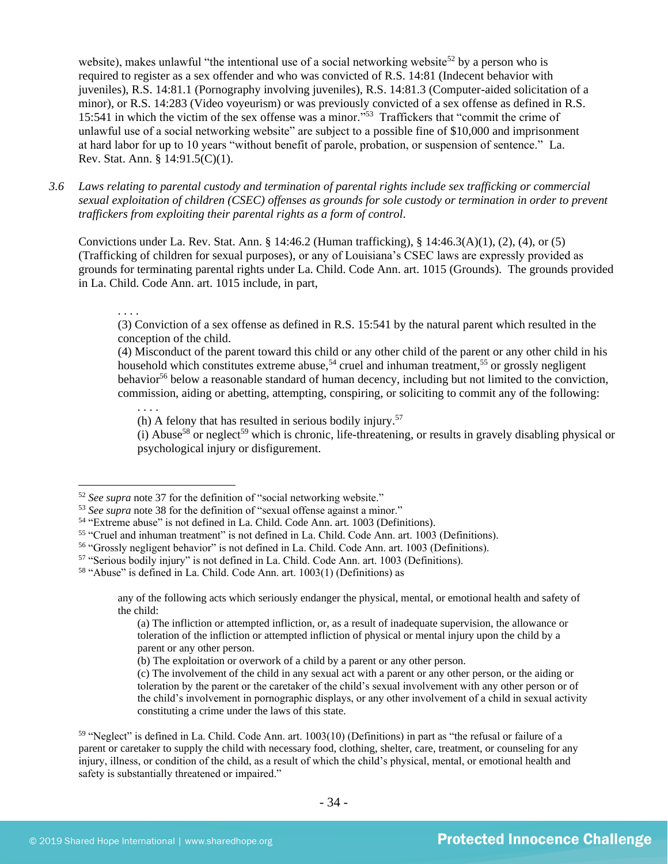website), makes unlawful "the intentional use of a social networking website<sup>52</sup> by a person who is required to register as a sex offender and who was convicted of R.S. 14:81 (Indecent behavior with juveniles), R.S. 14:81.1 (Pornography involving juveniles), R.S. 14:81.3 (Computer-aided solicitation of a minor), or R.S. 14:283 (Video voyeurism) or was previously convicted of a sex offense as defined in R.S. 15:541 in which the victim of the sex offense was a minor." <sup>53</sup> Traffickers that "commit the crime of unlawful use of a social networking website" are subject to a possible fine of \$10,000 and imprisonment at hard labor for up to 10 years "without benefit of parole, probation, or suspension of sentence." La. Rev. Stat. Ann. § 14:91.5(C)(1).

*3.6 Laws relating to parental custody and termination of parental rights include sex trafficking or commercial sexual exploitation of children (CSEC) offenses as grounds for sole custody or termination in order to prevent traffickers from exploiting their parental rights as a form of control.*

Convictions under La. Rev. Stat. Ann. § 14:46.2 (Human trafficking), § 14:46.3(A)(1), (2), (4), or (5) (Trafficking of children for sexual purposes), or any of Louisiana's CSEC laws are expressly provided as grounds for terminating parental rights under La. Child. Code Ann. art. 1015 (Grounds). The grounds provided in La. Child. Code Ann. art. 1015 include, in part,

. . . .

(3) Conviction of a sex offense as defined in R.S. 15:541 by the natural parent which resulted in the conception of the child.

(4) Misconduct of the parent toward this child or any other child of the parent or any other child in his household which constitutes extreme abuse,<sup>54</sup> cruel and inhuman treatment,<sup>55</sup> or grossly negligent behavior<sup>56</sup> below a reasonable standard of human decency, including but not limited to the conviction, commission, aiding or abetting, attempting, conspiring, or soliciting to commit any of the following:

. . . . (h) A felony that has resulted in serious bodily injury.<sup>57</sup>

 $(i)$  Abuse<sup>58</sup> or neglect<sup>59</sup> which is chronic, life-threatening, or results in gravely disabling physical or psychological injury or disfigurement.

<sup>52</sup> *See supra* note [37](#page-24-0) for the definition of "social networking website."

<sup>&</sup>lt;sup>53</sup> See supra note [38](#page-24-1) for the definition of "sexual offense against a minor."

<sup>54</sup> "Extreme abuse" is not defined in La. Child. Code Ann. art. 1003 (Definitions).

<sup>55</sup> "Cruel and inhuman treatment" is not defined in La. Child. Code Ann. art. 1003 (Definitions).

<sup>56</sup> "Grossly negligent behavior" is not defined in La. Child. Code Ann. art. 1003 (Definitions).

<sup>57</sup> "Serious bodily injury" is not defined in La. Child. Code Ann. art. 1003 (Definitions).

<sup>58</sup> "Abuse" is defined in La. Child. Code Ann. art. 1003(1) (Definitions) as

any of the following acts which seriously endanger the physical, mental, or emotional health and safety of the child:

<sup>(</sup>a) The infliction or attempted infliction, or, as a result of inadequate supervision, the allowance or toleration of the infliction or attempted infliction of physical or mental injury upon the child by a parent or any other person.

<sup>(</sup>b) The exploitation or overwork of a child by a parent or any other person.

<sup>(</sup>c) The involvement of the child in any sexual act with a parent or any other person, or the aiding or toleration by the parent or the caretaker of the child's sexual involvement with any other person or of the child's involvement in pornographic displays, or any other involvement of a child in sexual activity constituting a crime under the laws of this state.

<sup>59</sup> "Neglect" is defined in La. Child. Code Ann. art. 1003(10) (Definitions) in part as "the refusal or failure of a parent or caretaker to supply the child with necessary food, clothing, shelter, care, treatment, or counseling for any injury, illness, or condition of the child, as a result of which the child's physical, mental, or emotional health and safety is substantially threatened or impaired."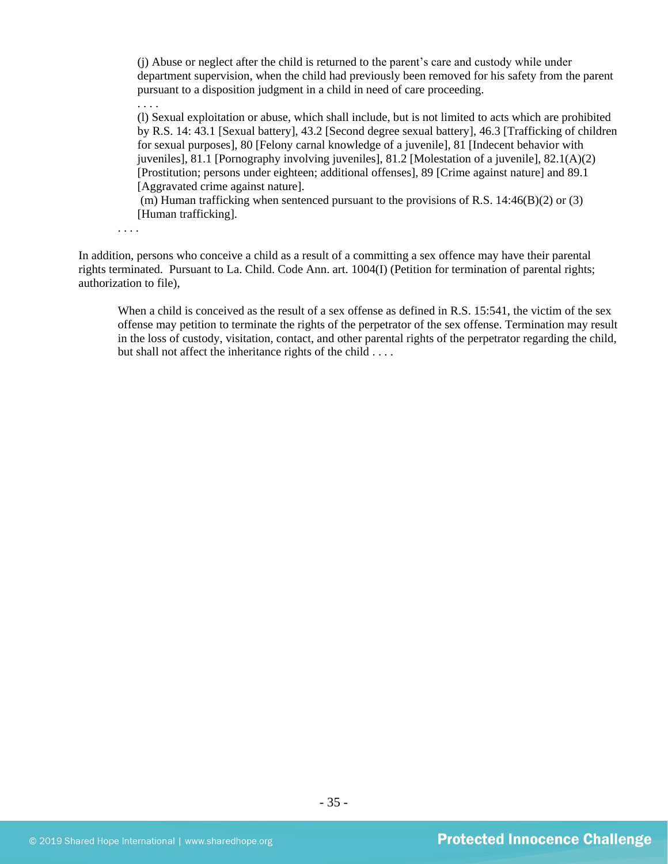(j) Abuse or neglect after the child is returned to the parent's care and custody while under department supervision, when the child had previously been removed for his safety from the parent pursuant to a disposition judgment in a child in need of care proceeding. . . . .

(l) Sexual exploitation or abuse, which shall include, but is not limited to acts which are prohibited by R.S. 14: 43.1 [Sexual battery], 43.2 [Second degree sexual battery], 46.3 [Trafficking of children for sexual purposes], 80 [Felony carnal knowledge of a juvenile], 81 [Indecent behavior with juveniles], 81.1 [Pornography involving juveniles], 81.2 [Molestation of a juvenile], 82.1(A)(2) [Prostitution; persons under eighteen; additional offenses], 89 [Crime against nature] and 89.1 [Aggravated crime against nature].

(m) Human trafficking when sentenced pursuant to the provisions of R.S.  $14:46(B)(2)$  or (3) [Human trafficking].

. . . .

In addition, persons who conceive a child as a result of a committing a sex offence may have their parental rights terminated. Pursuant to La. Child. Code Ann. art. 1004(I) (Petition for termination of parental rights; authorization to file),

When a child is conceived as the result of a sex offense as defined in R.S. 15:541, the victim of the sex offense may petition to terminate the rights of the perpetrator of the sex offense. Termination may result in the loss of custody, visitation, contact, and other parental rights of the perpetrator regarding the child, but shall not affect the inheritance rights of the child . . . .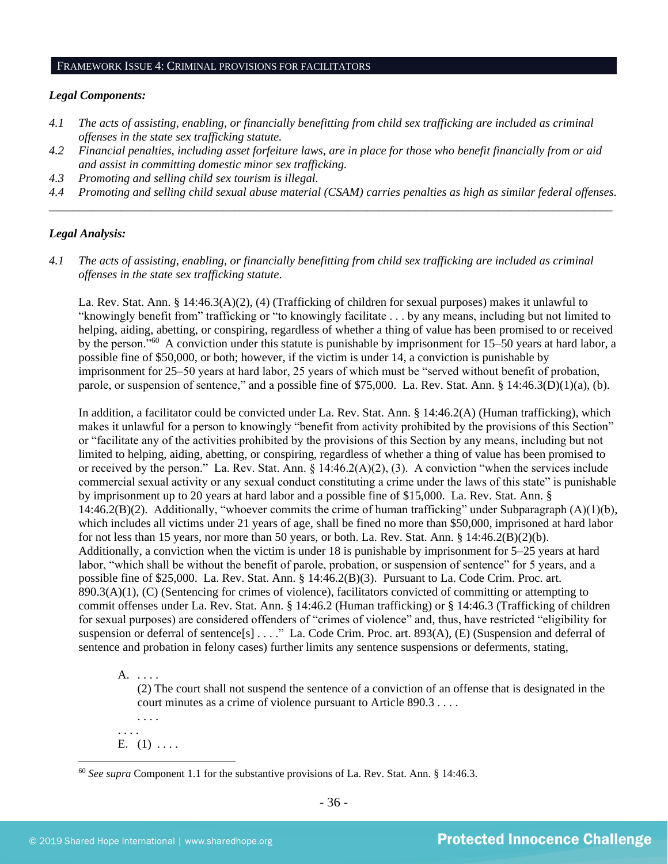## FRAMEWORK ISSUE 4: CRIMINAL PROVISIONS FOR FACILITATORS

#### *Legal Components:*

- *4.1 The acts of assisting, enabling, or financially benefitting from child sex trafficking are included as criminal offenses in the state sex trafficking statute.*
- *4.2 Financial penalties, including asset forfeiture laws, are in place for those who benefit financially from or aid and assist in committing domestic minor sex trafficking.*
- *4.3 Promoting and selling child sex tourism is illegal.*
- *4.4 Promoting and selling child sexual abuse material (CSAM) carries penalties as high as similar federal offenses. \_\_\_\_\_\_\_\_\_\_\_\_\_\_\_\_\_\_\_\_\_\_\_\_\_\_\_\_\_\_\_\_\_\_\_\_\_\_\_\_\_\_\_\_\_\_\_\_\_\_\_\_\_\_\_\_\_\_\_\_\_\_\_\_\_\_\_\_\_\_\_\_\_\_\_\_\_\_\_\_\_\_\_\_\_\_\_\_\_\_\_\_\_\_*

#### *Legal Analysis:*

*4.1 The acts of assisting, enabling, or financially benefitting from child sex trafficking are included as criminal offenses in the state sex trafficking statute*.

La. Rev. Stat. Ann. § 14:46.3(A)(2), (4) (Trafficking of children for sexual purposes) makes it unlawful to "knowingly benefit from" trafficking or "to knowingly facilitate . . . by any means, including but not limited to helping, aiding, abetting, or conspiring, regardless of whether a thing of value has been promised to or received by the person."<sup>60</sup> A conviction under this statute is punishable by imprisonment for 15–50 years at hard labor, a possible fine of \$50,000, or both; however, if the victim is under 14, a conviction is punishable by imprisonment for 25–50 years at hard labor, 25 years of which must be "served without benefit of probation, parole, or suspension of sentence," and a possible fine of \$75,000. La. Rev. Stat. Ann. § 14:46.3(D)(1)(a), (b).

In addition, a facilitator could be convicted under La. Rev. Stat. Ann. § 14:46.2(A) (Human trafficking), which makes it unlawful for a person to knowingly "benefit from activity prohibited by the provisions of this Section" or "facilitate any of the activities prohibited by the provisions of this Section by any means, including but not limited to helping, aiding, abetting, or conspiring, regardless of whether a thing of value has been promised to or received by the person." La. Rev. Stat. Ann. § 14:46.2(A)(2), (3). A conviction "when the services include commercial sexual activity or any sexual conduct constituting a crime under the laws of this state" is punishable by imprisonment up to 20 years at hard labor and a possible fine of \$15,000. La. Rev. Stat. Ann. § 14:46.2(B)(2). Additionally, "whoever commits the crime of human trafficking" under Subparagraph (A)(1)(b), which includes all victims under 21 years of age, shall be fined no more than \$50,000, imprisoned at hard labor for not less than 15 years, nor more than 50 years, or both. La. Rev. Stat. Ann. § 14:46.2(B)(2)(b). Additionally, a conviction when the victim is under 18 is punishable by imprisonment for 5–25 years at hard labor, "which shall be without the benefit of parole, probation, or suspension of sentence" for 5 years, and a possible fine of \$25,000. La. Rev. Stat. Ann. § 14:46.2(B)(3). Pursuant to La. Code Crim. Proc. art. 890.3(A)(1), (C) (Sentencing for crimes of violence), facilitators convicted of committing or attempting to commit offenses under La. Rev. Stat. Ann. § 14:46.2 (Human trafficking) or § 14:46.3 (Trafficking of children for sexual purposes) are considered offenders of "crimes of violence" and, thus, have restricted "eligibility for suspension or deferral of sentence[s] . . . ." La. Code Crim. Proc. art. 893(A), (E) (Suspension and deferral of sentence and probation in felony cases) further limits any sentence suspensions or deferments, stating,

A. . . . .

(2) The court shall not suspend the sentence of a conviction of an offense that is designated in the court minutes as a crime of violence pursuant to Article 890.3 . . . .

. . . . E.  $(1)$  ....

. . . .

<sup>60</sup> *See supra* Component 1.1 for the substantive provisions of La. Rev. Stat. Ann. § 14:46.3.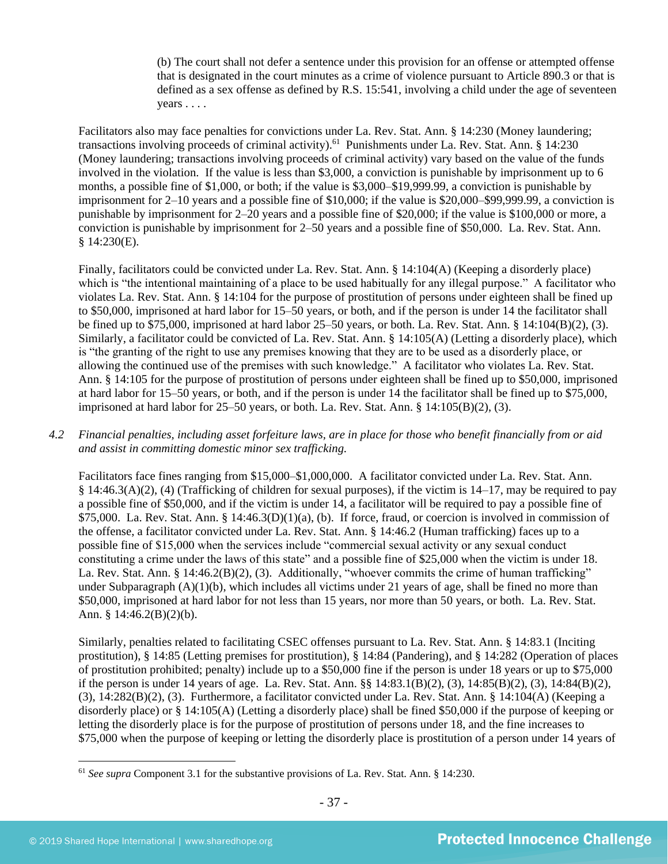(b) The court shall not defer a sentence under this provision for an offense or attempted offense that is designated in the court minutes as a crime of violence pursuant to Article 890.3 or that is defined as a sex offense as defined by R.S. 15:541, involving a child under the age of seventeen years . . . .

Facilitators also may face penalties for convictions under La. Rev. Stat. Ann. § 14:230 (Money laundering; transactions involving proceeds of criminal activity).<sup>61</sup> Punishments under La. Rev. Stat. Ann. § 14:230 (Money laundering; transactions involving proceeds of criminal activity) vary based on the value of the funds involved in the violation. If the value is less than \$3,000, a conviction is punishable by imprisonment up to 6 months, a possible fine of \$1,000, or both; if the value is \$3,000–\$19,999.99, a conviction is punishable by imprisonment for 2–10 years and a possible fine of \$10,000; if the value is \$20,000–\$99,999.99, a conviction is punishable by imprisonment for 2–20 years and a possible fine of \$20,000; if the value is \$100,000 or more, a conviction is punishable by imprisonment for 2–50 years and a possible fine of \$50,000. La. Rev. Stat. Ann. § 14:230(E).

Finally, facilitators could be convicted under La. Rev. Stat. Ann. § 14:104(A) (Keeping a disorderly place) which is "the intentional maintaining of a place to be used habitually for any illegal purpose." A facilitator who violates La. Rev. Stat. Ann. § 14:104 for the purpose of prostitution of persons under eighteen shall be fined up to \$50,000, imprisoned at hard labor for 15–50 years, or both, and if the person is under 14 the facilitator shall be fined up to \$75,000, imprisoned at hard labor 25–50 years, or both. La. Rev. Stat. Ann. § 14:104(B)(2), (3). Similarly, a facilitator could be convicted of La. Rev. Stat. Ann. § 14:105(A) (Letting a disorderly place), which is "the granting of the right to use any premises knowing that they are to be used as a disorderly place, or allowing the continued use of the premises with such knowledge." A facilitator who violates La. Rev. Stat. Ann. § 14:105 for the purpose of prostitution of persons under eighteen shall be fined up to \$50,000, imprisoned at hard labor for 15–50 years, or both, and if the person is under 14 the facilitator shall be fined up to \$75,000, imprisoned at hard labor for 25–50 years, or both. La. Rev. Stat. Ann. § 14:105(B)(2), (3).

*4.2 Financial penalties, including asset forfeiture laws, are in place for those who benefit financially from or aid and assist in committing domestic minor sex trafficking.*

Facilitators face fines ranging from \$15,000–\$1,000,000. A facilitator convicted under La. Rev. Stat. Ann. § 14:46.3(A)(2), (4) (Trafficking of children for sexual purposes), if the victim is 14–17, may be required to pay a possible fine of \$50,000, and if the victim is under 14, a facilitator will be required to pay a possible fine of \$75,000. La. Rev. Stat. Ann. § 14:46.3(D)(1)(a), (b). If force, fraud, or coercion is involved in commission of the offense, a facilitator convicted under La. Rev. Stat. Ann. § 14:46.2 (Human trafficking) faces up to a possible fine of \$15,000 when the services include "commercial sexual activity or any sexual conduct constituting a crime under the laws of this state" and a possible fine of \$25,000 when the victim is under 18. La. Rev. Stat. Ann. § 14:46.2(B)(2), (3). Additionally, "whoever commits the crime of human trafficking" under Subparagraph  $(A)(1)(b)$ , which includes all victims under 21 years of age, shall be fined no more than \$50,000, imprisoned at hard labor for not less than 15 years, nor more than 50 years, or both. La. Rev. Stat. Ann. § 14:46.2(B)(2)(b).

Similarly, penalties related to facilitating CSEC offenses pursuant to La. Rev. Stat. Ann. § 14:83.1 (Inciting prostitution), § 14:85 (Letting premises for prostitution), § 14:84 (Pandering), and § 14:282 (Operation of places of prostitution prohibited; penalty) include up to a \$50,000 fine if the person is under 18 years or up to \$75,000 if the person is under 14 years of age. La. Rev. Stat. Ann. §§ 14:83.1(B)(2), (3), 14:85(B)(2), (3), 14:84(B)(2), (3), 14:282(B)(2), (3). Furthermore, a facilitator convicted under La. Rev. Stat. Ann. § 14:104(A) (Keeping a disorderly place) or § 14:105(A) (Letting a disorderly place) shall be fined \$50,000 if the purpose of keeping or letting the disorderly place is for the purpose of prostitution of persons under 18, and the fine increases to \$75,000 when the purpose of keeping or letting the disorderly place is prostitution of a person under 14 years of

<sup>61</sup> *See supra* Component 3.1 for the substantive provisions of La. Rev. Stat. Ann. § 14:230.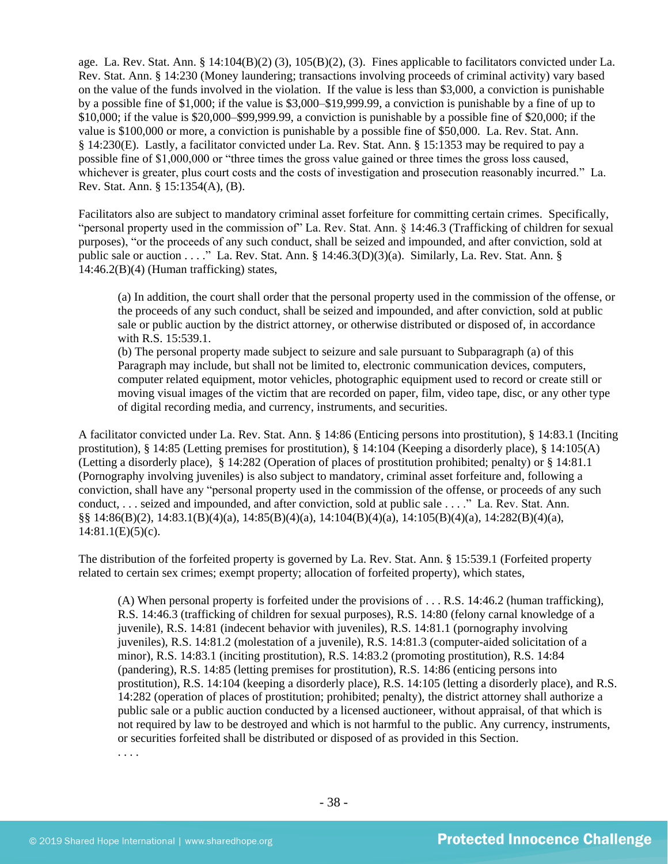age. La. Rev. Stat. Ann. § 14:104(B)(2) (3), 105(B)(2), (3). Fines applicable to facilitators convicted under La. Rev. Stat. Ann. § 14:230 (Money laundering; transactions involving proceeds of criminal activity) vary based on the value of the funds involved in the violation. If the value is less than \$3,000, a conviction is punishable by a possible fine of \$1,000; if the value is \$3,000–\$19,999.99, a conviction is punishable by a fine of up to \$10,000; if the value is \$20,000–\$99,999.99, a conviction is punishable by a possible fine of \$20,000; if the value is \$100,000 or more, a conviction is punishable by a possible fine of \$50,000. La. Rev. Stat. Ann. § 14:230(E). Lastly, a facilitator convicted under La. Rev. Stat. Ann. § 15:1353 may be required to pay a possible fine of \$1,000,000 or "three times the gross value gained or three times the gross loss caused, whichever is greater, plus court costs and the costs of investigation and prosecution reasonably incurred." La. Rev. Stat. Ann. § 15:1354(A), (B).

Facilitators also are subject to mandatory criminal asset forfeiture for committing certain crimes. Specifically, "personal property used in the commission of" La. Rev. Stat. Ann. § 14:46.3 (Trafficking of children for sexual purposes), "or the proceeds of any such conduct, shall be seized and impounded, and after conviction, sold at public sale or auction . . . ." La. Rev. Stat. Ann. § 14:46.3(D)(3)(a). Similarly, La. Rev. Stat. Ann. §  $14:46.2(B)(4)$  (Human trafficking) states,

(a) In addition, the court shall order that the personal property used in the commission of the offense, or the proceeds of any such conduct, shall be seized and impounded, and after conviction, sold at public sale or public auction by the district attorney, or otherwise distributed or disposed of, in accordance with R.S. 15:539.1.

(b) The personal property made subject to seizure and sale pursuant to Subparagraph (a) of this Paragraph may include, but shall not be limited to, electronic communication devices, computers, computer related equipment, motor vehicles, photographic equipment used to record or create still or moving visual images of the victim that are recorded on paper, film, video tape, disc, or any other type of digital recording media, and currency, instruments, and securities.

A facilitator convicted under La. Rev. Stat. Ann. § 14:86 (Enticing persons into prostitution), § 14:83.1 (Inciting prostitution), § 14:85 (Letting premises for prostitution), § 14:104 (Keeping a disorderly place), § 14:105(A) (Letting a disorderly place), § 14:282 (Operation of places of prostitution prohibited; penalty) or § 14:81.1 (Pornography involving juveniles) is also subject to mandatory, criminal asset forfeiture and, following a conviction, shall have any "personal property used in the commission of the offense, or proceeds of any such conduct, . . . seized and impounded, and after conviction, sold at public sale . . . ." La. Rev. Stat. Ann. §§ 14:86(B)(2), 14:83.1(B)(4)(a), 14:85(B)(4)(a), 14:104(B)(4)(a), 14:105(B)(4)(a), 14:282(B)(4)(a),  $14:81.1(E)(5)(c)$ .

The distribution of the forfeited property is governed by La. Rev. Stat. Ann. § 15:539.1 (Forfeited property related to certain sex crimes; exempt property; allocation of forfeited property), which states,

(A) When personal property is forfeited under the provisions of . . . R.S. 14:46.2 (human trafficking), R.S. 14:46.3 (trafficking of children for sexual purposes), R.S. 14:80 (felony carnal knowledge of a juvenile), R.S. 14:81 (indecent behavior with juveniles), R.S. 14:81.1 (pornography involving juveniles), R.S. 14:81.2 (molestation of a juvenile), R.S. 14:81.3 (computer-aided solicitation of a minor), R.S. 14:83.1 (inciting prostitution), R.S. 14:83.2 (promoting prostitution), R.S. 14:84 (pandering), R.S. 14:85 (letting premises for prostitution), R.S. 14:86 (enticing persons into prostitution), R.S. 14:104 (keeping a disorderly place), R.S. 14:105 (letting a disorderly place), and R.S. 14:282 (operation of places of prostitution; prohibited; penalty), the district attorney shall authorize a public sale or a public auction conducted by a licensed auctioneer, without appraisal, of that which is not required by law to be destroyed and which is not harmful to the public. Any currency, instruments, or securities forfeited shall be distributed or disposed of as provided in this Section. . . . .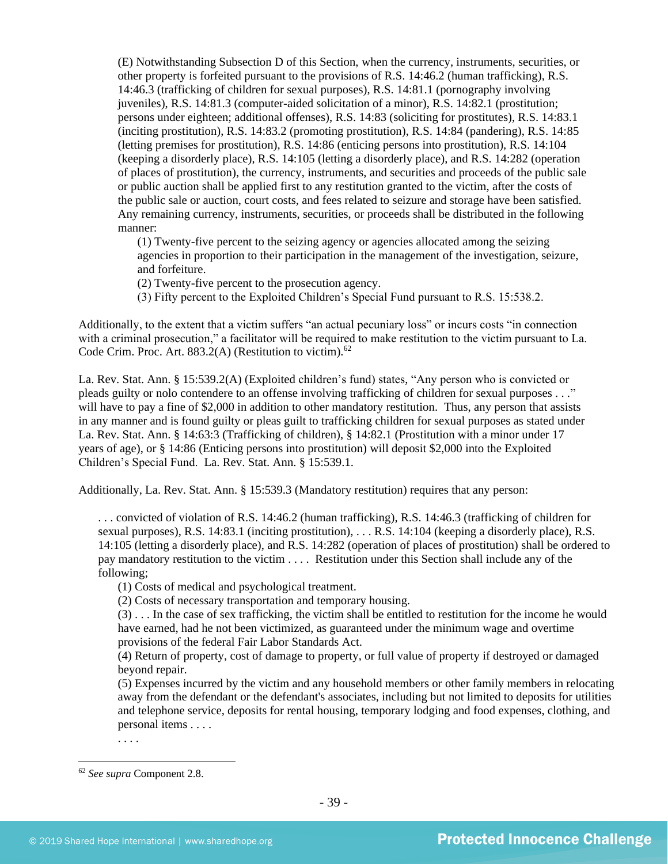(E) Notwithstanding Subsection D of this Section, when the currency, instruments, securities, or other property is forfeited pursuant to the provisions of R.S. 14:46.2 (human trafficking), R.S. 14:46.3 (trafficking of children for sexual purposes), R.S. 14:81.1 (pornography involving juveniles), R.S. 14:81.3 (computer-aided solicitation of a minor), R.S. 14:82.1 (prostitution; persons under eighteen; additional offenses), R.S. 14:83 (soliciting for prostitutes), R.S. 14:83.1 (inciting prostitution), R.S. 14:83.2 (promoting prostitution), R.S. 14:84 (pandering), R.S. 14:85 (letting premises for prostitution), R.S. 14:86 (enticing persons into prostitution), R.S. 14:104 (keeping a disorderly place), R.S. 14:105 (letting a disorderly place), and R.S. 14:282 (operation of places of prostitution), the currency, instruments, and securities and proceeds of the public sale or public auction shall be applied first to any restitution granted to the victim, after the costs of the public sale or auction, court costs, and fees related to seizure and storage have been satisfied. Any remaining currency, instruments, securities, or proceeds shall be distributed in the following manner:

(1) Twenty-five percent to the seizing agency or agencies allocated among the seizing agencies in proportion to their participation in the management of the investigation, seizure, and forfeiture.

(2) Twenty-five percent to the prosecution agency.

(3) Fifty percent to the Exploited Children's Special Fund pursuant to R.S. 15:538.2.

Additionally, to the extent that a victim suffers "an actual pecuniary loss" or incurs costs "in connection with a criminal prosecution," a facilitator will be required to make restitution to the victim pursuant to La. Code Crim. Proc. Art. 883.2(A) (Restitution to victim).<sup>62</sup>

La. Rev. Stat. Ann. § 15:539.2(A) (Exploited children's fund) states, "Any person who is convicted or pleads guilty or nolo contendere to an offense involving trafficking of children for sexual purposes . . ." will have to pay a fine of \$2,000 in addition to other mandatory restitution. Thus, any person that assists in any manner and is found guilty or pleas guilt to trafficking children for sexual purposes as stated under La. Rev. Stat. Ann. § 14:63:3 (Trafficking of children), § 14:82.1 (Prostitution with a minor under 17 years of age), or § 14:86 (Enticing persons into prostitution) will deposit \$2,000 into the Exploited Children's Special Fund. La. Rev. Stat. Ann. § 15:539.1.

Additionally, La. Rev. Stat. Ann. § 15:539.3 (Mandatory restitution) requires that any person:

. . . convicted of violation of R.S. 14:46.2 (human trafficking), R.S. 14:46.3 (trafficking of children for sexual purposes), R.S. 14:83.1 (inciting prostitution), . . . R.S. 14:104 (keeping a disorderly place), R.S. 14:105 (letting a disorderly place), and R.S. 14:282 (operation of places of prostitution) shall be ordered to pay mandatory restitution to the victim . . . . Restitution under this Section shall include any of the following;

(1) Costs of medical and psychological treatment.

(2) Costs of necessary transportation and temporary housing.

(3) . . . In the case of sex trafficking, the victim shall be entitled to restitution for the income he would have earned, had he not been victimized, as guaranteed under the minimum wage and overtime provisions of the federal Fair Labor Standards Act.

(4) Return of property, cost of damage to property, or full value of property if destroyed or damaged beyond repair.

(5) Expenses incurred by the victim and any household members or other family members in relocating away from the defendant or the defendant's associates, including but not limited to deposits for utilities and telephone service, deposits for rental housing, temporary lodging and food expenses, clothing, and personal items . . . .

. . . .

<sup>62</sup> *See supra* Component 2.8.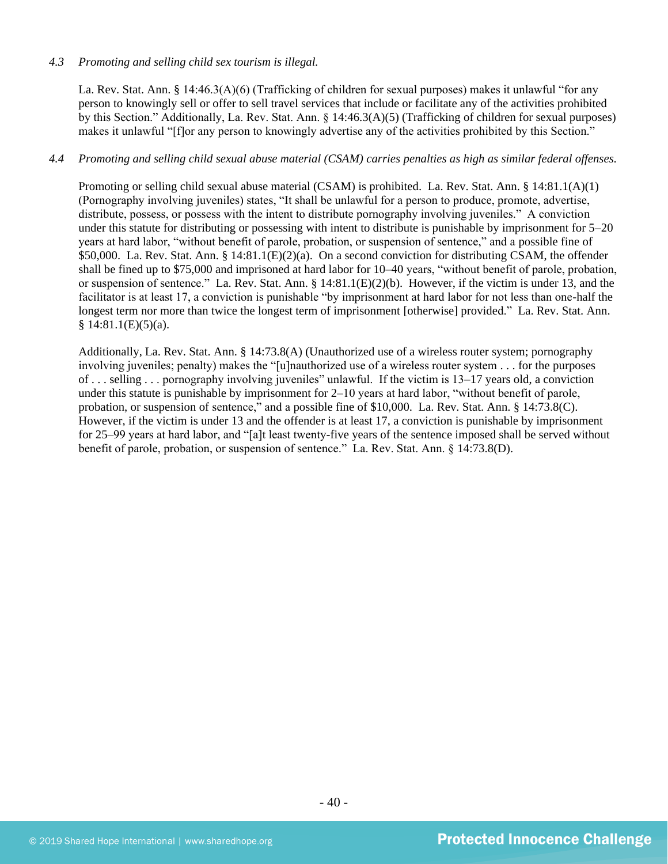#### *4.3 Promoting and selling child sex tourism is illegal.*

La. Rev. Stat. Ann. § 14:46.3(A)(6) (Trafficking of children for sexual purposes) makes it unlawful "for any person to knowingly sell or offer to sell travel services that include or facilitate any of the activities prohibited by this Section." Additionally, La. Rev. Stat. Ann. § 14:46.3(A)(5) (Trafficking of children for sexual purposes) makes it unlawful "[f]or any person to knowingly advertise any of the activities prohibited by this Section."

### *4.4 Promoting and selling child sexual abuse material (CSAM) carries penalties as high as similar federal offenses.*

Promoting or selling child sexual abuse material (CSAM) is prohibited. La. Rev. Stat. Ann. § 14:81.1(A)(1) (Pornography involving juveniles) states, "It shall be unlawful for a person to produce, promote, advertise, distribute, possess, or possess with the intent to distribute pornography involving juveniles." A conviction under this statute for distributing or possessing with intent to distribute is punishable by imprisonment for 5–20 years at hard labor, "without benefit of parole, probation, or suspension of sentence," and a possible fine of \$50,000. La. Rev. Stat. Ann. § 14:81.1(E)(2)(a). On a second conviction for distributing CSAM, the offender shall be fined up to \$75,000 and imprisoned at hard labor for 10–40 years, "without benefit of parole, probation, or suspension of sentence." La. Rev. Stat. Ann. § 14:81.1(E)(2)(b). However, if the victim is under 13, and the facilitator is at least 17, a conviction is punishable "by imprisonment at hard labor for not less than one-half the longest term nor more than twice the longest term of imprisonment [otherwise] provided." La. Rev. Stat. Ann.  $§ 14:81.1(E)(5)(a).$ 

Additionally, La. Rev. Stat. Ann. § 14:73.8(A) (Unauthorized use of a wireless router system; pornography involving juveniles; penalty) makes the "[u]nauthorized use of a wireless router system . . . for the purposes of . . . selling . . . pornography involving juveniles" unlawful. If the victim is 13–17 years old, a conviction under this statute is punishable by imprisonment for 2–10 years at hard labor, "without benefit of parole, probation, or suspension of sentence," and a possible fine of \$10,000. La. Rev. Stat. Ann. § 14:73.8(C). However, if the victim is under 13 and the offender is at least 17, a conviction is punishable by imprisonment for 25–99 years at hard labor, and "[a]t least twenty-five years of the sentence imposed shall be served without benefit of parole, probation, or suspension of sentence." La. Rev. Stat. Ann. § 14:73.8(D).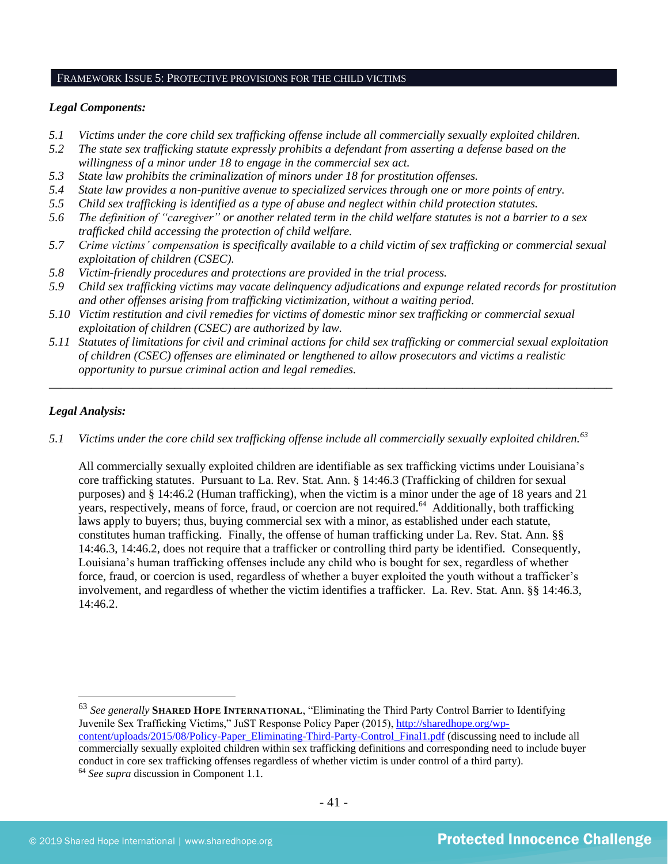#### FRAMEWORK ISSUE 5: PROTECTIVE PROVISIONS FOR THE CHILD VICTIMS

#### *Legal Components:*

- *5.1 Victims under the core child sex trafficking offense include all commercially sexually exploited children.*
- *5.2 The state sex trafficking statute expressly prohibits a defendant from asserting a defense based on the willingness of a minor under 18 to engage in the commercial sex act.*
- *5.3 State law prohibits the criminalization of minors under 18 for prostitution offenses.*
- *5.4 State law provides a non-punitive avenue to specialized services through one or more points of entry.*
- *5.5 Child sex trafficking is identified as a type of abuse and neglect within child protection statutes.*
- *5.6 The definition of "caregiver" or another related term in the child welfare statutes is not a barrier to a sex trafficked child accessing the protection of child welfare.*
- *5.7 Crime victims' compensation is specifically available to a child victim of sex trafficking or commercial sexual exploitation of children (CSEC).*
- *5.8 Victim-friendly procedures and protections are provided in the trial process.*
- *5.9 Child sex trafficking victims may vacate delinquency adjudications and expunge related records for prostitution and other offenses arising from trafficking victimization, without a waiting period.*
- *5.10 Victim restitution and civil remedies for victims of domestic minor sex trafficking or commercial sexual exploitation of children (CSEC) are authorized by law.*
- *5.11 Statutes of limitations for civil and criminal actions for child sex trafficking or commercial sexual exploitation of children (CSEC) offenses are eliminated or lengthened to allow prosecutors and victims a realistic opportunity to pursue criminal action and legal remedies.*

*\_\_\_\_\_\_\_\_\_\_\_\_\_\_\_\_\_\_\_\_\_\_\_\_\_\_\_\_\_\_\_\_\_\_\_\_\_\_\_\_\_\_\_\_\_\_\_\_\_\_\_\_\_\_\_\_\_\_\_\_\_\_\_\_\_\_\_\_\_\_\_\_\_\_\_\_\_\_\_\_\_\_\_\_\_\_\_\_\_\_\_\_\_\_*

## *Legal Analysis:*

*5.1 Victims under the core child sex trafficking offense include all commercially sexually exploited children.<sup>63</sup>*

All commercially sexually exploited children are identifiable as sex trafficking victims under Louisiana's core trafficking statutes. Pursuant to La. Rev. Stat. Ann. § 14:46.3 (Trafficking of children for sexual purposes) and § 14:46.2 (Human trafficking), when the victim is a minor under the age of 18 years and 21 years, respectively, means of force, fraud, or coercion are not required.<sup>64</sup> Additionally, both trafficking laws apply to buyers; thus, buying commercial sex with a minor, as established under each statute, constitutes human trafficking. Finally, the offense of human trafficking under La. Rev. Stat. Ann. §§ 14:46.3, 14:46.2, does not require that a trafficker or controlling third party be identified. Consequently, Louisiana's human trafficking offenses include any child who is bought for sex, regardless of whether force, fraud, or coercion is used, regardless of whether a buyer exploited the youth without a trafficker's involvement, and regardless of whether the victim identifies a trafficker. La. Rev. Stat. Ann. §§ 14:46.3, 14:46.2.

<sup>63</sup> *See generally* **SHARED HOPE INTERNATIONAL**, "Eliminating the Third Party Control Barrier to Identifying Juvenile Sex Trafficking Victims," JuST Response Policy Paper (2015), [http://sharedhope.org/wp](http://sharedhope.org/wp-content/uploads/2015/08/Policy-Paper_Eliminating-Third-Party-Control_Final1.pdf)[content/uploads/2015/08/Policy-Paper\\_Eliminating-Third-Party-Control\\_Final1.pdf](http://sharedhope.org/wp-content/uploads/2015/08/Policy-Paper_Eliminating-Third-Party-Control_Final1.pdf) (discussing need to include all commercially sexually exploited children within sex trafficking definitions and corresponding need to include buyer conduct in core sex trafficking offenses regardless of whether victim is under control of a third party). <sup>64</sup> *See supra* discussion in Component 1.1.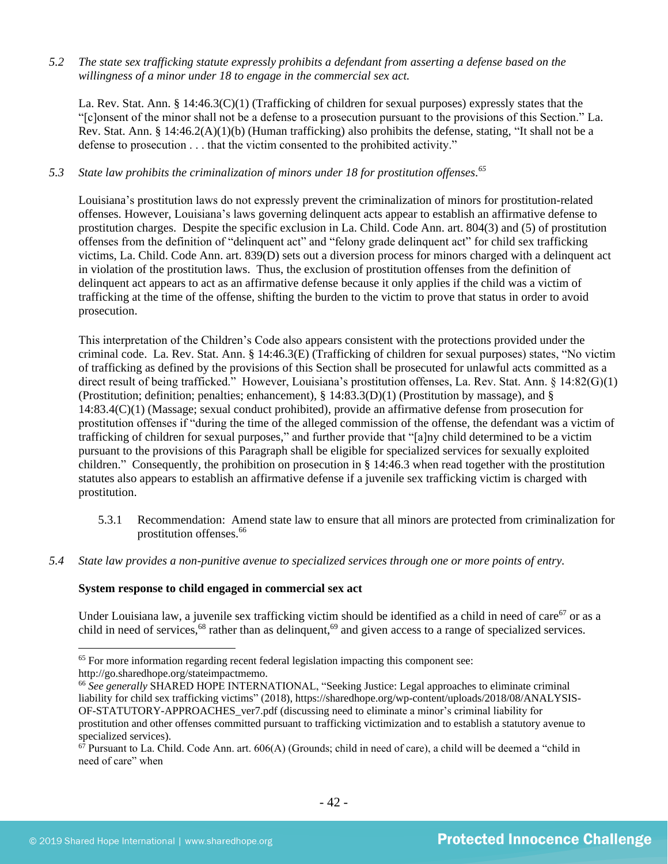*5.2 The state sex trafficking statute expressly prohibits a defendant from asserting a defense based on the willingness of a minor under 18 to engage in the commercial sex act.* 

La. Rev. Stat. Ann. § 14:46.3(C)(1) (Trafficking of children for sexual purposes) expressly states that the "[c]onsent of the minor shall not be a defense to a prosecution pursuant to the provisions of this Section." La. Rev. Stat. Ann. § 14:46.2(A)(1)(b) (Human trafficking) also prohibits the defense, stating, "It shall not be a defense to prosecution . . . that the victim consented to the prohibited activity."

## *5.3 State law prohibits the criminalization of minors under 18 for prostitution offenses. 65*

Louisiana's prostitution laws do not expressly prevent the criminalization of minors for prostitution-related offenses. However, Louisiana's laws governing delinquent acts appear to establish an affirmative defense to prostitution charges. Despite the specific exclusion in La. Child. Code Ann. art. 804(3) and (5) of prostitution offenses from the definition of "delinquent act" and "felony grade delinquent act" for child sex trafficking victims, La. Child. Code Ann. art. 839(D) sets out a diversion process for minors charged with a delinquent act in violation of the prostitution laws. Thus, the exclusion of prostitution offenses from the definition of delinquent act appears to act as an affirmative defense because it only applies if the child was a victim of trafficking at the time of the offense, shifting the burden to the victim to prove that status in order to avoid prosecution.

This interpretation of the Children's Code also appears consistent with the protections provided under the criminal code. La. Rev. Stat. Ann. § 14:46.3(E) (Trafficking of children for sexual purposes) states, "No victim of trafficking as defined by the provisions of this Section shall be prosecuted for unlawful acts committed as a direct result of being trafficked." However, Louisiana's prostitution offenses, La. Rev. Stat. Ann. § 14:82(G)(1) (Prostitution; definition; penalties; enhancement), § 14:83.3(D)(1) (Prostitution by massage), and § 14:83.4(C)(1) (Massage; sexual conduct prohibited), provide an affirmative defense from prosecution for prostitution offenses if "during the time of the alleged commission of the offense, the defendant was a victim of trafficking of children for sexual purposes," and further provide that "[a]ny child determined to be a victim pursuant to the provisions of this Paragraph shall be eligible for specialized services for sexually exploited children." Consequently, the prohibition on prosecution in § 14:46.3 when read together with the prostitution statutes also appears to establish an affirmative defense if a juvenile sex trafficking victim is charged with prostitution.

- 5.3.1 Recommendation: Amend state law to ensure that all minors are protected from criminalization for prostitution offenses.<sup>66</sup>
- *5.4 State law provides a non-punitive avenue to specialized services through one or more points of entry.*

## **System response to child engaged in commercial sex act**

Under Louisiana law, a juvenile sex trafficking victim should be identified as a child in need of care<sup>67</sup> or as a child in need of services,<sup>68</sup> rather than as delinquent,<sup>69</sup> and given access to a range of specialized services.

<sup>&</sup>lt;sup>65</sup> For more information regarding recent federal legislation impacting this component see: http://go.sharedhope.org/stateimpactmemo.

<sup>66</sup> *See generally* SHARED HOPE INTERNATIONAL, "Seeking Justice: Legal approaches to eliminate criminal liability for child sex trafficking victims" (2018), https://sharedhope.org/wp-content/uploads/2018/08/ANALYSIS-OF-STATUTORY-APPROACHES\_ver7.pdf (discussing need to eliminate a minor's criminal liability for prostitution and other offenses committed pursuant to trafficking victimization and to establish a statutory avenue to specialized services).

 $67$  Pursuant to La. Child. Code Ann. art.  $606(A)$  (Grounds; child in need of care), a child will be deemed a "child in need of care" when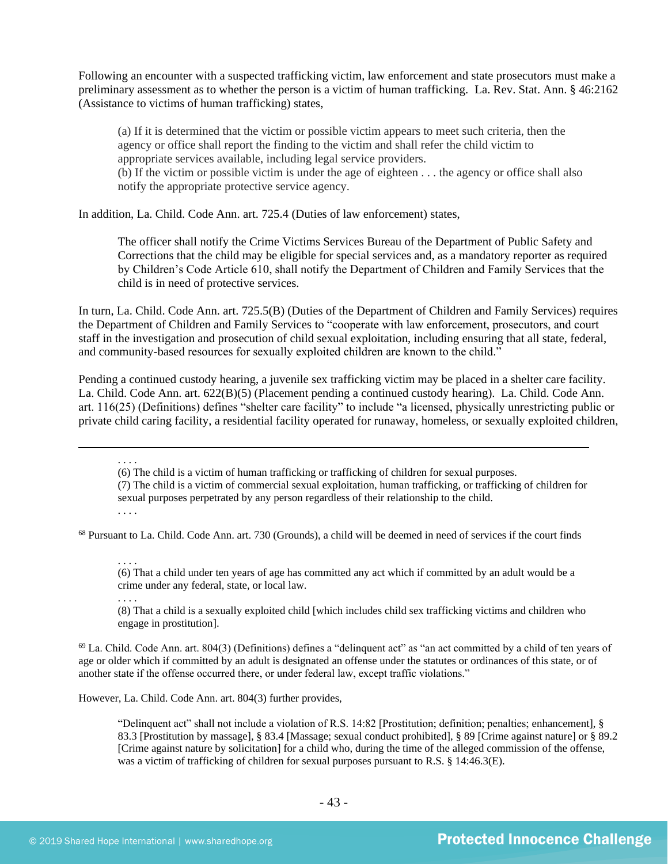Following an encounter with a suspected trafficking victim, law enforcement and state prosecutors must make a preliminary assessment as to whether the person is a victim of human trafficking. La. Rev. Stat. Ann. § 46:2162 (Assistance to victims of human trafficking) states,

(a) If it is determined that the victim or possible victim appears to meet such criteria, then the agency or office shall report the finding to the victim and shall refer the child victim to appropriate services available, including legal service providers.

(b) If the victim or possible victim is under the age of eighteen . . . the agency or office shall also notify the appropriate protective service agency.

In addition, La. Child. Code Ann. art. 725.4 (Duties of law enforcement) states,

The officer shall notify the Crime Victims Services Bureau of the Department of Public Safety and Corrections that the child may be eligible for special services and, as a mandatory reporter as required by Children's Code Article 610, shall notify the Department of Children and Family Services that the child is in need of protective services.

In turn, La. Child. Code Ann. art. 725.5(B) (Duties of the Department of Children and Family Services) requires the Department of Children and Family Services to "cooperate with law enforcement, prosecutors, and court staff in the investigation and prosecution of child sexual exploitation, including ensuring that all state, federal, and community-based resources for sexually exploited children are known to the child."

Pending a continued custody hearing, a juvenile sex trafficking victim may be placed in a shelter care facility. La. Child. Code Ann. art. 622(B)(5) (Placement pending a continued custody hearing). La. Child. Code Ann. art. 116(25) (Definitions) defines "shelter care facility" to include "a licensed, physically unrestricting public or private child caring facility, a residential facility operated for runaway, homeless, or sexually exploited children,

(6) The child is a victim of human trafficking or trafficking of children for sexual purposes.

(7) The child is a victim of commercial sexual exploitation, human trafficking, or trafficking of children for sexual purposes perpetrated by any person regardless of their relationship to the child.

. . . .

. . . .

<sup>68</sup> Pursuant to La. Child. Code Ann. art. 730 (Grounds), a child will be deemed in need of services if the court finds

. . . . (6) That a child under ten years of age has committed any act which if committed by an adult would be a crime under any federal, state, or local law.

. . . .

(8) That a child is a sexually exploited child [which includes child sex trafficking victims and children who engage in prostitution].

 $69$  La. Child. Code Ann. art. 804(3) (Definitions) defines a "delinquent act" as "an act committed by a child of ten years of age or older which if committed by an adult is designated an offense under the statutes or ordinances of this state, or of another state if the offense occurred there, or under federal law, except traffic violations."

However, La. Child. Code Ann. art. 804(3) further provides,

"Delinquent act" shall not include a violation of R.S. 14:82 [Prostitution; definition; penalties; enhancement], § 83.3 [Prostitution by massage], § 83.4 [Massage; sexual conduct prohibited], § 89 [Crime against nature] or § 89.2 [Crime against nature by solicitation] for a child who, during the time of the alleged commission of the offense, was a victim of trafficking of children for sexual purposes pursuant to R.S. § 14:46.3(E).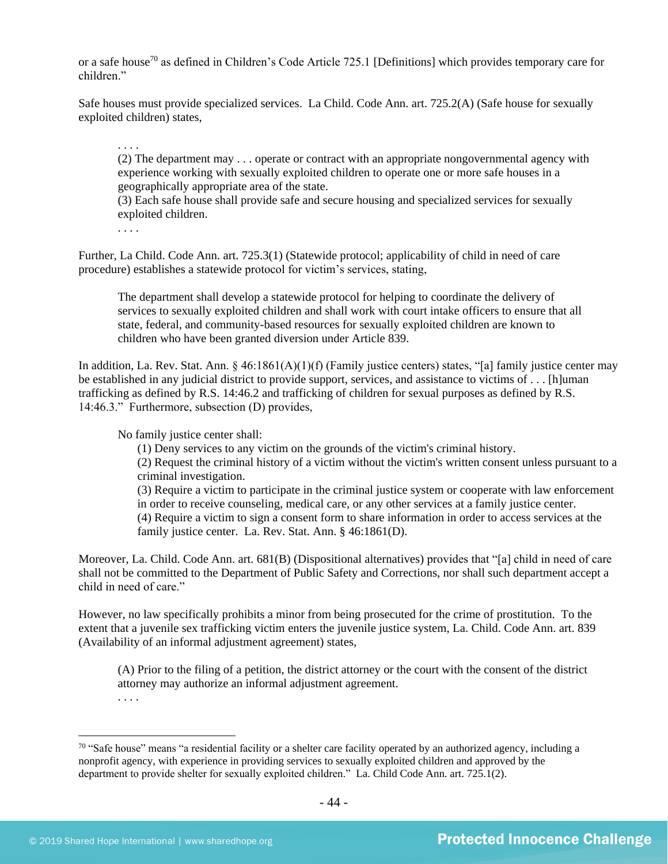or a safe house<sup>70</sup> as defined in Children's Code Article 725.1 [Definitions] which provides temporary care for children"

Safe houses must provide specialized services. La Child. Code Ann. art. 725.2(A) (Safe house for sexually exploited children) states,

(2) The department may . . . operate or contract with an appropriate nongovernmental agency with experience working with sexually exploited children to operate one or more safe houses in a geographically appropriate area of the state.

(3) Each safe house shall provide safe and secure housing and specialized services for sexually exploited children.

. . . .

. . . .

Further, La Child. Code Ann. art. 725.3(1) (Statewide protocol; applicability of child in need of care procedure) establishes a statewide protocol for victim's services, stating,

The department shall develop a statewide protocol for helping to coordinate the delivery of services to sexually exploited children and shall work with court intake officers to ensure that all state, federal, and community-based resources for sexually exploited children are known to children who have been granted diversion under Article 839.

In addition, La. Rev. Stat. Ann. § 46:1861(A)(1)(f) (Family justice centers) states, "[a] family justice center may be established in any judicial district to provide support, services, and assistance to victims of . . . [h]uman trafficking as defined by R.S. 14:46.2 and trafficking of children for sexual purposes as defined by R.S. 14:46.3." Furthermore, subsection (D) provides,

No family justice center shall:

(1) Deny services to any victim on the grounds of the victim's criminal history.

(2) Request the criminal history of a victim without the victim's written consent unless pursuant to a criminal investigation.

(3) Require a victim to participate in the criminal justice system or cooperate with law enforcement in order to receive counseling, medical care, or any other services at a family justice center. (4) Require a victim to sign a consent form to share information in order to access services at the family justice center. La. Rev. Stat. Ann. § 46:1861(D).

Moreover, La. Child. Code Ann. art. 681(B) (Dispositional alternatives) provides that "[a] child in need of care shall not be committed to the Department of Public Safety and Corrections, nor shall such department accept a child in need of care."

However, no law specifically prohibits a minor from being prosecuted for the crime of prostitution. To the extent that a juvenile sex trafficking victim enters the juvenile justice system, La. Child. Code Ann. art. 839 (Availability of an informal adjustment agreement) states,

(A) Prior to the filing of a petition, the district attorney or the court with the consent of the district attorney may authorize an informal adjustment agreement.

. . . .

 $70$  "Safe house" means "a residential facility or a shelter care facility operated by an authorized agency, including a nonprofit agency, with experience in providing services to sexually exploited children and approved by the department to provide shelter for sexually exploited children." La. Child Code Ann. art. 725.1(2).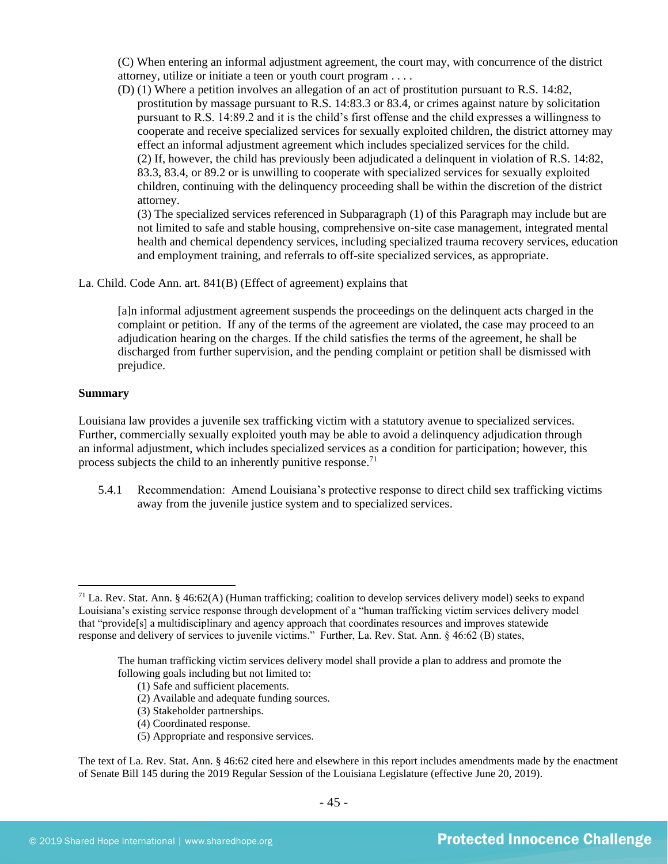(C) When entering an informal adjustment agreement, the court may, with concurrence of the district attorney, utilize or initiate a teen or youth court program . . . .

(D) (1) Where a petition involves an allegation of an act of prostitution pursuant to R.S. 14:82, prostitution by massage pursuant to R.S. 14:83.3 or 83.4, or crimes against nature by solicitation pursuant to R.S. 14:89.2 and it is the child's first offense and the child expresses a willingness to cooperate and receive specialized services for sexually exploited children, the district attorney may effect an informal adjustment agreement which includes specialized services for the child. (2) If, however, the child has previously been adjudicated a delinquent in violation of R.S. 14:82, 83.3, 83.4, or 89.2 or is unwilling to cooperate with specialized services for sexually exploited children, continuing with the delinquency proceeding shall be within the discretion of the district attorney.

(3) The specialized services referenced in Subparagraph (1) of this Paragraph may include but are not limited to safe and stable housing, comprehensive on-site case management, integrated mental health and chemical dependency services, including specialized trauma recovery services, education and employment training, and referrals to off-site specialized services, as appropriate.

La. Child. Code Ann. art. 841(B) (Effect of agreement) explains that

[a]n informal adjustment agreement suspends the proceedings on the delinquent acts charged in the complaint or petition. If any of the terms of the agreement are violated, the case may proceed to an adjudication hearing on the charges. If the child satisfies the terms of the agreement, he shall be discharged from further supervision, and the pending complaint or petition shall be dismissed with prejudice.

#### **Summary**

Louisiana law provides a juvenile sex trafficking victim with a statutory avenue to specialized services. Further, commercially sexually exploited youth may be able to avoid a delinquency adjudication through an informal adjustment, which includes specialized services as a condition for participation; however, this process subjects the child to an inherently punitive response.<sup>71</sup>

5.4.1 Recommendation: Amend Louisiana's protective response to direct child sex trafficking victims away from the juvenile justice system and to specialized services.

- (1) Safe and sufficient placements.
- (2) Available and adequate funding sources.
- (3) Stakeholder partnerships.
- (4) Coordinated response.
- (5) Appropriate and responsive services.

The text of La. Rev. Stat. Ann. § 46:62 cited here and elsewhere in this report includes amendments made by the enactment of Senate Bill 145 during the 2019 Regular Session of the Louisiana Legislature (effective June 20, 2019).

 $<sup>71</sup>$  La. Rev. Stat. Ann. § 46:62(A) (Human trafficking; coalition to develop services delivery model) seeks to expand</sup> Louisiana's existing service response through development of a "human trafficking victim services delivery model that "provide[s] a multidisciplinary and agency approach that coordinates resources and improves statewide response and delivery of services to juvenile victims." Further, La. Rev. Stat. Ann. § 46:62 (B) states,

The human trafficking victim services delivery model shall provide a plan to address and promote the following goals including but not limited to: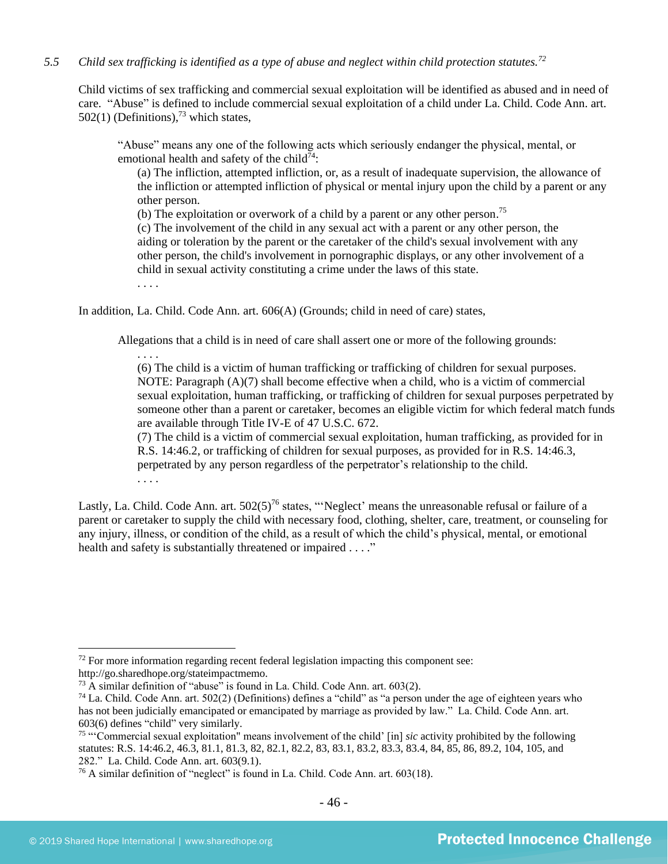## *5.5 Child sex trafficking is identified as a type of abuse and neglect within child protection statutes.<sup>72</sup>*

Child victims of sex trafficking and commercial sexual exploitation will be identified as abused and in need of care. "Abuse" is defined to include commercial sexual exploitation of a child under La. Child. Code Ann. art.  $502(1)$  (Definitions),<sup>73</sup> which states,

"Abuse" means any one of the following acts which seriously endanger the physical, mental, or emotional health and safety of the child<sup>74</sup>:

(a) The infliction, attempted infliction, or, as a result of inadequate supervision, the allowance of the infliction or attempted infliction of physical or mental injury upon the child by a parent or any other person.

(b) The exploitation or overwork of a child by a parent or any other person.<sup>75</sup>

(c) The involvement of the child in any sexual act with a parent or any other person, the aiding or toleration by the parent or the caretaker of the child's sexual involvement with any other person, the child's involvement in pornographic displays, or any other involvement of a child in sexual activity constituting a crime under the laws of this state.

. . . .

In addition, La. Child. Code Ann. art. 606(A) (Grounds; child in need of care) states,

Allegations that a child is in need of care shall assert one or more of the following grounds:

. . . . (6) The child is a victim of human trafficking or trafficking of children for sexual purposes. NOTE: Paragraph (A)(7) shall become effective when a child, who is a victim of commercial sexual exploitation, human trafficking, or trafficking of children for sexual purposes perpetrated by someone other than a parent or caretaker, becomes an eligible victim for which federal match funds are available through Title IV-E of 47 U.S.C. 672.

(7) The child is a victim of commercial sexual exploitation, human trafficking, as provided for in R.S. 14:46.2, or trafficking of children for sexual purposes, as provided for in R.S. 14:46.3, perpetrated by any person regardless of the perpetrator's relationship to the child. . . . .

Lastly, La. Child. Code Ann. art.  $502(5)^{76}$  states, "'Neglect' means the unreasonable refusal or failure of a parent or caretaker to supply the child with necessary food, clothing, shelter, care, treatment, or counseling for any injury, illness, or condition of the child, as a result of which the child's physical, mental, or emotional health and safety is substantially threatened or impaired . . . ."

 $72$  For more information regarding recent federal legislation impacting this component see: http://go.sharedhope.org/stateimpactmemo.

<sup>&</sup>lt;sup>73</sup> A similar definition of "abuse" is found in La. Child. Code Ann. art. 603(2).

 $74$  La. Child. Code Ann. art. 502(2) (Definitions) defines a "child" as "a person under the age of eighteen years who has not been judicially emancipated or emancipated by marriage as provided by law." La. Child. Code Ann. art. 603(6) defines "child" very similarly.

<sup>75</sup> "'Commercial sexual exploitation" means involvement of the child' [in] *sic* activity prohibited by the following statutes: R.S. 14:46.2, 46.3, 81.1, 81.3, 82, 82.1, 82.2, 83, 83.1, 83.2, 83.3, 83.4, 84, 85, 86, 89.2, 104, 105, and 282." La. Child. Code Ann. art. 603(9.1).

<sup>76</sup> A similar definition of "neglect" is found in La. Child. Code Ann. art. 603(18).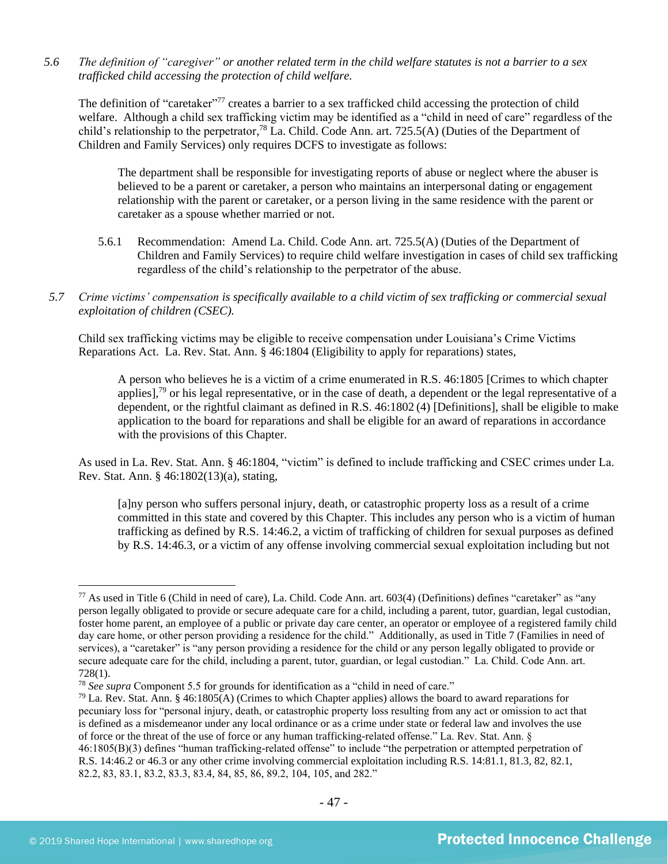*5.6 The definition of "caregiver" or another related term in the child welfare statutes is not a barrier to a sex trafficked child accessing the protection of child welfare.*

The definition of "caretaker"<sup>77</sup> creates a barrier to a sex trafficked child accessing the protection of child welfare. Although a child sex trafficking victim may be identified as a "child in need of care" regardless of the child's relationship to the perpetrator,<sup>78</sup> La. Child. Code Ann. art. 725.5(A) (Duties of the Department of Children and Family Services) only requires DCFS to investigate as follows:

The department shall be responsible for investigating reports of abuse or neglect where the abuser is believed to be a parent or caretaker, a person who maintains an interpersonal dating or engagement relationship with the parent or caretaker, or a person living in the same residence with the parent or caretaker as a spouse whether married or not.

- 5.6.1 Recommendation: Amend La. Child. Code Ann. art. 725.5(A) (Duties of the Department of Children and Family Services) to require child welfare investigation in cases of child sex trafficking regardless of the child's relationship to the perpetrator of the abuse.
- *5.7 Crime victims' compensation is specifically available to a child victim of sex trafficking or commercial sexual exploitation of children (CSEC).*

Child sex trafficking victims may be eligible to receive compensation under Louisiana's Crime Victims Reparations Act. La. Rev. Stat. Ann. § 46:1804 (Eligibility to apply for reparations) states,

A person who believes he is a victim of a crime enumerated in R.S. 46:1805 [Crimes to which chapter applies],<sup>79</sup> or his legal representative, or in the case of death, a dependent or the legal representative of a dependent, or the rightful claimant as defined in R.S. 46:1802 (4) [Definitions], shall be eligible to make application to the board for reparations and shall be eligible for an award of reparations in accordance with the provisions of this Chapter.

As used in La. Rev. Stat. Ann. § 46:1804, "victim" is defined to include trafficking and CSEC crimes under La. Rev. Stat. Ann. § 46:1802(13)(a), stating,

[a]ny person who suffers personal injury, death, or catastrophic property loss as a result of a crime committed in this state and covered by this Chapter. This includes any person who is a victim of human trafficking as defined by R.S. 14:46.2, a victim of trafficking of children for sexual purposes as defined by R.S. 14:46.3, or a victim of any offense involving commercial sexual exploitation including but not

 $^{77}$  As used in Title 6 (Child in need of care), La. Child. Code Ann. art. 603(4) (Definitions) defines "caretaker" as "any person legally obligated to provide or secure adequate care for a child, including a parent, tutor, guardian, legal custodian, foster home parent, an employee of a public or private day care center, an operator or employee of a registered family child day care home, or other person providing a residence for the child." Additionally, as used in Title 7 (Families in need of services), a "caretaker" is "any person providing a residence for the child or any person legally obligated to provide or secure adequate care for the child, including a parent, tutor, guardian, or legal custodian." La. Child. Code Ann. art. 728(1).

<sup>78</sup> *See supra* Component 5.5 for grounds for identification as a "child in need of care."

 $79$  La. Rev. Stat. Ann. § 46:1805(A) (Crimes to which Chapter applies) allows the board to award reparations for pecuniary loss for "personal injury, death, or catastrophic property loss resulting from any act or omission to act that is defined as a misdemeanor under any local ordinance or as a crime under state or federal law and involves the use of force or the threat of the use of force or any human trafficking-related offense." La. Rev. Stat. Ann. § 46:1805(B)(3) defines "human trafficking-related offense" to include "the perpetration or attempted perpetration of R.S. 14:46.2 or 46.3 or any other crime involving commercial exploitation including R.S. 14:81.1, 81.3, 82, 82.1, 82.2, 83, 83.1, 83.2, 83.3, 83.4, 84, 85, 86, 89.2, 104, 105, and 282."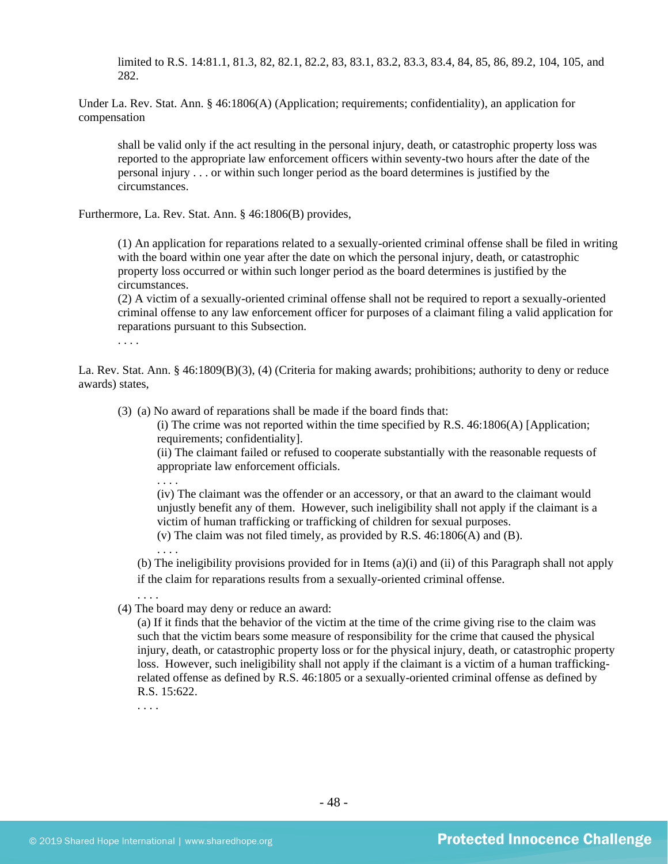limited to R.S. 14:81.1, 81.3, 82, 82.1, 82.2, 83, 83.1, 83.2, 83.3, 83.4, 84, 85, 86, 89.2, 104, 105, and 282.

Under La. Rev. Stat. Ann. § 46:1806(A) (Application; requirements; confidentiality), an application for compensation

shall be valid only if the act resulting in the personal injury, death, or catastrophic property loss was reported to the appropriate law enforcement officers within seventy-two hours after the date of the personal injury . . . or within such longer period as the board determines is justified by the circumstances.

Furthermore, La. Rev. Stat. Ann. § 46:1806(B) provides,

(1) An application for reparations related to a sexually-oriented criminal offense shall be filed in writing with the board within one year after the date on which the personal injury, death, or catastrophic property loss occurred or within such longer period as the board determines is justified by the circumstances.

(2) A victim of a sexually-oriented criminal offense shall not be required to report a sexually-oriented criminal offense to any law enforcement officer for purposes of a claimant filing a valid application for reparations pursuant to this Subsection.

. . . .

La. Rev. Stat. Ann. § 46:1809(B)(3), (4) (Criteria for making awards; prohibitions; authority to deny or reduce awards) states,

(3) (a) No award of reparations shall be made if the board finds that:

(i) The crime was not reported within the time specified by R.S.  $46:1806(A)$  [Application; requirements; confidentiality].

(ii) The claimant failed or refused to cooperate substantially with the reasonable requests of appropriate law enforcement officials.

. . . .

(iv) The claimant was the offender or an accessory, or that an award to the claimant would unjustly benefit any of them. However, such ineligibility shall not apply if the claimant is a victim of human trafficking or trafficking of children for sexual purposes. (v) The claim was not filed timely, as provided by R.S. 46:1806(A) and (B).

. . . .

(b) The ineligibility provisions provided for in Items (a)(i) and (ii) of this Paragraph shall not apply if the claim for reparations results from a sexually-oriented criminal offense.

(4) The board may deny or reduce an award:

(a) If it finds that the behavior of the victim at the time of the crime giving rise to the claim was such that the victim bears some measure of responsibility for the crime that caused the physical injury, death, or catastrophic property loss or for the physical injury, death, or catastrophic property loss. However, such ineligibility shall not apply if the claimant is a victim of a human traffickingrelated offense as defined by R.S. 46:1805 or a sexually-oriented criminal offense as defined by R.S. 15:622.

. . . .

. . . .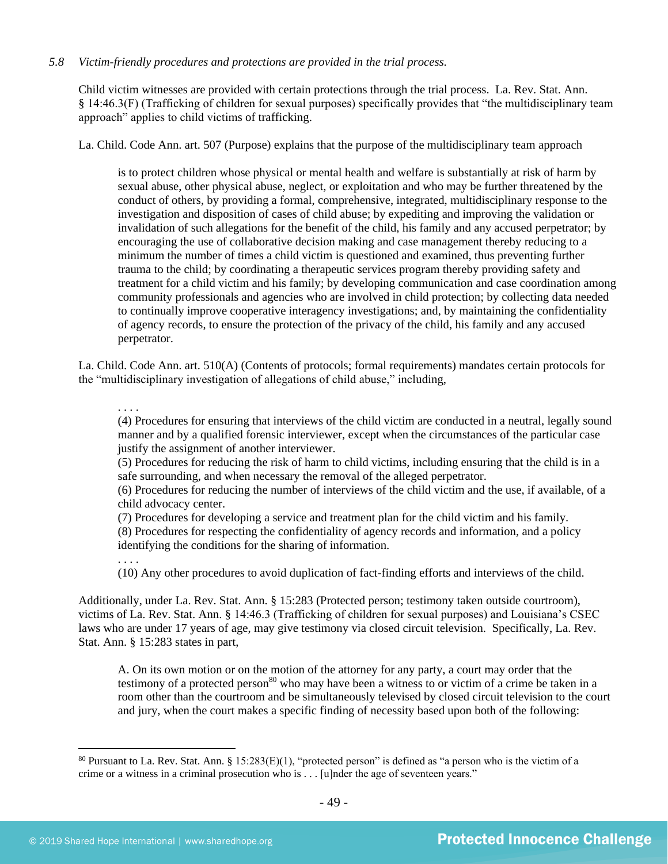## *5.8 Victim-friendly procedures and protections are provided in the trial process.*

Child victim witnesses are provided with certain protections through the trial process. La. Rev. Stat. Ann. § 14:46.3(F) (Trafficking of children for sexual purposes) specifically provides that "the multidisciplinary team approach" applies to child victims of trafficking.

La. Child. Code Ann. art. 507 (Purpose) explains that the purpose of the multidisciplinary team approach

is to protect children whose physical or mental health and welfare is substantially at risk of harm by sexual abuse, other physical abuse, neglect, or exploitation and who may be further threatened by the conduct of others, by providing a formal, comprehensive, integrated, multidisciplinary response to the investigation and disposition of cases of child abuse; by expediting and improving the validation or invalidation of such allegations for the benefit of the child, his family and any accused perpetrator; by encouraging the use of collaborative decision making and case management thereby reducing to a minimum the number of times a child victim is questioned and examined, thus preventing further trauma to the child; by coordinating a therapeutic services program thereby providing safety and treatment for a child victim and his family; by developing communication and case coordination among community professionals and agencies who are involved in child protection; by collecting data needed to continually improve cooperative interagency investigations; and, by maintaining the confidentiality of agency records, to ensure the protection of the privacy of the child, his family and any accused perpetrator.

La. Child. Code Ann. art. 510(A) (Contents of protocols; formal requirements) mandates certain protocols for the "multidisciplinary investigation of allegations of child abuse," including,

. . . .

(4) Procedures for ensuring that interviews of the child victim are conducted in a neutral, legally sound manner and by a qualified forensic interviewer, except when the circumstances of the particular case justify the assignment of another interviewer.

(5) Procedures for reducing the risk of harm to child victims, including ensuring that the child is in a safe surrounding, and when necessary the removal of the alleged perpetrator.

(6) Procedures for reducing the number of interviews of the child victim and the use, if available, of a child advocacy center.

(7) Procedures for developing a service and treatment plan for the child victim and his family. (8) Procedures for respecting the confidentiality of agency records and information, and a policy identifying the conditions for the sharing of information.

. . . .

(10) Any other procedures to avoid duplication of fact-finding efforts and interviews of the child.

Additionally, under La. Rev. Stat. Ann. § 15:283 (Protected person; testimony taken outside courtroom), victims of La. Rev. Stat. Ann. § 14:46.3 (Trafficking of children for sexual purposes) and Louisiana's CSEC laws who are under 17 years of age, may give testimony via closed circuit television. Specifically, La. Rev. Stat. Ann. § 15:283 states in part,

A. On its own motion or on the motion of the attorney for any party, a court may order that the testimony of a protected person<sup>80</sup> who may have been a witness to or victim of a crime be taken in a room other than the courtroom and be simultaneously televised by closed circuit television to the court and jury, when the court makes a specific finding of necessity based upon both of the following:

 $80$  Pursuant to La. Rev. Stat. Ann. § 15:283(E)(1), "protected person" is defined as "a person who is the victim of a crime or a witness in a criminal prosecution who is . . . [u]nder the age of seventeen years."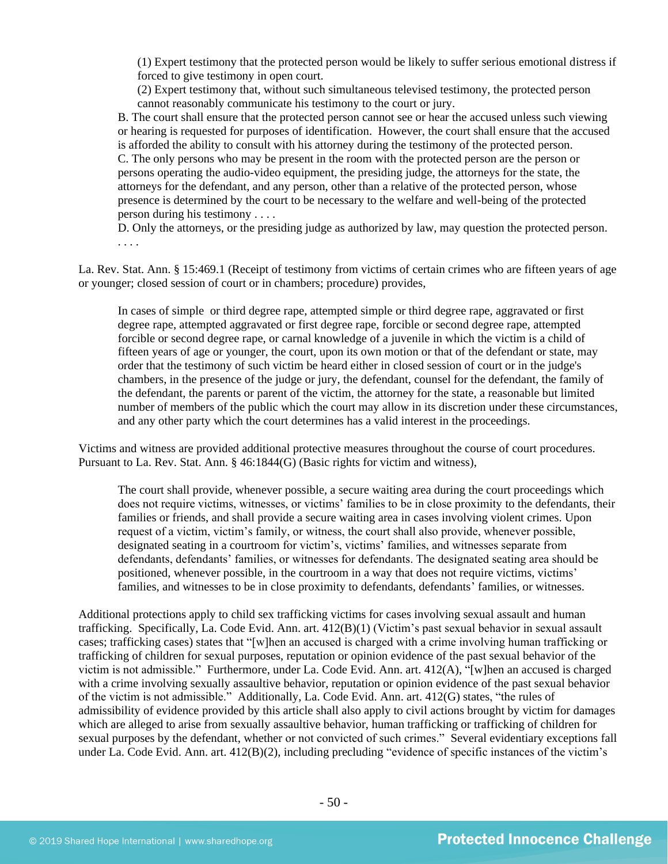(1) Expert testimony that the protected person would be likely to suffer serious emotional distress if forced to give testimony in open court.

(2) Expert testimony that, without such simultaneous televised testimony, the protected person cannot reasonably communicate his testimony to the court or jury.

B. The court shall ensure that the protected person cannot see or hear the accused unless such viewing or hearing is requested for purposes of identification. However, the court shall ensure that the accused is afforded the ability to consult with his attorney during the testimony of the protected person. C. The only persons who may be present in the room with the protected person are the person or persons operating the audio-video equipment, the presiding judge, the attorneys for the state, the attorneys for the defendant, and any person, other than a relative of the protected person, whose presence is determined by the court to be necessary to the welfare and well-being of the protected person during his testimony . . . .

D. Only the attorneys, or the presiding judge as authorized by law, may question the protected person. . . . .

La. Rev. Stat. Ann. § 15:469.1 (Receipt of testimony from victims of certain crimes who are fifteen years of age or younger; closed session of court or in chambers; procedure) provides,

In cases of simple or third degree rape, attempted simple or third degree rape, aggravated or first degree rape, attempted aggravated or first degree rape, forcible or second degree rape, attempted forcible or second degree rape, or carnal knowledge of a juvenile in which the victim is a child of fifteen years of age or younger, the court, upon its own motion or that of the defendant or state, may order that the testimony of such victim be heard either in closed session of court or in the judge's chambers, in the presence of the judge or jury, the defendant, counsel for the defendant, the family of the defendant, the parents or parent of the victim, the attorney for the state, a reasonable but limited number of members of the public which the court may allow in its discretion under these circumstances, and any other party which the court determines has a valid interest in the proceedings.

Victims and witness are provided additional protective measures throughout the course of court procedures. Pursuant to La. Rev. Stat. Ann. § 46:1844(G) (Basic rights for victim and witness),

The court shall provide, whenever possible, a secure waiting area during the court proceedings which does not require victims, witnesses, or victims' families to be in close proximity to the defendants, their families or friends, and shall provide a secure waiting area in cases involving violent crimes. Upon request of a victim, victim's family, or witness, the court shall also provide, whenever possible, designated seating in a courtroom for victim's, victims' families, and witnesses separate from defendants, defendants' families, or witnesses for defendants. The designated seating area should be positioned, whenever possible, in the courtroom in a way that does not require victims, victims' families, and witnesses to be in close proximity to defendants, defendants' families, or witnesses.

Additional protections apply to child sex trafficking victims for cases involving sexual assault and human trafficking. Specifically, La. Code Evid. Ann. art. 412(B)(1) (Victim's past sexual behavior in sexual assault cases; trafficking cases) states that "[w]hen an accused is charged with a crime involving human trafficking or trafficking of children for sexual purposes, reputation or opinion evidence of the past sexual behavior of the victim is not admissible." Furthermore, under La. Code Evid. Ann. art. 412(A), "[w]hen an accused is charged with a crime involving sexually assaultive behavior, reputation or opinion evidence of the past sexual behavior of the victim is not admissible." Additionally, La. Code Evid. Ann. art. 412(G) states, "the rules of admissibility of evidence provided by this article shall also apply to civil actions brought by victim for damages which are alleged to arise from sexually assaultive behavior, human trafficking or trafficking of children for sexual purposes by the defendant, whether or not convicted of such crimes." Several evidentiary exceptions fall under La. Code Evid. Ann. art. 412(B)(2), including precluding "evidence of specific instances of the victim's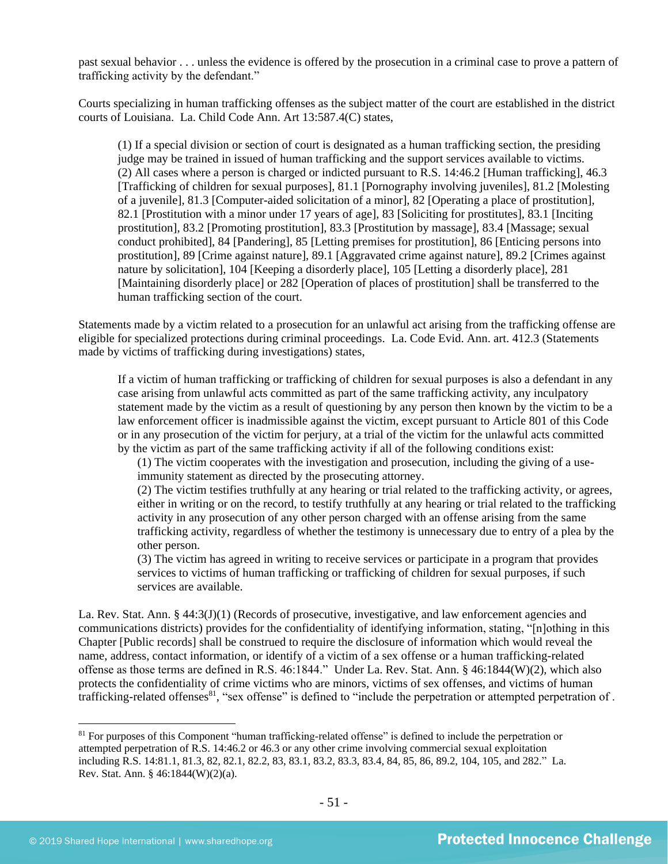past sexual behavior . . . unless the evidence is offered by the prosecution in a criminal case to prove a pattern of trafficking activity by the defendant."

Courts specializing in human trafficking offenses as the subject matter of the court are established in the district courts of Louisiana. La. Child Code Ann. Art 13:587.4(C) states,

(1) If a special division or section of court is designated as a human trafficking section, the presiding judge may be trained in issued of human trafficking and the support services available to victims. (2) All cases where a person is charged or indicted pursuant to R.S. 14:46.2 [Human trafficking], 46.3 [Trafficking of children for sexual purposes], 81.1 [Pornography involving juveniles], 81.2 [Molesting of a juvenile], 81.3 [Computer-aided solicitation of a minor], 82 [Operating a place of prostitution], 82.1 [Prostitution with a minor under 17 years of age], 83 [Soliciting for prostitutes], 83.1 [Inciting prostitution], 83.2 [Promoting prostitution], 83.3 [Prostitution by massage], 83.4 [Massage; sexual conduct prohibited], 84 [Pandering], 85 [Letting premises for prostitution], 86 [Enticing persons into prostitution], 89 [Crime against nature], 89.1 [Aggravated crime against nature], 89.2 [Crimes against nature by solicitation], 104 [Keeping a disorderly place], 105 [Letting a disorderly place], 281 [Maintaining disorderly place] or 282 [Operation of places of prostitution] shall be transferred to the human trafficking section of the court.

Statements made by a victim related to a prosecution for an unlawful act arising from the trafficking offense are eligible for specialized protections during criminal proceedings. La. Code Evid. Ann. art. 412.3 (Statements made by victims of trafficking during investigations) states,

If a victim of human trafficking or trafficking of children for sexual purposes is also a defendant in any case arising from unlawful acts committed as part of the same trafficking activity, any inculpatory statement made by the victim as a result of questioning by any person then known by the victim to be a law enforcement officer is inadmissible against the victim, except pursuant to Article 801 of this Code or in any prosecution of the victim for perjury, at a trial of the victim for the unlawful acts committed by the victim as part of the same trafficking activity if all of the following conditions exist:

(1) The victim cooperates with the investigation and prosecution, including the giving of a useimmunity statement as directed by the prosecuting attorney.

(2) The victim testifies truthfully at any hearing or trial related to the trafficking activity, or agrees, either in writing or on the record, to testify truthfully at any hearing or trial related to the trafficking activity in any prosecution of any other person charged with an offense arising from the same trafficking activity, regardless of whether the testimony is unnecessary due to entry of a plea by the other person.

(3) The victim has agreed in writing to receive services or participate in a program that provides services to victims of human trafficking or trafficking of children for sexual purposes, if such services are available.

La. Rev. Stat. Ann. § 44:3(J)(1) (Records of prosecutive, investigative, and law enforcement agencies and communications districts) provides for the confidentiality of identifying information, stating, "[n]othing in this Chapter [Public records] shall be construed to require the disclosure of information which would reveal the name, address, contact information, or identify of a victim of a sex offense or a human trafficking-related offense as those terms are defined in R.S. 46:1844." Under La. Rev. Stat. Ann. § 46:1844(W)(2), which also protects the confidentiality of crime victims who are minors, victims of sex offenses, and victims of human trafficking-related offenses<sup>81</sup>, "sex offense" is defined to "include the perpetration or attempted perpetration of.

<sup>&</sup>lt;sup>81</sup> For purposes of this Component "human trafficking-related offense" is defined to include the perpetration or attempted perpetration of R.S. 14:46.2 or 46.3 or any other crime involving commercial sexual exploitation including R.S. 14:81.1, 81.3, 82, 82.1, 82.2, 83, 83.1, 83.2, 83.3, 83.4, 84, 85, 86, 89.2, 104, 105, and 282." La. Rev. Stat. Ann. § 46:1844(W)(2)(a).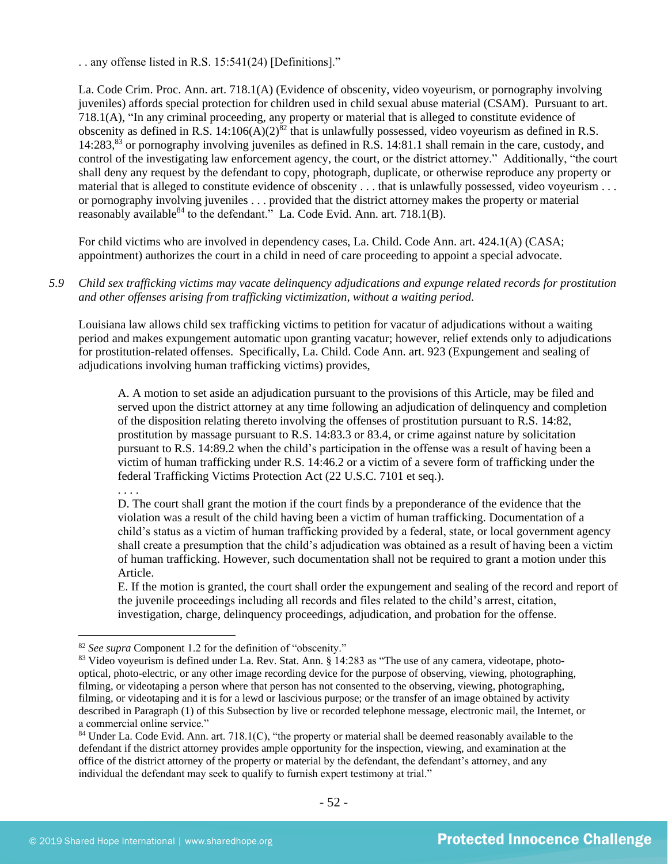. . any offense listed in R.S. 15:541(24) [Definitions]."

La. Code Crim. Proc. Ann. art. 718.1(A) (Evidence of obscenity, video voyeurism, or pornography involving juveniles) affords special protection for children used in child sexual abuse material (CSAM). Pursuant to art. 718.1(A), "In any criminal proceeding, any property or material that is alleged to constitute evidence of obscenity as defined in R.S.  $14:106(A)(2)^{82}$  that is unlawfully possessed, video voyeurism as defined in R.S. 14:283,<sup>83</sup> or pornography involving juveniles as defined in R.S. 14:81.1 shall remain in the care, custody, and control of the investigating law enforcement agency, the court, or the district attorney." Additionally, "the court shall deny any request by the defendant to copy, photograph, duplicate, or otherwise reproduce any property or material that is alleged to constitute evidence of obscenity . . . that is unlawfully possessed, video voyeurism . . . or pornography involving juveniles . . . provided that the district attorney makes the property or material reasonably available  $84$  to the defendant." La. Code Evid. Ann. art. 718.1(B).

For child victims who are involved in dependency cases, La. Child. Code Ann. art. 424.1(A) (CASA; appointment) authorizes the court in a child in need of care proceeding to appoint a special advocate.

*5.9 Child sex trafficking victims may vacate delinquency adjudications and expunge related records for prostitution and other offenses arising from trafficking victimization, without a waiting period.*

Louisiana law allows child sex trafficking victims to petition for vacatur of adjudications without a waiting period and makes expungement automatic upon granting vacatur; however, relief extends only to adjudications for prostitution-related offenses. Specifically, La. Child. Code Ann. art. 923 (Expungement and sealing of adjudications involving human trafficking victims) provides,

A. A motion to set aside an adjudication pursuant to the provisions of this Article, may be filed and served upon the district attorney at any time following an adjudication of delinquency and completion of the disposition relating thereto involving the offenses of prostitution pursuant to R.S. 14:82, prostitution by massage pursuant to R.S. 14:83.3 or 83.4, or crime against nature by solicitation pursuant to R.S. 14:89.2 when the child's participation in the offense was a result of having been a victim of human trafficking under R.S. 14:46.2 or a victim of a severe form of trafficking under the federal Trafficking Victims Protection Act (22 U.S.C. 7101 et seq.).

. . . .

D. The court shall grant the motion if the court finds by a preponderance of the evidence that the violation was a result of the child having been a victim of human trafficking. Documentation of a child's status as a victim of human trafficking provided by a federal, state, or local government agency shall create a presumption that the child's adjudication was obtained as a result of having been a victim of human trafficking. However, such documentation shall not be required to grant a motion under this Article.

E. If the motion is granted, the court shall order the expungement and sealing of the record and report of the juvenile proceedings including all records and files related to the child's arrest, citation, investigation, charge, delinquency proceedings, adjudication, and probation for the offense.

<sup>82</sup> *See supra* Component 1.2 for the definition of "obscenity."

<sup>83</sup> Video voyeurism is defined under La. Rev. Stat. Ann. § 14:283 as "The use of any camera, videotape, photooptical, photo-electric, or any other image recording device for the purpose of observing, viewing, photographing, filming, or videotaping a person where that person has not consented to the observing, viewing, photographing, filming, or videotaping and it is for a lewd or lascivious purpose; or the transfer of an image obtained by activity described in Paragraph (1) of this Subsection by live or recorded telephone message, electronic mail, the Internet, or a commercial online service."

<sup>84</sup> Under La. Code Evid. Ann. art. 718.1(C), "the property or material shall be deemed reasonably available to the defendant if the district attorney provides ample opportunity for the inspection, viewing, and examination at the office of the district attorney of the property or material by the defendant, the defendant's attorney, and any individual the defendant may seek to qualify to furnish expert testimony at trial."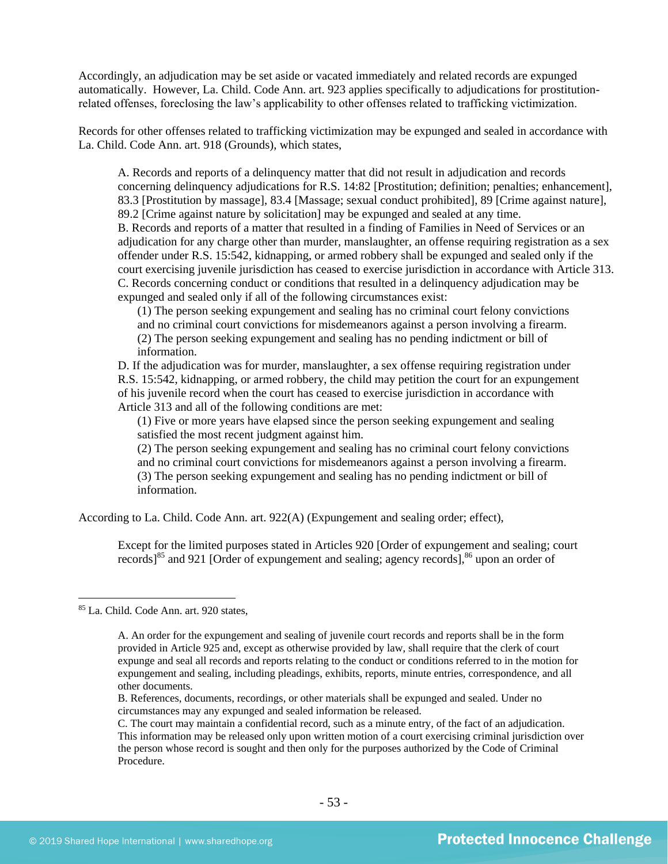Accordingly, an adjudication may be set aside or vacated immediately and related records are expunged automatically. However, La. Child. Code Ann. art. 923 applies specifically to adjudications for prostitutionrelated offenses, foreclosing the law's applicability to other offenses related to trafficking victimization.

Records for other offenses related to trafficking victimization may be expunged and sealed in accordance with La. Child. Code Ann. art. 918 (Grounds), which states,

A. Records and reports of a delinquency matter that did not result in adjudication and records concerning delinquency adjudications for R.S. 14:82 [Prostitution; definition; penalties; enhancement], 83.3 [Prostitution by massage], 83.4 [Massage; sexual conduct prohibited], 89 [Crime against nature], 89.2 [Crime against nature by solicitation] may be expunged and sealed at any time. B. Records and reports of a matter that resulted in a finding of Families in Need of Services or an adjudication for any charge other than murder, manslaughter, an offense requiring registration as a sex offender under R.S. 15:542, kidnapping, or armed robbery shall be expunged and sealed only if the court exercising juvenile jurisdiction has ceased to exercise jurisdiction in accordance with Article 313. C. Records concerning conduct or conditions that resulted in a delinquency adjudication may be expunged and sealed only if all of the following circumstances exist:

(1) The person seeking expungement and sealing has no criminal court felony convictions and no criminal court convictions for misdemeanors against a person involving a firearm. (2) The person seeking expungement and sealing has no pending indictment or bill of information.

D. If the adjudication was for murder, manslaughter, a sex offense requiring registration under R.S. 15:542, kidnapping, or armed robbery, the child may petition the court for an expungement of his juvenile record when the court has ceased to exercise jurisdiction in accordance with Article 313 and all of the following conditions are met:

(1) Five or more years have elapsed since the person seeking expungement and sealing satisfied the most recent judgment against him.

(2) The person seeking expungement and sealing has no criminal court felony convictions and no criminal court convictions for misdemeanors against a person involving a firearm. (3) The person seeking expungement and sealing has no pending indictment or bill of information.

According to La. Child. Code Ann. art. 922(A) (Expungement and sealing order; effect),

Except for the limited purposes stated in Articles 920 [Order of expungement and sealing; court records]<sup>85</sup> and 921 [Order of expungement and sealing; agency records],  $86$  upon an order of

<sup>85</sup> La. Child. Code Ann. art. 920 states,

A. An order for the expungement and sealing of juvenile court records and reports shall be in the form provided in Article 925 and, except as otherwise provided by law, shall require that the clerk of court expunge and seal all records and reports relating to the conduct or conditions referred to in the motion for expungement and sealing, including pleadings, exhibits, reports, minute entries, correspondence, and all other documents.

B. References, documents, recordings, or other materials shall be expunged and sealed. Under no circumstances may any expunged and sealed information be released.

C. The court may maintain a confidential record, such as a minute entry, of the fact of an adjudication. This information may be released only upon written motion of a court exercising criminal jurisdiction over the person whose record is sought and then only for the purposes authorized by the Code of Criminal Procedure.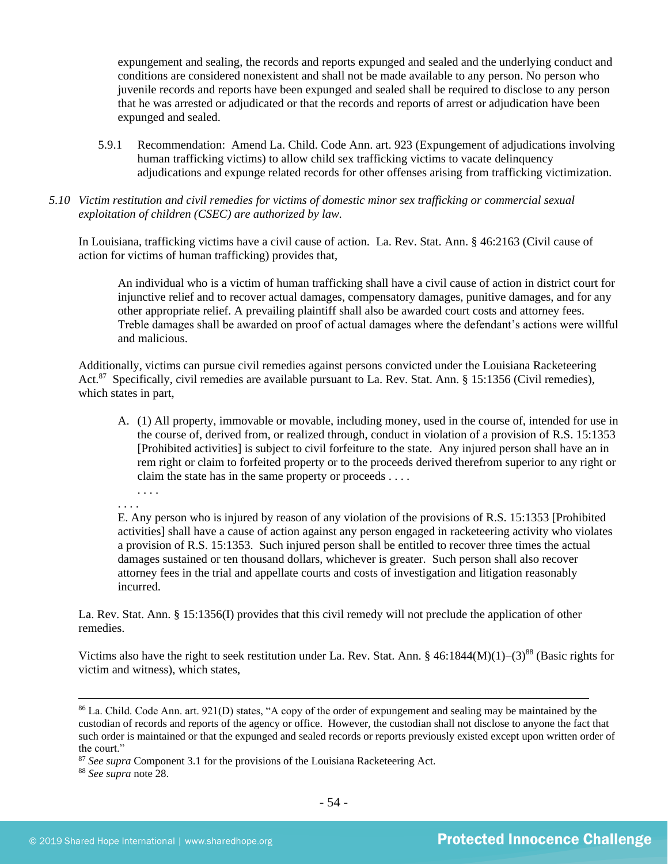expungement and sealing, the records and reports expunged and sealed and the underlying conduct and conditions are considered nonexistent and shall not be made available to any person. No person who juvenile records and reports have been expunged and sealed shall be required to disclose to any person that he was arrested or adjudicated or that the records and reports of arrest or adjudication have been expunged and sealed.

- 5.9.1 Recommendation: Amend La. Child. Code Ann. art. 923 (Expungement of adjudications involving human trafficking victims) to allow child sex trafficking victims to vacate delinquency adjudications and expunge related records for other offenses arising from trafficking victimization.
- *5.10 Victim restitution and civil remedies for victims of domestic minor sex trafficking or commercial sexual exploitation of children (CSEC) are authorized by law.*

In Louisiana, trafficking victims have a civil cause of action. La. Rev. Stat. Ann. § 46:2163 (Civil cause of action for victims of human trafficking) provides that,

An individual who is a victim of human trafficking shall have a civil cause of action in district court for injunctive relief and to recover actual damages, compensatory damages, punitive damages, and for any other appropriate relief. A prevailing plaintiff shall also be awarded court costs and attorney fees. Treble damages shall be awarded on proof of actual damages where the defendant's actions were willful and malicious.

Additionally, victims can pursue civil remedies against persons convicted under the Louisiana Racketeering Act.<sup>87</sup> Specifically, civil remedies are available pursuant to La. Rev. Stat. Ann. § 15:1356 (Civil remedies), which states in part,

- A. (1) All property, immovable or movable, including money, used in the course of, intended for use in the course of, derived from, or realized through, conduct in violation of a provision of [R.S. 15:1353](https://www.lexis.com/research/buttonTFLink?_m=adbaaf1e18f2b659dc9b502e460590c9&_xfercite=%3ccite%20cc%3d%22USA%22%3e%3c%21%5bCDATA%5bLa.%20R.S.%2015%3a1356%5d%5d%3e%3c%2fcite%3e&_butType=4&_butStat=0&_butNum=2&_butInline=1&_butinfo=LACODE%2015%3a1353&_fmtstr=FULL&docnum=1&_startdoc=1&wchp=dGLbVzV-zSkAW&_md5=1d254099e34f73c122bf836a1bcd50ac) [Prohibited activities] is subject to civil forfeiture to the state. Any injured person shall have an in rem right or claim to forfeited property or to the proceeds derived therefrom superior to any right or claim the state has in the same property or proceeds . . . .
- . . . . . . . .

E. Any person who is injured by reason of any violation of the provisions of R.S. 15:1353 [Prohibited activities] shall have a cause of action against any person engaged in racketeering activity who violates a provision of R.S. 15:1353. Such injured person shall be entitled to recover three times the actual damages sustained or ten thousand dollars, whichever is greater. Such person shall also recover attorney fees in the trial and appellate courts and costs of investigation and litigation reasonably incurred.

La. Rev. Stat. Ann. § 15:1356(I) provides that this civil remedy will not preclude the application of other remedies.

Victims also have the right to seek restitution under La. Rev. Stat. Ann. § 46:1844(M)(1)–(3)<sup>88</sup> (Basic rights for victim and witness), which states,

<sup>86</sup> La. Child. Code Ann. art. 921(D) states, "A copy of the order of expungement and sealing may be maintained by the custodian of records and reports of the agency or office. However, the custodian shall not disclose to anyone the fact that such order is maintained or that the expunged and sealed records or reports previously existed except upon written order of the court."

<sup>&</sup>lt;sup>87</sup> See supra Component 3.1 for the provisions of the Louisiana Racketeering Act.

<sup>88</sup> *See supra* note [28.](#page-22-0)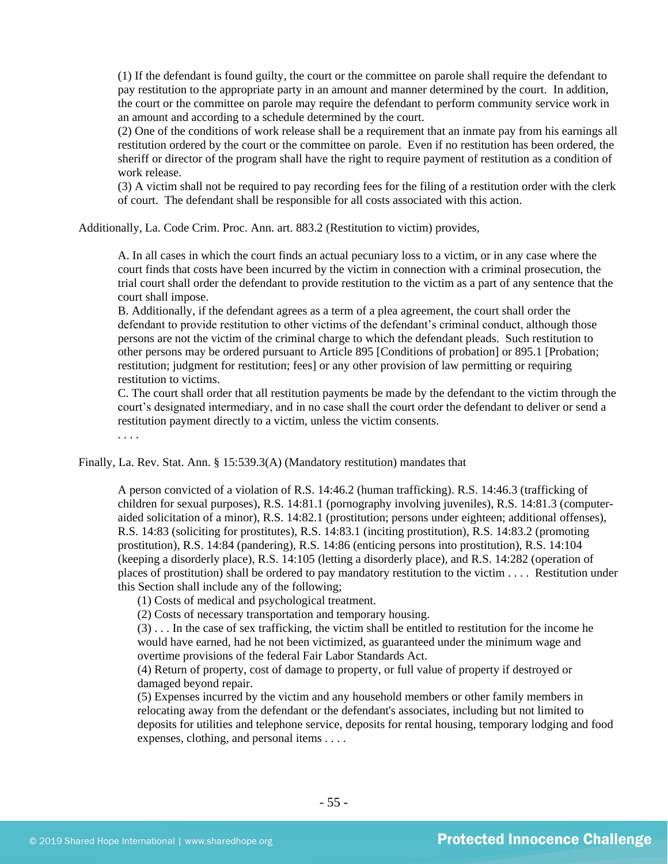(1) If the defendant is found guilty, the court or the committee on parole shall require the defendant to pay restitution to the appropriate party in an amount and manner determined by the court. In addition, the court or the committee on parole may require the defendant to perform community service work in an amount and according to a schedule determined by the court.

(2) One of the conditions of work release shall be a requirement that an inmate pay from his earnings all restitution ordered by the court or the committee on parole. Even if no restitution has been ordered, the sheriff or director of the program shall have the right to require payment of restitution as a condition of work release.

(3) A victim shall not be required to pay recording fees for the filing of a restitution order with the clerk of court. The defendant shall be responsible for all costs associated with this action.

Additionally, La. Code Crim. Proc. Ann. art. 883.2 (Restitution to victim) provides,

A. In all cases in which the court finds an actual pecuniary loss to a victim, or in any case where the court finds that costs have been incurred by the victim in connection with a criminal prosecution, the trial court shall order the defendant to provide restitution to the victim as a part of any sentence that the court shall impose.

B. Additionally, if the defendant agrees as a term of a plea agreement, the court shall order the defendant to provide restitution to other victims of the defendant's criminal conduct, although those persons are not the victim of the criminal charge to which the defendant pleads. Such restitution to other persons may be ordered pursuant to Article 895 [Conditions of probation] or 895.1 [Probation; restitution; judgment for restitution; fees] or any other provision of law permitting or requiring restitution to victims.

C. The court shall order that all restitution payments be made by the defendant to the victim through the court's designated intermediary, and in no case shall the court order the defendant to deliver or send a restitution payment directly to a victim, unless the victim consents.

. . . .

Finally, La. Rev. Stat. Ann. § 15:539.3(A) (Mandatory restitution) mandates that

A person convicted of a violation of R.S. 14:46.2 (human trafficking). R.S. 14:46.3 (trafficking of children for sexual purposes), R.S. 14:81.1 (pornography involving juveniles), R.S. 14:81.3 (computeraided solicitation of a minor), R.S. 14:82.1 (prostitution; persons under eighteen; additional offenses), R.S. 14:83 (soliciting for prostitutes), R.S. 14:83.1 (inciting prostitution), R.S. 14:83.2 (promoting prostitution), R.S. 14:84 (pandering), R.S. 14:86 (enticing persons into prostitution), R.S. 14:104 (keeping a disorderly place), R.S. 14:105 (letting a disorderly place), and R.S. 14:282 (operation of places of prostitution) shall be ordered to pay mandatory restitution to the victim . . . . Restitution under this Section shall include any of the following;

(1) Costs of medical and psychological treatment.

(2) Costs of necessary transportation and temporary housing.

(3) . . . In the case of sex trafficking, the victim shall be entitled to restitution for the income he would have earned, had he not been victimized, as guaranteed under the minimum wage and overtime provisions of the federal Fair Labor Standards Act.

(4) Return of property, cost of damage to property, or full value of property if destroyed or damaged beyond repair.

(5) Expenses incurred by the victim and any household members or other family members in relocating away from the defendant or the defendant's associates, including but not limited to deposits for utilities and telephone service, deposits for rental housing, temporary lodging and food expenses, clothing, and personal items . . . .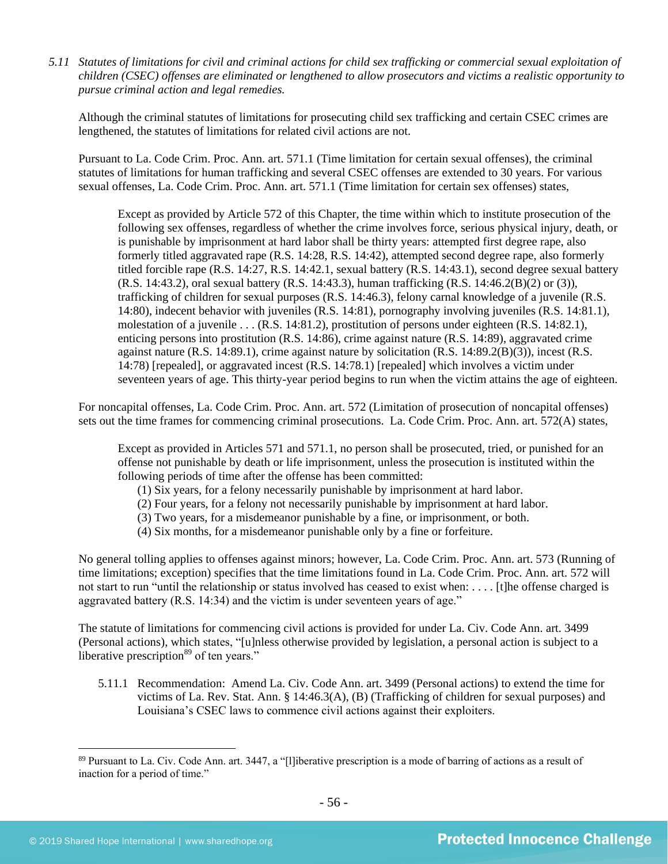*5.11 Statutes of limitations for civil and criminal actions for child sex trafficking or commercial sexual exploitation of children (CSEC) offenses are eliminated or lengthened to allow prosecutors and victims a realistic opportunity to pursue criminal action and legal remedies.*

Although the criminal statutes of limitations for prosecuting child sex trafficking and certain CSEC crimes are lengthened, the statutes of limitations for related civil actions are not.

Pursuant to La. Code Crim. Proc. Ann. art. 571.1 (Time limitation for certain sexual offenses), the criminal statutes of limitations for human trafficking and several CSEC offenses are extended to 30 years. For various sexual offenses, La. Code Crim. Proc. Ann. art. 571.1 (Time limitation for certain sex offenses) states,

Except as provided by Article 572 of this Chapter, the time within which to institute prosecution of the following sex offenses, regardless of whether the crime involves force, serious physical injury, death, or is punishable by imprisonment at hard labor shall be thirty years: attempted first degree rape, also formerly titled aggravated rape (R.S. 14:28, R.S. 14:42), attempted second degree rape, also formerly titled forcible rape (R.S. 14:27, R.S. 14:42.1, sexual battery (R.S. 14:43.1), second degree sexual battery (R.S. 14:43.2), oral sexual battery (R.S. 14:43.3), human trafficking (R.S. 14:46.2(B)(2) or (3)), trafficking of children for sexual purposes (R.S. 14:46.3), felony carnal knowledge of a juvenile (R.S. 14:80), indecent behavior with juveniles (R.S. 14:81), pornography involving juveniles (R.S. 14:81.1), molestation of a juvenile . . . (R.S. 14:81.2), prostitution of persons under eighteen (R.S. 14:82.1), enticing persons into prostitution (R.S. 14:86), crime against nature (R.S. 14:89), aggravated crime against nature  $(R.S. 14:89.1)$ , crime against nature by solicitation  $(R.S. 14:89.2(B)(3))$ , incest  $(R.S. 14:89.1)$ 14:78) [repealed], or aggravated incest (R.S. 14:78.1) [repealed] which involves a victim under seventeen years of age. This thirty-year period begins to run when the victim attains the age of eighteen.

For noncapital offenses, La. Code Crim. Proc. Ann. art. 572 (Limitation of prosecution of noncapital offenses) sets out the time frames for commencing criminal prosecutions. La. Code Crim. Proc. Ann. art. 572(A) states,

Except as provided in Articles 571 and 571.1, no person shall be prosecuted, tried, or punished for an offense not punishable by death or life imprisonment, unless the prosecution is instituted within the following periods of time after the offense has been committed:

- (1) Six years, for a felony necessarily punishable by imprisonment at hard labor.
- (2) Four years, for a felony not necessarily punishable by imprisonment at hard labor.
- (3) Two years, for a misdemeanor punishable by a fine, or imprisonment, or both.
- (4) Six months, for a misdemeanor punishable only by a fine or forfeiture.

No general tolling applies to offenses against minors; however, La. Code Crim. Proc. Ann. art. 573 (Running of time limitations; exception) specifies that the time limitations found in La. Code Crim. Proc. Ann. art. 572 will not start to run "until the relationship or status involved has ceased to exist when: . . . . [t]he offense charged is aggravated battery (R.S. 14:34) and the victim is under seventeen years of age."

The statute of limitations for commencing civil actions is provided for under La. Civ. Code Ann. art. 3499 (Personal actions), which states, "[u]nless otherwise provided by legislation, a personal action is subject to a liberative prescription $89$  of ten years."

5.11.1 Recommendation: Amend La. Civ. Code Ann. art. 3499 (Personal actions) to extend the time for victims of La. Rev. Stat. Ann. § 14:46.3(A), (B) (Trafficking of children for sexual purposes) and Louisiana's CSEC laws to commence civil actions against their exploiters.

<sup>89</sup> Pursuant to La. Civ. Code Ann. art. 3447, a "[l]iberative prescription is a mode of barring of actions as a result of inaction for a period of time."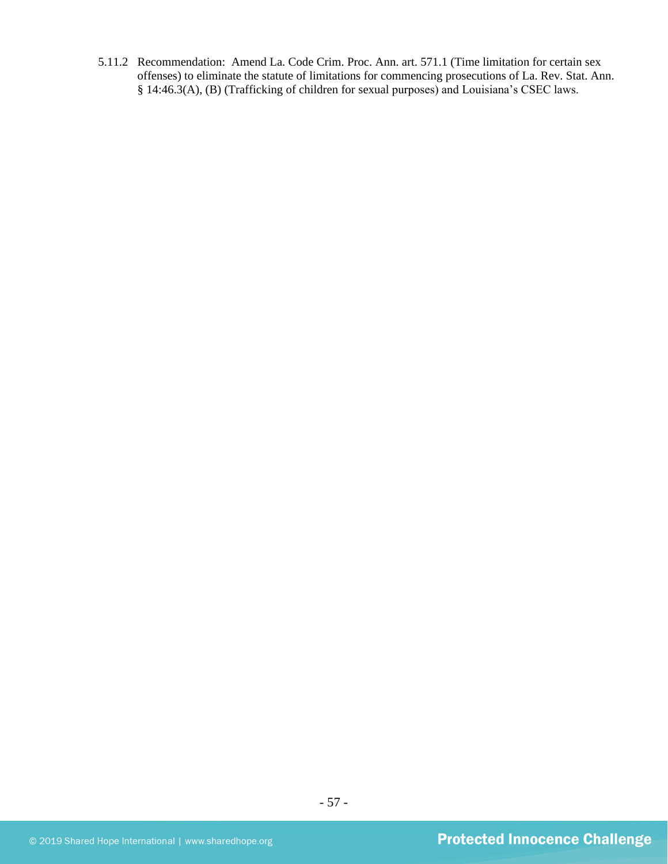5.11.2 Recommendation: Amend La. Code Crim. Proc. Ann. art. 571.1 (Time limitation for certain sex offenses) to eliminate the statute of limitations for commencing prosecutions of La. Rev. Stat. Ann. § 14:46.3(A), (B) (Trafficking of children for sexual purposes) and Louisiana's CSEC laws.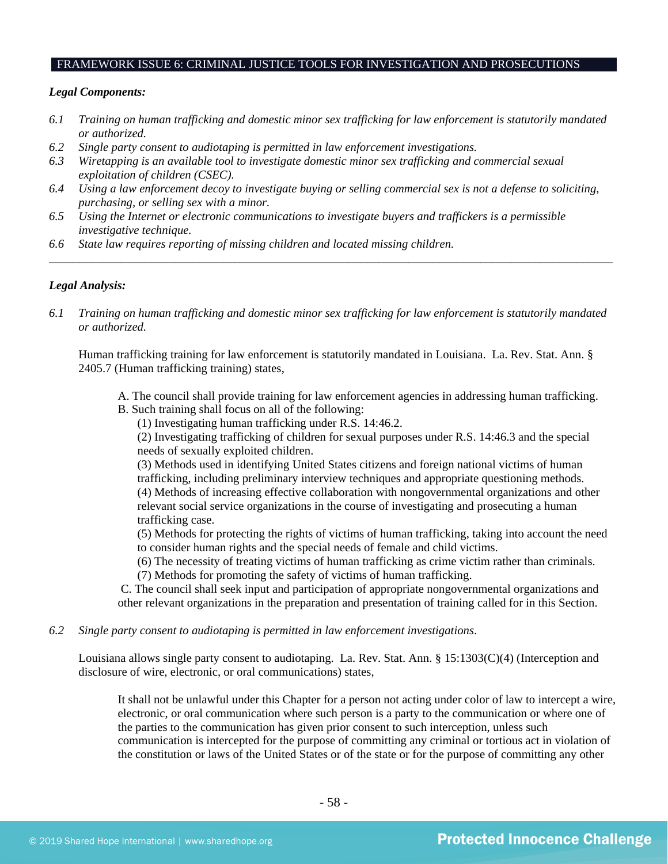#### FRAMEWORK ISSUE 6: CRIMINAL JUSTICE TOOLS FOR INVESTIGATION AND PROSECUTIONS

#### *Legal Components:*

- *6.1 Training on human trafficking and domestic minor sex trafficking for law enforcement is statutorily mandated or authorized.*
- *6.2 Single party consent to audiotaping is permitted in law enforcement investigations.*
- *6.3 Wiretapping is an available tool to investigate domestic minor sex trafficking and commercial sexual exploitation of children (CSEC).*
- *6.4 Using a law enforcement decoy to investigate buying or selling commercial sex is not a defense to soliciting, purchasing, or selling sex with a minor.*
- *6.5 Using the Internet or electronic communications to investigate buyers and traffickers is a permissible investigative technique.*
- *6.6 State law requires reporting of missing children and located missing children.*

## *Legal Analysis:*

*6.1 Training on human trafficking and domestic minor sex trafficking for law enforcement is statutorily mandated or authorized.*

*\_\_\_\_\_\_\_\_\_\_\_\_\_\_\_\_\_\_\_\_\_\_\_\_\_\_\_\_\_\_\_\_\_\_\_\_\_\_\_\_\_\_\_\_\_\_\_\_\_\_\_\_\_\_\_\_\_\_\_\_\_\_\_\_\_\_\_\_\_\_\_\_\_\_\_\_\_\_\_\_\_\_\_\_\_\_\_\_\_\_\_\_\_\_*

Human trafficking training for law enforcement is statutorily mandated in Louisiana. La. Rev. Stat. Ann. § 2405.7 (Human trafficking training) states,

- A. The council shall provide training for law enforcement agencies in addressing human trafficking.
- B. Such training shall focus on all of the following:

(1) Investigating human trafficking under R.S. 14:46.2.

(2) Investigating trafficking of children for sexual purposes under R.S. 14:46.3 and the special needs of sexually exploited children.

(3) Methods used in identifying United States citizens and foreign national victims of human trafficking, including preliminary interview techniques and appropriate questioning methods. (4) Methods of increasing effective collaboration with nongovernmental organizations and other relevant social service organizations in the course of investigating and prosecuting a human trafficking case.

(5) Methods for protecting the rights of victims of human trafficking, taking into account the need to consider human rights and the special needs of female and child victims.

(6) The necessity of treating victims of human trafficking as crime victim rather than criminals.

(7) Methods for promoting the safety of victims of human trafficking.

C. The council shall seek input and participation of appropriate nongovernmental organizations and other relevant organizations in the preparation and presentation of training called for in this Section.

*6.2 Single party consent to audiotaping is permitted in law enforcement investigations.*

Louisiana allows single party consent to audiotaping. La. Rev. Stat. Ann. § 15:1303(C)(4) (Interception and disclosure of wire, electronic, or oral communications) states,

It shall not be unlawful under this Chapter for a person not acting under color of law to intercept a wire, electronic, or oral communication where such person is a party to the communication or where one of the parties to the communication has given prior consent to such interception, unless such communication is intercepted for the purpose of committing any criminal or tortious act in violation of the constitution or laws of the United States or of the state or for the purpose of committing any other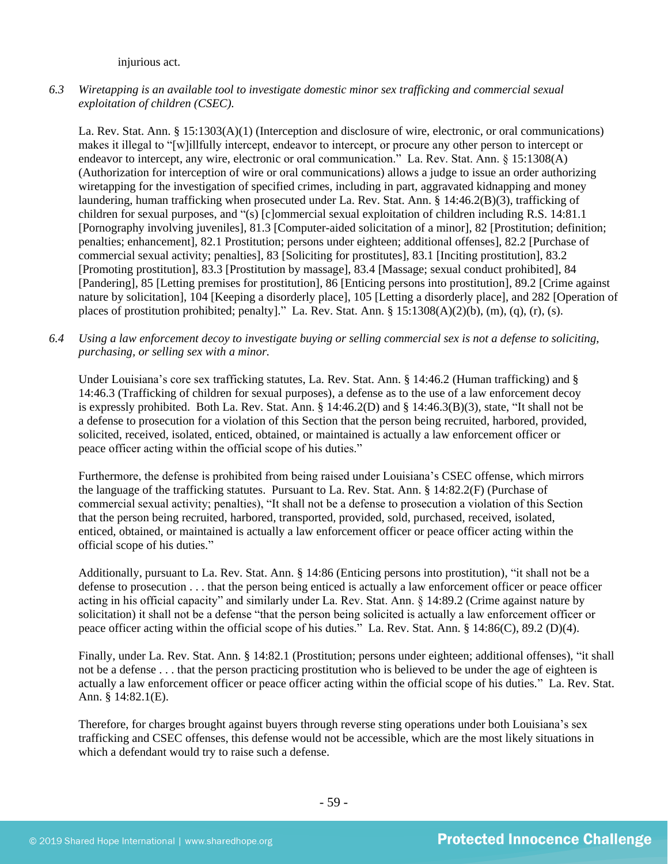injurious act.

*6.3 Wiretapping is an available tool to investigate domestic minor sex trafficking and commercial sexual exploitation of children (CSEC).*

La. Rev. Stat. Ann. § 15:1303(A)(1) (Interception and disclosure of wire, electronic, or oral communications) makes it illegal to "[w]illfully intercept, endeavor to intercept, or procure any other person to intercept or endeavor to intercept, any wire, electronic or oral communication." La. Rev. Stat. Ann. § 15:1308(A) (Authorization for interception of wire or oral communications) allows a judge to issue an order authorizing wiretapping for the investigation of specified crimes, including in part, aggravated kidnapping and money laundering, human trafficking when prosecuted under La. Rev. Stat. Ann. § 14:46.2(B)(3), trafficking of children for sexual purposes, and "(s) [c]ommercial sexual exploitation of children including R.S. 14:81.1 [Pornography involving juveniles], 81.3 [Computer-aided solicitation of a minor], 82 [Prostitution; definition; penalties; enhancement], 82.1 Prostitution; persons under eighteen; additional offenses], 82.2 [Purchase of commercial sexual activity; penalties], 83 [Soliciting for prostitutes], 83.1 [Inciting prostitution], 83.2 [Promoting prostitution], 83.3 [Prostitution by massage], 83.4 [Massage; sexual conduct prohibited], 84 [Pandering], 85 [Letting premises for prostitution], 86 [Enticing persons into prostitution], 89.2 [Crime against nature by solicitation], 104 [Keeping a disorderly place], 105 [Letting a disorderly place], and 282 [Operation of places of prostitution prohibited; penalty]." La. Rev. Stat. Ann. § 15:1308(A)(2)(b), (m), (q), (r), (s).

*6.4 Using a law enforcement decoy to investigate buying or selling commercial sex is not a defense to soliciting, purchasing, or selling sex with a minor.*

Under Louisiana's core sex trafficking statutes, La. Rev. Stat. Ann. § 14:46.2 (Human trafficking) and § 14:46.3 (Trafficking of children for sexual purposes), a defense as to the use of a law enforcement decoy is expressly prohibited. Both La. Rev. Stat. Ann. § 14:46.2(D) and § 14:46.3(B)(3), state, "It shall not be a defense to prosecution for a violation of this Section that the person being recruited, harbored, provided, solicited, received, isolated, enticed, obtained, or maintained is actually a law enforcement officer or peace officer acting within the official scope of his duties."

Furthermore, the defense is prohibited from being raised under Louisiana's CSEC offense, which mirrors the language of the trafficking statutes. Pursuant to La. Rev. Stat. Ann. § 14:82.2(F) (Purchase of commercial sexual activity; penalties), "It shall not be a defense to prosecution a violation of this Section that the person being recruited, harbored, transported, provided, sold, purchased, received, isolated, enticed, obtained, or maintained is actually a law enforcement officer or peace officer acting within the official scope of his duties."

Additionally, pursuant to La. Rev. Stat. Ann. § 14:86 (Enticing persons into prostitution), "it shall not be a defense to prosecution . . . that the person being enticed is actually a law enforcement officer or peace officer acting in his official capacity" and similarly under La. Rev. Stat. Ann. § 14:89.2 (Crime against nature by solicitation) it shall not be a defense "that the person being solicited is actually a law enforcement officer or peace officer acting within the official scope of his duties." La. Rev. Stat. Ann. § 14:86(C), 89.2 (D)(4).

Finally, under La. Rev. Stat. Ann. § 14:82.1 (Prostitution; persons under eighteen; additional offenses), "it shall not be a defense . . . that the person practicing prostitution who is believed to be under the age of eighteen is actually a law enforcement officer or peace officer acting within the official scope of his duties." La. Rev. Stat. Ann. § 14:82.1(E).

Therefore, for charges brought against buyers through reverse sting operations under both Louisiana's sex trafficking and CSEC offenses, this defense would not be accessible, which are the most likely situations in which a defendant would try to raise such a defense.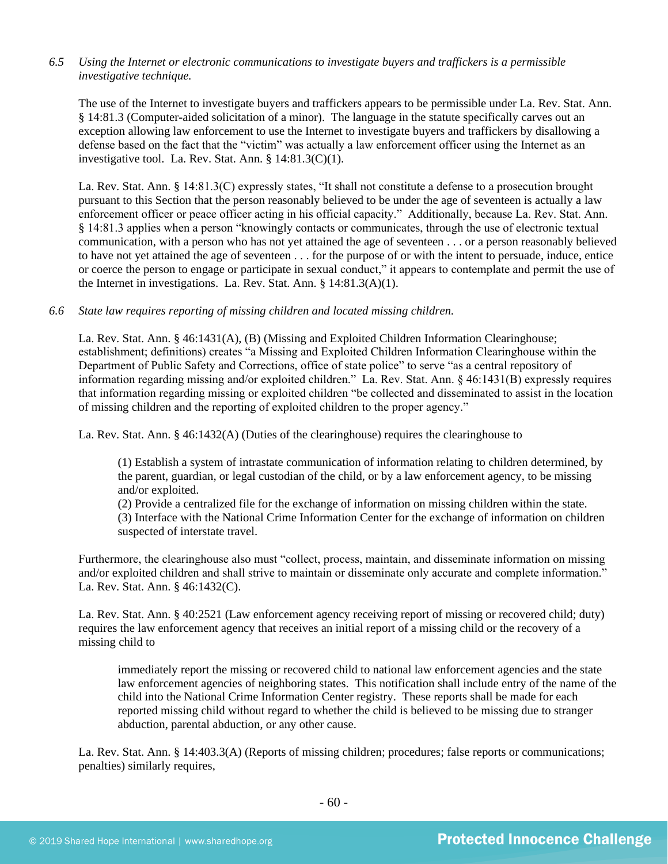## *6.5 Using the Internet or electronic communications to investigate buyers and traffickers is a permissible investigative technique.*

The use of the Internet to investigate buyers and traffickers appears to be permissible under La. Rev. Stat. Ann. § 14:81.3 (Computer-aided solicitation of a minor). The language in the statute specifically carves out an exception allowing law enforcement to use the Internet to investigate buyers and traffickers by disallowing a defense based on the fact that the "victim" was actually a law enforcement officer using the Internet as an investigative tool. La. Rev. Stat. Ann. § 14:81.3(C)(1).

La. Rev. Stat. Ann. § 14:81.3(C) expressly states, "It shall not constitute a defense to a prosecution brought pursuant to this Section that the person reasonably believed to be under the age of seventeen is actually a law enforcement officer or peace officer acting in his official capacity." Additionally, because La. Rev. Stat. Ann. § 14:81.3 applies when a person "knowingly contacts or communicates, through the use of electronic textual communication, with a person who has not yet attained the age of seventeen . . . or a person reasonably believed to have not yet attained the age of seventeen . . . for the purpose of or with the intent to persuade, induce, entice or coerce the person to engage or participate in sexual conduct," it appears to contemplate and permit the use of the Internet in investigations. La. Rev. Stat. Ann. § 14:81.3(A)(1).

## *6.6 State law requires reporting of missing children and located missing children.*

La. Rev. Stat. Ann. § 46:1431(A), (B) (Missing and Exploited Children Information Clearinghouse; establishment; definitions) creates "a Missing and Exploited Children Information Clearinghouse within the Department of Public Safety and Corrections, office of state police" to serve "as a central repository of information regarding missing and/or exploited children." La. Rev. Stat. Ann. § 46:1431(B) expressly requires that information regarding missing or exploited children "be collected and disseminated to assist in the location of missing children and the reporting of exploited children to the proper agency."

La. Rev. Stat. Ann. § 46:1432(A) (Duties of the clearinghouse) requires the clearinghouse to

(1) Establish a system of intrastate communication of information relating to children determined, by the parent, guardian, or legal custodian of the child, or by a law enforcement agency, to be missing and/or exploited.

(2) Provide a centralized file for the exchange of information on missing children within the state.

(3) Interface with the National Crime Information Center for the exchange of information on children suspected of interstate travel.

Furthermore, the clearinghouse also must "collect, process, maintain, and disseminate information on missing and/or exploited children and shall strive to maintain or disseminate only accurate and complete information." La. Rev. Stat. Ann. § 46:1432(C).

La. Rev. Stat. Ann. § 40:2521 (Law enforcement agency receiving report of missing or recovered child; duty) requires the law enforcement agency that receives an initial report of a missing child or the recovery of a missing child to

immediately report the missing or recovered child to national law enforcement agencies and the state law enforcement agencies of neighboring states. This notification shall include entry of the name of the child into the National Crime Information Center registry. These reports shall be made for each reported missing child without regard to whether the child is believed to be missing due to stranger abduction, parental abduction, or any other cause.

La. Rev. Stat. Ann. § 14:403.3(A) (Reports of missing children; procedures; false reports or communications; penalties) similarly requires,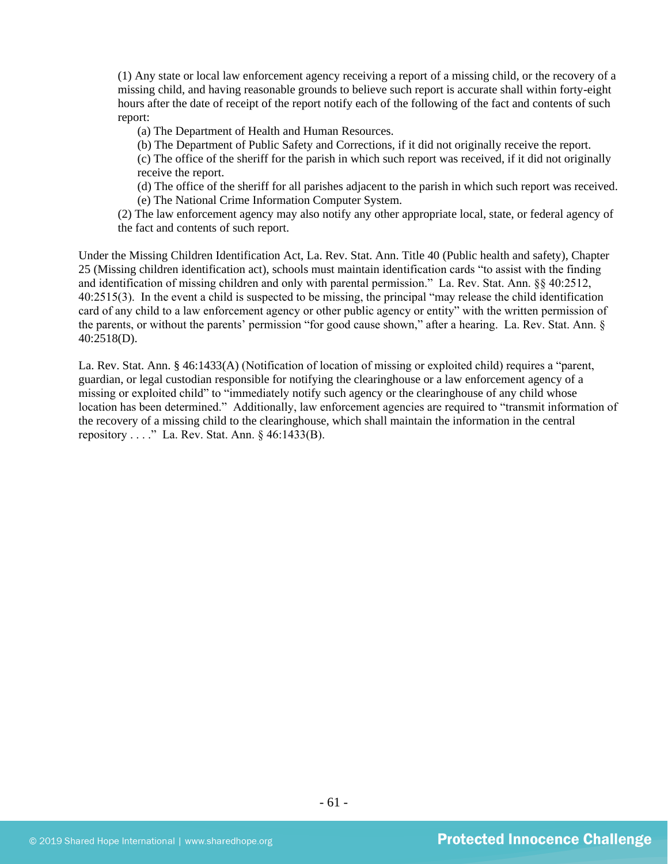(1) Any state or local law enforcement agency receiving a report of a missing child, or the recovery of a missing child, and having reasonable grounds to believe such report is accurate shall within forty-eight hours after the date of receipt of the report notify each of the following of the fact and contents of such report:

- (a) The Department of Health and Human Resources.
- (b) The Department of Public Safety and Corrections, if it did not originally receive the report.
- (c) The office of the sheriff for the parish in which such report was received, if it did not originally receive the report.
- (d) The office of the sheriff for all parishes adjacent to the parish in which such report was received. (e) The National Crime Information Computer System.
- (2) The law enforcement agency may also notify any other appropriate local, state, or federal agency of the fact and contents of such report.

Under the Missing Children Identification Act, La. Rev. Stat. Ann. Title 40 (Public health and safety), Chapter 25 (Missing children identification act), schools must maintain identification cards "to assist with the finding and identification of missing children and only with parental permission." La. Rev. Stat. Ann. §§ 40:2512, 40:2515(3). In the event a child is suspected to be missing, the principal "may release the child identification card of any child to a law enforcement agency or other public agency or entity" with the written permission of the parents, or without the parents' permission "for good cause shown," after a hearing. La. Rev. Stat. Ann. § 40:2518(D).

La. Rev. Stat. Ann. § 46:1433(A) (Notification of location of missing or exploited child) requires a "parent, guardian, or legal custodian responsible for notifying the clearinghouse or a law enforcement agency of a missing or exploited child" to "immediately notify such agency or the clearinghouse of any child whose location has been determined." Additionally, law enforcement agencies are required to "transmit information of the recovery of a missing child to the clearinghouse, which shall maintain the information in the central repository . . . ." La. Rev. Stat. Ann. § 46:1433(B).